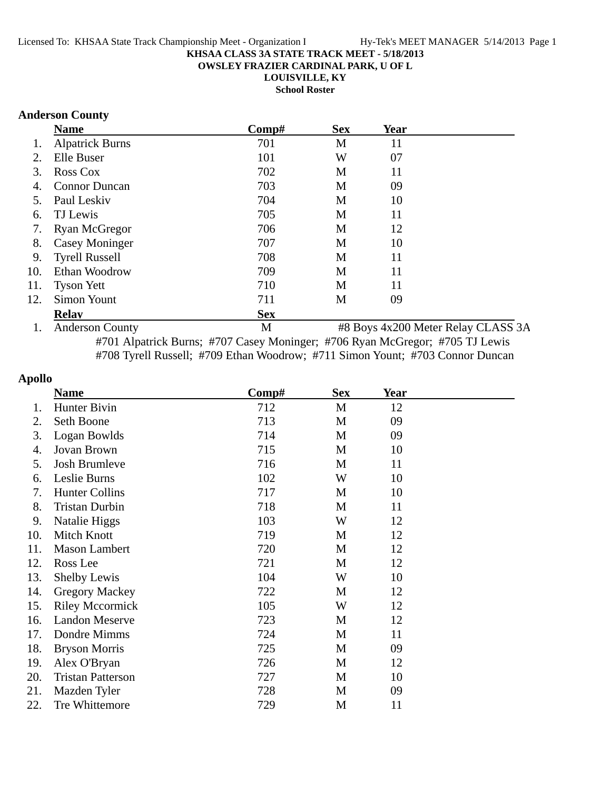**OWSLEY FRAZIER CARDINAL PARK, U OF L**

**LOUISVILLE, KY**

**School Roster**

#### **Anderson County**

|     | <b>Name</b>                 | Comp#      | <b>Sex</b> | Year                                                                                                                                        |  |
|-----|-----------------------------|------------|------------|---------------------------------------------------------------------------------------------------------------------------------------------|--|
|     | <b>Alpatrick Burns</b>      | 701        | M          | 11                                                                                                                                          |  |
| 2.  | Elle Buser                  | 101        | W          | 07                                                                                                                                          |  |
| 3.  | Ross Cox                    | 702        | M          | 11                                                                                                                                          |  |
| 4.  | <b>Connor Duncan</b>        | 703        | M          | 09                                                                                                                                          |  |
| 5.  | Paul Leskiv                 | 704        | M          | 10                                                                                                                                          |  |
| 6.  | TJ Lewis                    | 705        | M          | 11                                                                                                                                          |  |
| 7.  | <b>Ryan McGregor</b>        | 706        | M          | 12                                                                                                                                          |  |
| 8.  | <b>Casey Moninger</b>       | 707        | M          | 10                                                                                                                                          |  |
| 9.  | <b>Tyrell Russell</b>       | 708        | M          | 11                                                                                                                                          |  |
| 10. | Ethan Woodrow               | 709        | M          | 11                                                                                                                                          |  |
| 11. | <b>Tyson Yett</b>           | 710        | M          | 11                                                                                                                                          |  |
| 12. | <b>Simon Yount</b>          | 711        | M          | 09                                                                                                                                          |  |
|     | <b>Relay</b>                | <b>Sex</b> |            |                                                                                                                                             |  |
|     | $1 \wedge$ dedenore Country | ЪT.        |            | $\mu$ <sub>0</sub> $D_{\text{grav}}$ $\Lambda_{\text{tr}}$ 0.00 $M_{\text{other}}$ $D_{\text{other}}$ $C_{\text{L}}$ $\Lambda$ CC $\Lambda$ |  |

1. Anderson County M #8 Boys 4x200 Meter Relay CLASS 3A #701 Alpatrick Burns; #707 Casey Moninger; #706 Ryan McGregor; #705 TJ Lewis #708 Tyrell Russell; #709 Ethan Woodrow; #711 Simon Yount; #703 Connor Duncan

#### **Apollo**

|     | <b>Name</b>              | Comp# | <b>Sex</b> | Year |  |
|-----|--------------------------|-------|------------|------|--|
| 1.  | Hunter Bivin             | 712   | M          | 12   |  |
| 2.  | Seth Boone               | 713   | M          | 09   |  |
| 3.  | Logan Bowlds             | 714   | M          | 09   |  |
| 4.  | Jovan Brown              | 715   | M          | 10   |  |
| 5.  | Josh Brumleve            | 716   | M          | 11   |  |
| 6.  | Leslie Burns             | 102   | W          | 10   |  |
| 7.  | <b>Hunter Collins</b>    | 717   | M          | 10   |  |
| 8.  | <b>Tristan Durbin</b>    | 718   | M          | 11   |  |
| 9.  | Natalie Higgs            | 103   | W          | 12   |  |
| 10. | Mitch Knott              | 719   | M          | 12   |  |
| 11. | <b>Mason Lambert</b>     | 720   | M          | 12   |  |
| 12. | Ross Lee                 | 721   | M          | 12   |  |
| 13. | <b>Shelby Lewis</b>      | 104   | W          | 10   |  |
| 14. | <b>Gregory Mackey</b>    | 722   | M          | 12   |  |
| 15. | <b>Riley Mccormick</b>   | 105   | W          | 12   |  |
| 16. | <b>Landon Meserve</b>    | 723   | M          | 12   |  |
| 17. | Dondre Mimms             | 724   | M          | 11   |  |
| 18. | <b>Bryson Morris</b>     | 725   | M          | 09   |  |
| 19. | Alex O'Bryan             | 726   | M          | 12   |  |
| 20. | <b>Tristan Patterson</b> | 727   | M          | 10   |  |
| 21. | Mazden Tyler             | 728   | M          | 09   |  |
| 22. | Tre Whittemore           | 729   | M          | 11   |  |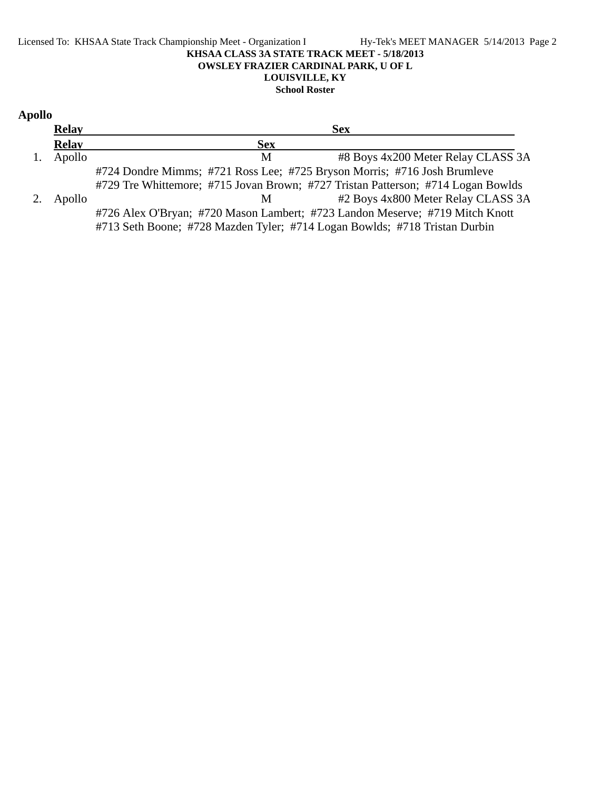#### Licensed To: KHSAA State Track Championship Meet - Organization I Hy-Tek's MEET MANAGER 5/14/2013 Page 2 **KHSAA CLASS 3A STATE TRACK MEET - 5/18/2013 OWSLEY FRAZIER CARDINAL PARK, U OF L LOUISVILLE, KY School Roster**

### **Apollo Relay Sex Relay Sex** 1. Apollo M #8 Boys 4x200 Meter Relay CLASS 3A #724 Dondre Mimms; #721 Ross Lee; #725 Bryson Morris; #716 Josh Brumleve #729 Tre Whittemore; #715 Jovan Brown; #727 Tristan Patterson; #714 Logan Bowlds 2. Apollo M #2 Boys 4x800 Meter Relay CLASS 3A #726 Alex O'Bryan; #720 Mason Lambert; #723 Landon Meserve; #719 Mitch Knott #713 Seth Boone; #728 Mazden Tyler; #714 Logan Bowlds; #718 Tristan Durbin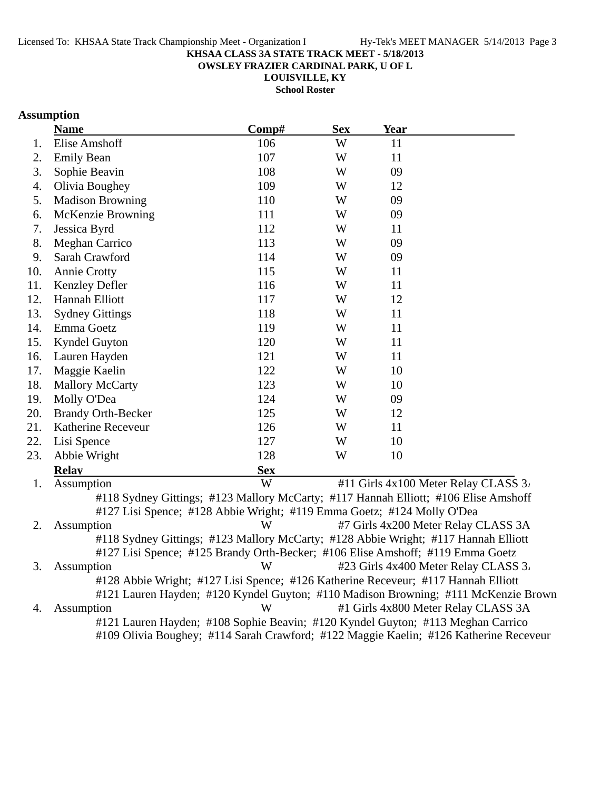**OWSLEY FRAZIER CARDINAL PARK, U OF L**

**LOUISVILLE, KY**

**School Roster**

## **Assumption**

|     | <b>Name</b>                                                                         | Comp#      | <b>Sex</b> | <b>Year</b> |                                                                                    |
|-----|-------------------------------------------------------------------------------------|------------|------------|-------------|------------------------------------------------------------------------------------|
| 1.  | Elise Amshoff                                                                       | 106        | W          | 11          |                                                                                    |
| 2.  | <b>Emily Bean</b>                                                                   | 107        | W          | 11          |                                                                                    |
| 3.  | Sophie Beavin                                                                       | 108        | W          | 09          |                                                                                    |
| 4.  | Olivia Boughey                                                                      | 109        | W          | 12          |                                                                                    |
| 5.  | <b>Madison Browning</b>                                                             | 110        | W          | 09          |                                                                                    |
| 6.  | McKenzie Browning                                                                   | 111        | W          | 09          |                                                                                    |
| 7.  | Jessica Byrd                                                                        | 112        | W          | 11          |                                                                                    |
| 8.  | <b>Meghan Carrico</b>                                                               | 113        | W          | 09          |                                                                                    |
| 9.  | Sarah Crawford                                                                      | 114        | W          | 09          |                                                                                    |
| 10. | <b>Annie Crotty</b>                                                                 | 115        | W          | 11          |                                                                                    |
| 11. | <b>Kenzley Defler</b>                                                               | 116        | W          | 11          |                                                                                    |
| 12. | Hannah Elliott                                                                      | 117        | W          | 12          |                                                                                    |
| 13. | <b>Sydney Gittings</b>                                                              | 118        | W          | 11          |                                                                                    |
| 14. | Emma Goetz                                                                          | 119        | W          | 11          |                                                                                    |
| 15. | <b>Kyndel Guyton</b>                                                                | 120        | W          | 11          |                                                                                    |
| 16. | Lauren Hayden                                                                       | 121        | W          | 11          |                                                                                    |
| 17. | Maggie Kaelin                                                                       | 122        | W          | 10          |                                                                                    |
| 18. | <b>Mallory McCarty</b>                                                              | 123        | W          | 10          |                                                                                    |
| 19. | Molly O'Dea                                                                         | 124        | W          | 09          |                                                                                    |
| 20. | <b>Brandy Orth-Becker</b>                                                           | 125        | W          | 12          |                                                                                    |
| 21. | Katherine Receveur                                                                  | 126        | W          | 11          |                                                                                    |
| 22. | Lisi Spence                                                                         | 127        | W          | 10          |                                                                                    |
| 23. | Abbie Wright                                                                        | 128        | W          | 10          |                                                                                    |
|     | <b>Relay</b>                                                                        | <b>Sex</b> |            |             |                                                                                    |
| 1.  | Assumption                                                                          | W          |            |             | #11 Girls 4x100 Meter Relay CLASS 3.                                               |
|     | #118 Sydney Gittings; #123 Mallory McCarty; #117 Hannah Elliott; #106 Elise Amshoff |            |            |             |                                                                                    |
|     | #127 Lisi Spence; #128 Abbie Wright; #119 Emma Goetz; #124 Molly O'Dea              |            |            |             |                                                                                    |
| 2.  | Assumption                                                                          | W          |            |             | #7 Girls 4x200 Meter Relay CLASS 3A                                                |
|     | #118 Sydney Gittings; #123 Mallory McCarty; #128 Abbie Wright; #117 Hannah Elliott  |            |            |             |                                                                                    |
|     | #127 Lisi Spence; #125 Brandy Orth-Becker; #106 Elise Amshoff; #119 Emma Goetz      |            |            |             |                                                                                    |
| 3.  | Assumption                                                                          | W          |            |             | #23 Girls 4x400 Meter Relay CLASS 3.                                               |
|     | #128 Abbie Wright; #127 Lisi Spence; #126 Katherine Receveur; #117 Hannah Elliott   |            |            |             |                                                                                    |
|     |                                                                                     |            |            |             | #121 Lauren Hayden; #120 Kyndel Guyton; #110 Madison Browning; #111 McKenzie Brown |
| 4.  | Assumption                                                                          | W          |            |             | #1 Girls 4x800 Meter Relay CLASS 3A                                                |

#121 Lauren Hayden; #108 Sophie Beavin; #120 Kyndel Guyton; #113 Meghan Carrico #109 Olivia Boughey; #114 Sarah Crawford; #122 Maggie Kaelin; #126 Katherine Receveur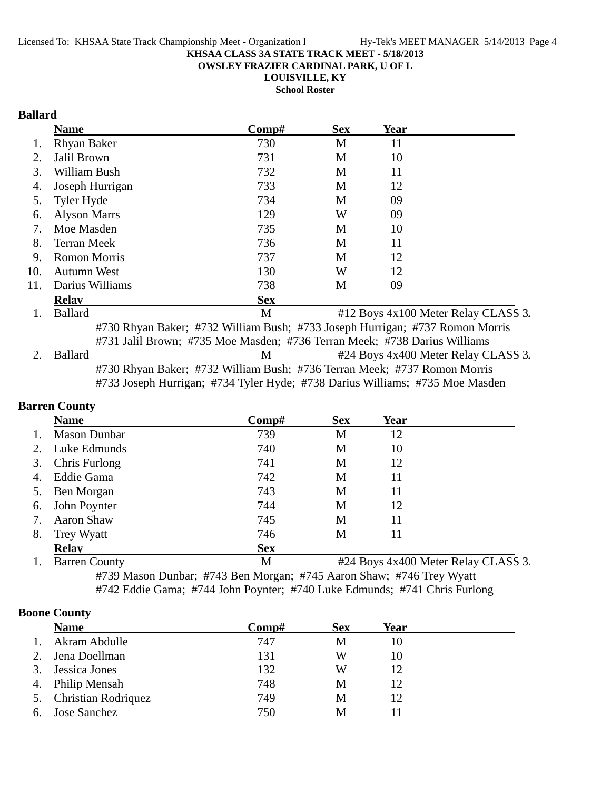**OWSLEY FRAZIER CARDINAL PARK, U OF L**

**LOUISVILLE, KY**

**School Roster**

### **Ballard**

|     | <b>Name</b>                                                               | $\bf Comp\#$ | <b>Sex</b> | Year                                                                         |
|-----|---------------------------------------------------------------------------|--------------|------------|------------------------------------------------------------------------------|
|     | <b>Rhyan Baker</b>                                                        | 730          | M          | 11                                                                           |
| 2.  | Jalil Brown                                                               | 731          | M          | 10                                                                           |
| 3.  | William Bush                                                              | 732          | M          | 11                                                                           |
| 4.  | Joseph Hurrigan                                                           | 733          | M          | 12                                                                           |
| 5.  | Tyler Hyde                                                                | 734          | M          | 09                                                                           |
| 6.  | <b>Alyson Marrs</b>                                                       | 129          | W          | 09                                                                           |
| 7.  | Moe Masden                                                                | 735          | M          | 10                                                                           |
| 8.  | <b>Terran Meek</b>                                                        | 736          | M          | 11                                                                           |
| 9.  | <b>Romon Morris</b>                                                       | 737          | M          | 12                                                                           |
| 10. | <b>Autumn West</b>                                                        | 130          | W          | 12                                                                           |
| 11. | Darius Williams                                                           | 738          | M          | 09                                                                           |
|     | <b>Relay</b>                                                              | <b>Sex</b>   |            |                                                                              |
| 1.  | <b>Ballard</b>                                                            | M            |            | #12 Boys 4x100 Meter Relay CLASS 3.                                          |
|     |                                                                           |              |            | #730 Rhyan Baker; #732 William Bush; #733 Joseph Hurrigan; #737 Romon Morris |
|     | #731 Jalil Brown; #735 Moe Masden; #736 Terran Meek; #738 Darius Williams |              |            |                                                                              |
| 2.  | <b>Ballard</b>                                                            | M            |            | #24 Boys 4x400 Meter Relay CLASS 3.                                          |
|     | #730 Rhyan Baker; #732 William Bush; #736 Terran Meek; #737 Romon Morris  |              |            | #733 Joseph Hurrigan; #734 Tyler Hyde; #738 Darius Williams; #735 Moe Masden |
|     |                                                                           |              |            |                                                                              |

## **Barren County**

|    | <b>Name</b>          | Comp#      | <b>Sex</b> | Year |                                     |
|----|----------------------|------------|------------|------|-------------------------------------|
|    | <b>Mason Dunbar</b>  | 739        | M          | 12   |                                     |
|    | Luke Edmunds         | 740        | М          | 10   |                                     |
| 3. | Chris Furlong        | 741        | M          | 12   |                                     |
|    | Eddie Gama           | 742        | M          | 11   |                                     |
|    | Ben Morgan           | 743        | М          | 11   |                                     |
| 6. | John Poynter         | 744        | М          | 12   |                                     |
|    | <b>Aaron Shaw</b>    | 745        | М          | 11   |                                     |
| 8. | Trey Wyatt           | 746        | М          | 11   |                                     |
|    | <b>Relav</b>         | <b>Sex</b> |            |      |                                     |
|    | <b>Barren County</b> | M          |            |      | #24 Boys 4x400 Meter Relay CLASS 3. |

#739 Mason Dunbar; #743 Ben Morgan; #745 Aaron Shaw; #746 Trey Wyatt #742 Eddie Gama; #744 John Poynter; #740 Luke Edmunds; #741 Chris Furlong

### **Boone County**

|    | <b>Name</b>            | Comp# | <b>Sex</b> | Year |  |
|----|------------------------|-------|------------|------|--|
|    | Akram Abdulle          | 747   | М          | 10   |  |
| 2. | Jena Doellman          | 131   | W          | 10   |  |
| 3. | Jessica Jones          | 132   | W          | 12   |  |
| 4. | Philip Mensah          | 748   | M          | 12   |  |
|    | 5. Christian Rodriquez | 749   | M          | 12   |  |
| 6. | Jose Sanchez           | 750   | M          |      |  |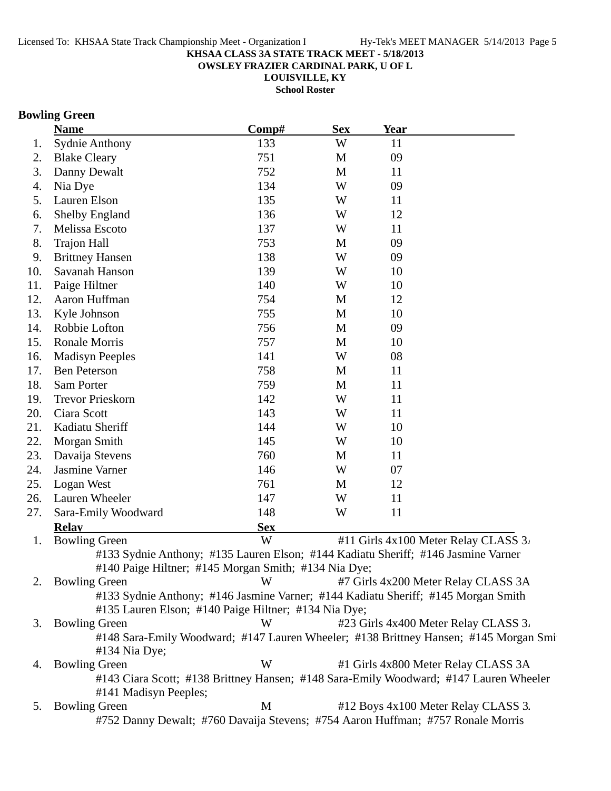**OWSLEY FRAZIER CARDINAL PARK, U OF L**

**LOUISVILLE, KY**

**School Roster**

### **Bowling Green**

|     | <b>Name</b>                                                                       | Comp#      | <b>Sex</b> | <b>Year</b> |                                                                                       |
|-----|-----------------------------------------------------------------------------------|------------|------------|-------------|---------------------------------------------------------------------------------------|
| 1.  | <b>Sydnie Anthony</b>                                                             | 133        | W          | 11          |                                                                                       |
| 2.  | <b>Blake Cleary</b>                                                               | 751        | M          | 09          |                                                                                       |
| 3.  | Danny Dewalt                                                                      | 752        | M          | 11          |                                                                                       |
| 4.  | Nia Dye                                                                           | 134        | W          | 09          |                                                                                       |
| 5.  | Lauren Elson                                                                      | 135        | W          | 11          |                                                                                       |
| 6.  | <b>Shelby England</b>                                                             | 136        | W          | 12          |                                                                                       |
| 7.  | Melissa Escoto                                                                    | 137        | W          | 11          |                                                                                       |
| 8.  | <b>Trajon Hall</b>                                                                | 753        | M          | 09          |                                                                                       |
| 9.  | <b>Brittney Hansen</b>                                                            | 138        | W          | 09          |                                                                                       |
| 10. | Savanah Hanson                                                                    | 139        | W          | 10          |                                                                                       |
| 11. | Paige Hiltner                                                                     | 140        | W          | 10          |                                                                                       |
| 12. | Aaron Huffman                                                                     | 754        | M          | 12          |                                                                                       |
| 13. | Kyle Johnson                                                                      | 755        | M          | 10          |                                                                                       |
| 14. | Robbie Lofton                                                                     | 756        | M          | 09          |                                                                                       |
| 15. | Ronale Morris                                                                     | 757        | M          | 10          |                                                                                       |
| 16. | <b>Madisyn Peeples</b>                                                            | 141        | W          | 08          |                                                                                       |
| 17. | <b>Ben Peterson</b>                                                               | 758        | M          | 11          |                                                                                       |
| 18. | Sam Porter                                                                        | 759        | M          | 11          |                                                                                       |
| 19. | <b>Trevor Prieskorn</b>                                                           | 142        | W          | 11          |                                                                                       |
| 20. | Ciara Scott                                                                       | 143        | W          | 11          |                                                                                       |
| 21. | Kadiatu Sheriff                                                                   | 144        | W          | 10          |                                                                                       |
| 22. | Morgan Smith                                                                      | 145        | W          | 10          |                                                                                       |
| 23. | Davaija Stevens                                                                   | 760        | M          | 11          |                                                                                       |
| 24. | Jasmine Varner                                                                    | 146        | W          | 07          |                                                                                       |
| 25. | Logan West                                                                        | 761        | M          | 12          |                                                                                       |
| 26. | Lauren Wheeler                                                                    | 147        | W          | 11          |                                                                                       |
| 27. | Sara-Emily Woodward                                                               | 148        | W          | 11          |                                                                                       |
|     | <b>Relay</b>                                                                      | <b>Sex</b> |            |             |                                                                                       |
| 1.  | <b>Bowling Green</b>                                                              | W          |            |             | #11 Girls 4x100 Meter Relay CLASS 3.                                                  |
|     | #133 Sydnie Anthony; #135 Lauren Elson; #144 Kadiatu Sheriff; #146 Jasmine Varner |            |            |             |                                                                                       |
|     | #140 Paige Hiltner; #145 Morgan Smith; #134 Nia Dye;                              |            |            |             |                                                                                       |
| 2.  | <b>Bowling Green</b>                                                              | W          |            |             | #7 Girls 4x200 Meter Relay CLASS 3A                                                   |
|     | #133 Sydnie Anthony; #146 Jasmine Varner; #144 Kadiatu Sheriff; #145 Morgan Smith |            |            |             |                                                                                       |
|     | #135 Lauren Elson; #140 Paige Hiltner; #134 Nia Dye;                              |            |            |             |                                                                                       |
| 3.  | <b>Bowling Green</b>                                                              | W          |            |             | #23 Girls 4x400 Meter Relay CLASS 3.                                                  |
|     |                                                                                   |            |            |             | #148 Sara-Emily Woodward; #147 Lauren Wheeler; #138 Brittney Hansen; #145 Morgan Smi  |
|     | #134 Nia Dye;                                                                     |            |            |             |                                                                                       |
| 4.  | <b>Bowling Green</b>                                                              | W          |            |             | #1 Girls 4x800 Meter Relay CLASS 3A                                                   |
|     |                                                                                   |            |            |             | #143 Ciara Scott; #138 Brittney Hansen; #148 Sara-Emily Woodward; #147 Lauren Wheeler |
|     | #141 Madisyn Peeples;                                                             |            |            |             |                                                                                       |
| 5.  | <b>Bowling Green</b>                                                              | M          |            |             | #12 Boys 4x100 Meter Relay CLASS 3.                                                   |
|     | #752 Danny Dewalt; #760 Davaija Stevens; #754 Aaron Huffman; #757 Ronale Morris   |            |            |             |                                                                                       |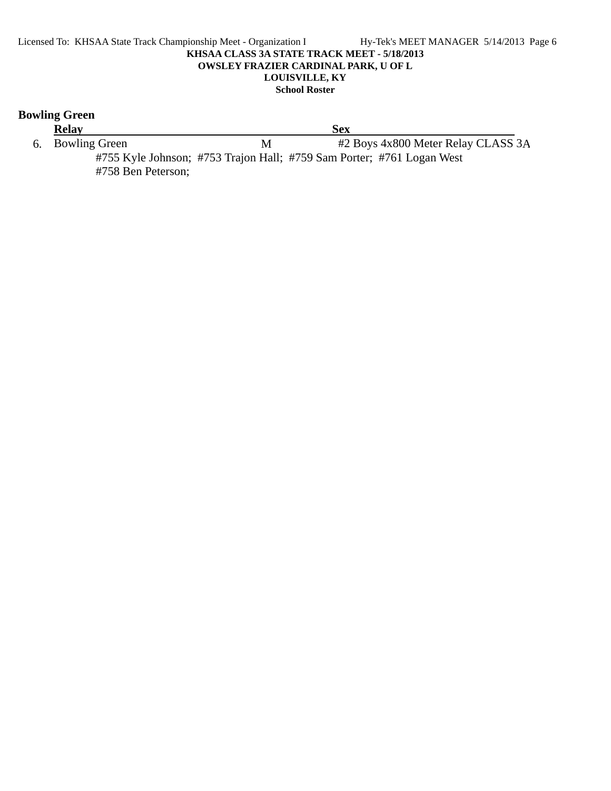#### Licensed To: KHSAA State Track Championship Meet - Organization I Hy-Tek's MEET MANAGER 5/14/2013 Page 6 **KHSAA CLASS 3A STATE TRACK MEET - 5/18/2013 OWSLEY FRAZIER CARDINAL PARK, U OF L LOUISVILLE, KY School Roster**

### **Bowling Green**

**Relay**<br> **Sex**<br> **Sex**<br> **Sex**<br> **Sex**<br> **M**<br> **EX**<br> **EX**<br> **EX** M #2 Boys 4x800 Meter Relay CLASS 3A #755 Kyle Johnson; #753 Trajon Hall; #759 Sam Porter; #761 Logan West #758 Ben Peterson;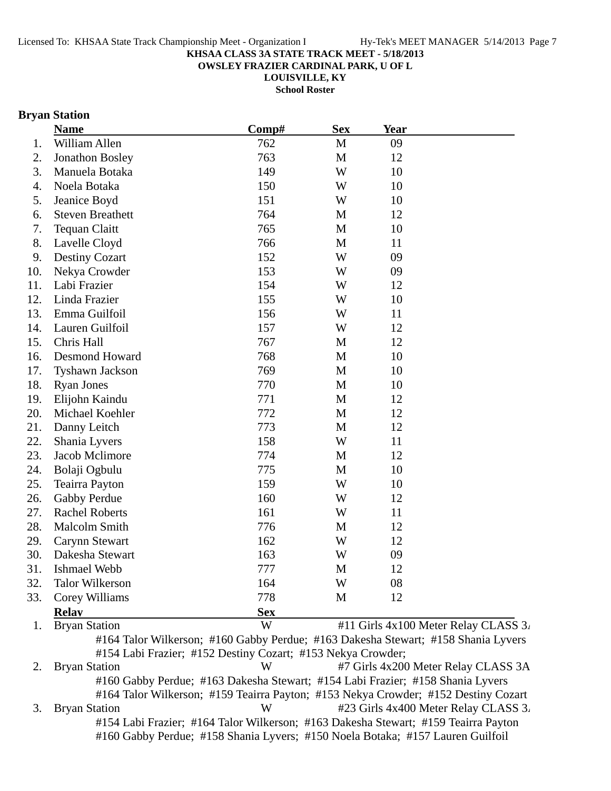**OWSLEY FRAZIER CARDINAL PARK, U OF L**

**LOUISVILLE, KY**

**School Roster**

### **Bryan Station**

|     | <b>Name</b>             | Comp#      | <b>Sex</b>   | <b>Year</b> |                                      |
|-----|-------------------------|------------|--------------|-------------|--------------------------------------|
| 1.  | William Allen           | 762        | $\mathbf{M}$ | 09          |                                      |
| 2.  | <b>Jonathon Bosley</b>  | 763        | $\mathbf M$  | 12          |                                      |
| 3.  | Manuela Botaka          | 149        | W            | 10          |                                      |
| 4.  | Noela Botaka            | 150        | W            | 10          |                                      |
| 5.  | Jeanice Boyd            | 151        | W            | 10          |                                      |
| 6.  | <b>Steven Breathett</b> | 764        | M            | 12          |                                      |
| 7.  | <b>Tequan Claitt</b>    | 765        | $\mathbf M$  | 10          |                                      |
| 8.  | Lavelle Cloyd           | 766        | $\mathbf{M}$ | 11          |                                      |
| 9.  | <b>Destiny Cozart</b>   | 152        | W            | 09          |                                      |
| 10. | Nekya Crowder           | 153        | W            | 09          |                                      |
| 11. | Labi Frazier            | 154        | W            | 12          |                                      |
| 12. | Linda Frazier           | 155        | W            | 10          |                                      |
| 13. | Emma Guilfoil           | 156        | W            | 11          |                                      |
| 14. | Lauren Guilfoil         | 157        | W            | 12          |                                      |
| 15. | Chris Hall              | 767        | $\mathbf{M}$ | 12          |                                      |
| 16. | <b>Desmond Howard</b>   | 768        | $\mathbf M$  | 10          |                                      |
| 17. | Tyshawn Jackson         | 769        | $\mathbf{M}$ | 10          |                                      |
| 18. | <b>Ryan Jones</b>       | 770        | $\mathbf{M}$ | 10          |                                      |
| 19. | Elijohn Kaindu          | 771        | $\mathbf{M}$ | 12          |                                      |
| 20. | Michael Koehler         | 772        | $\mathbf M$  | 12          |                                      |
| 21. | Danny Leitch            | 773        | $\mathbf M$  | 12          |                                      |
| 22. | Shania Lyvers           | 158        | W            | 11          |                                      |
| 23. | Jacob Mclimore          | 774        | M            | 12          |                                      |
| 24. | Bolaji Ogbulu           | 775        | $\mathbf{M}$ | 10          |                                      |
| 25. | <b>Teairra Payton</b>   | 159        | W            | 10          |                                      |
| 26. | Gabby Perdue            | 160        | W            | 12          |                                      |
| 27. | <b>Rachel Roberts</b>   | 161        | W            | 11          |                                      |
| 28. | <b>Malcolm Smith</b>    | 776        | $\mathbf{M}$ | 12          |                                      |
| 29. | <b>Carynn Stewart</b>   | 162        | W            | 12          |                                      |
| 30. | Dakesha Stewart         | 163        | W            | 09          |                                      |
| 31. | Ishmael Webb            | 777        | M            | 12          |                                      |
| 32. | <b>Talor Wilkerson</b>  | 164        | W            | 08          |                                      |
| 33. | Corey Williams          | 778        | $\mathbf M$  | 12          |                                      |
|     | <b>Relay</b>            | <b>Sex</b> |              |             |                                      |
| 1.  | <b>Bryan Station</b>    | W          |              |             | #11 Girls 4x100 Meter Relay CLASS 3. |

#164 Talor Wilkerson; #160 Gabby Perdue; #163 Dakesha Stewart; #158 Shania Lyvers #154 Labi Frazier; #152 Destiny Cozart; #153 Nekya Crowder;

2. Bryan Station W #7 Girls 4x200 Meter Relay CLASS 3A #160 Gabby Perdue; #163 Dakesha Stewart; #154 Labi Frazier; #158 Shania Lyvers #164 Talor Wilkerson; #159 Teairra Payton; #153 Nekya Crowder; #152 Destiny Cozart 3. Bryan Station W #23 Girls 4x400 Meter Relay CLASS 3. #154 Labi Frazier; #164 Talor Wilkerson; #163 Dakesha Stewart; #159 Teairra Payton #160 Gabby Perdue; #158 Shania Lyvers; #150 Noela Botaka; #157 Lauren Guilfoil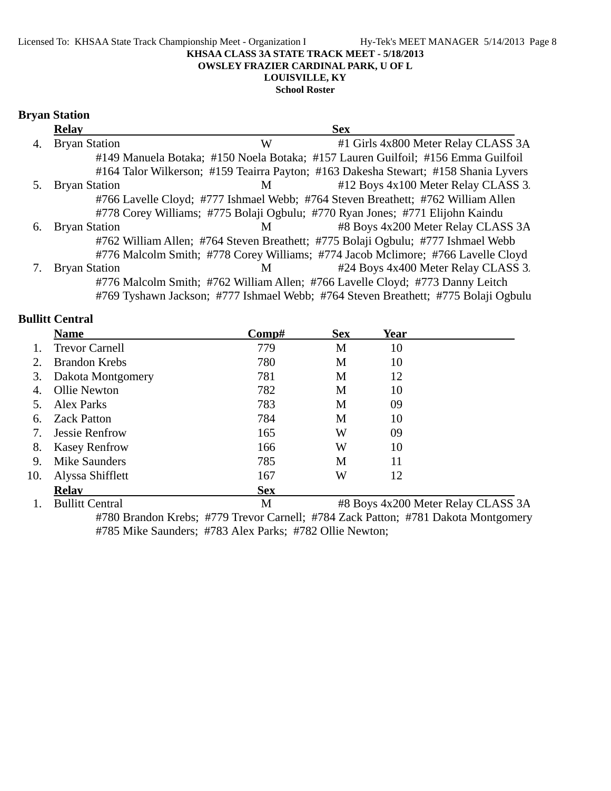**School Roster**

#### **Bryan Station**

|    | <b>Relay</b>         |   | <b>Sex</b>                                                                          |  |
|----|----------------------|---|-------------------------------------------------------------------------------------|--|
| 4. | <b>Bryan Station</b> | W | #1 Girls 4x800 Meter Relay CLASS 3A                                                 |  |
|    |                      |   | #149 Manuela Botaka; #150 Noela Botaka; #157 Lauren Guilfoil; #156 Emma Guilfoil    |  |
|    |                      |   | #164 Talor Wilkerson; #159 Teairra Payton; #163 Dakesha Stewart; #158 Shania Lyvers |  |
|    | <b>Bryan Station</b> | M | #12 Boys 4x100 Meter Relay CLASS 3.                                                 |  |
|    |                      |   | #766 Lavelle Cloyd; #777 Ishmael Webb; #764 Steven Breathett; #762 William Allen    |  |
|    |                      |   | #778 Corey Williams; #775 Bolaji Ogbulu; #770 Ryan Jones; #771 Elijohn Kaindu       |  |
| 6. | <b>Bryan Station</b> | M | #8 Boys 4x200 Meter Relay CLASS 3A                                                  |  |
|    |                      |   | #762 William Allen; #764 Steven Breathett; #775 Bolaji Ogbulu; #777 Ishmael Webb    |  |
|    |                      |   | #776 Malcolm Smith; #778 Corey Williams; #774 Jacob Mclimore; #766 Lavelle Cloyd    |  |
|    | <b>Bryan Station</b> | M | #24 Boys 4x400 Meter Relay CLASS 3.                                                 |  |
|    |                      |   | #776 Malcolm Smith; #762 William Allen; #766 Lavelle Cloyd; #773 Danny Leitch       |  |
|    |                      |   | #769 Tyshawn Jackson; #777 Ishmael Webb; #764 Steven Breathett; #775 Bolaji Ogbulu  |  |

#### **Bullitt Central**

|     | <b>Name</b>            | $\bf Comp\#$ | <b>Sex</b> | Year |                                    |
|-----|------------------------|--------------|------------|------|------------------------------------|
|     | <b>Trevor Carnell</b>  | 779          | M          | 10   |                                    |
| 2.  | <b>Brandon Krebs</b>   | 780          | М          | 10   |                                    |
| 3.  | Dakota Montgomery      | 781          | M          | 12   |                                    |
|     | <b>Ollie Newton</b>    | 782          | М          | 10   |                                    |
|     | <b>Alex Parks</b>      | 783          | M          | 09   |                                    |
| 6.  | <b>Zack Patton</b>     | 784          | M          | 10   |                                    |
| 7.  | <b>Jessie Renfrow</b>  | 165          | W          | 09   |                                    |
| 8.  | <b>Kasey Renfrow</b>   | 166          | W          | 10   |                                    |
| 9.  | <b>Mike Saunders</b>   | 785          | M          | 11   |                                    |
| 10. | Alyssa Shifflett       | 167          | W          | 12   |                                    |
|     | <b>Relav</b>           | <b>Sex</b>   |            |      |                                    |
|     | <b>Bullitt Central</b> | M            |            |      | #8 Boys 4x200 Meter Relay CLASS 3A |

#780 Brandon Krebs; #779 Trevor Carnell; #784 Zack Patton; #781 Dakota Montgomery #785 Mike Saunders; #783 Alex Parks; #782 Ollie Newton;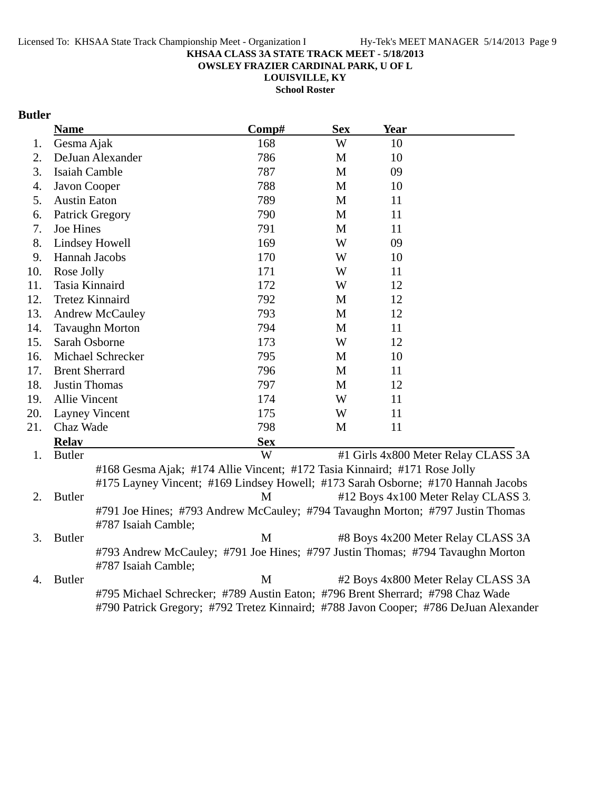**OWSLEY FRAZIER CARDINAL PARK, U OF L**

**LOUISVILLE, KY School Roster**

### **Butler**

|     | <b>Name</b>          |                                                                           | Comp#      | <b>Sex</b>  | Year                                                                                                                                                                   |  |
|-----|----------------------|---------------------------------------------------------------------------|------------|-------------|------------------------------------------------------------------------------------------------------------------------------------------------------------------------|--|
| 1.  | Gesma Ajak           |                                                                           | 168        | W           | 10                                                                                                                                                                     |  |
| 2.  |                      | DeJuan Alexander                                                          | 786        | M           | 10                                                                                                                                                                     |  |
| 3.  | Isaiah Camble        |                                                                           | 787        | M           | 09                                                                                                                                                                     |  |
| 4.  | Javon Cooper         |                                                                           | 788        | M           | 10                                                                                                                                                                     |  |
| 5.  | <b>Austin Eaton</b>  |                                                                           | 789        | M           | 11                                                                                                                                                                     |  |
| 6.  |                      | <b>Patrick Gregory</b>                                                    | 790        | M           | 11                                                                                                                                                                     |  |
| 7.  | Joe Hines            |                                                                           | 791        | M           | 11                                                                                                                                                                     |  |
| 8.  |                      | Lindsey Howell                                                            | 169        | W           | 09                                                                                                                                                                     |  |
| 9.  |                      | Hannah Jacobs                                                             | 170        | W           | 10                                                                                                                                                                     |  |
| 10. | Rose Jolly           |                                                                           | 171        | W           | 11                                                                                                                                                                     |  |
| 11. |                      | Tasia Kinnaird                                                            | 172        | W           | 12                                                                                                                                                                     |  |
| 12. |                      | <b>Tretez Kinnaird</b>                                                    | 792        | M           | 12                                                                                                                                                                     |  |
| 13. |                      | <b>Andrew McCauley</b>                                                    | 793        | M           | 12                                                                                                                                                                     |  |
| 14. |                      | <b>Tavaughn Morton</b>                                                    | 794        | M           | 11                                                                                                                                                                     |  |
| 15. |                      | Sarah Osborne                                                             | 173        | W           | 12                                                                                                                                                                     |  |
| 16. |                      | Michael Schrecker                                                         | 795        | M           | 10                                                                                                                                                                     |  |
| 17. |                      | <b>Brent Sherrard</b>                                                     | 796        | M           | 11                                                                                                                                                                     |  |
| 18. | <b>Justin Thomas</b> |                                                                           | 797        | $\mathbf M$ | 12                                                                                                                                                                     |  |
| 19. | Allie Vincent        |                                                                           | 174        | W           | 11                                                                                                                                                                     |  |
| 20. |                      | <b>Layney Vincent</b>                                                     | 175        | W           | 11                                                                                                                                                                     |  |
| 21. | Chaz Wade            |                                                                           | 798        | M           | 11                                                                                                                                                                     |  |
|     | <b>Relay</b>         |                                                                           | <b>Sex</b> |             |                                                                                                                                                                        |  |
| 1.  | <b>Butler</b>        |                                                                           | W          |             | #1 Girls 4x800 Meter Relay CLASS 3A                                                                                                                                    |  |
| 2.  | <b>Butler</b>        | #168 Gesma Ajak; #174 Allie Vincent; #172 Tasia Kinnaird; #171 Rose Jolly | M          |             | #175 Layney Vincent; #169 Lindsey Howell; #173 Sarah Osborne; #170 Hannah Jacobs<br>#12 Boys 4x100 Meter Relay CLASS 3.                                                |  |
|     |                      |                                                                           |            |             | #791 Joe Hines; #793 Andrew McCauley; #794 Tavaughn Morton; #797 Justin Thomas                                                                                         |  |
|     |                      | #787 Isaiah Camble;                                                       |            |             |                                                                                                                                                                        |  |
| 3.  | <b>Butler</b>        |                                                                           | M          |             | #8 Boys 4x200 Meter Relay CLASS 3A                                                                                                                                     |  |
|     |                      | #787 Isaiah Camble;                                                       |            |             | #793 Andrew McCauley; #791 Joe Hines; #797 Justin Thomas; #794 Tavaughn Morton                                                                                         |  |
| 4.  | <b>Butler</b>        |                                                                           | M          |             | #2 Boys 4x800 Meter Relay CLASS 3A                                                                                                                                     |  |
|     |                      |                                                                           |            |             | #795 Michael Schrecker; #789 Austin Eaton; #796 Brent Sherrard; #798 Chaz Wade<br>#790 Patrick Gregory; #792 Tretez Kinnaird; #788 Javon Cooper; #786 DeJuan Alexander |  |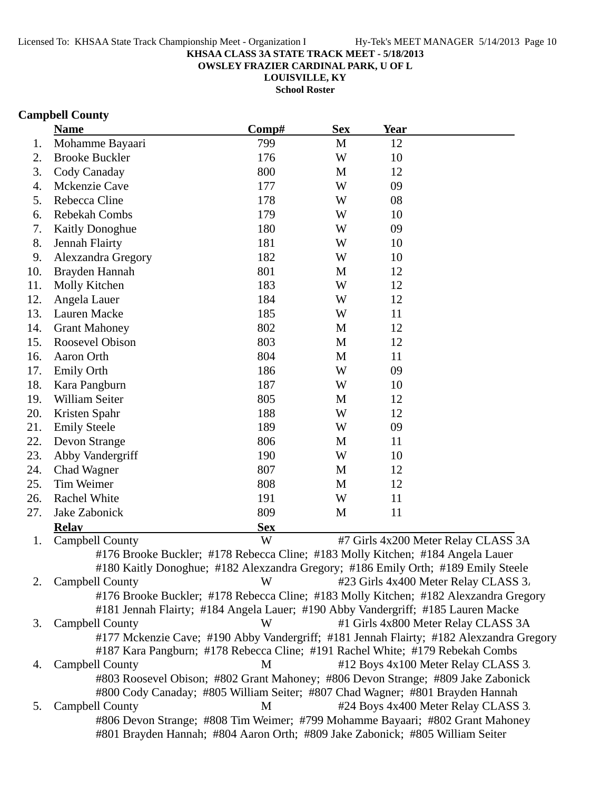**OWSLEY FRAZIER CARDINAL PARK, U OF L**

**LOUISVILLE, KY**

**School Roster**

# **Campbell County**

|     | <b>Name</b>                                                                             | Comp#      | <b>Sex</b> | <b>Year</b> |                                      |
|-----|-----------------------------------------------------------------------------------------|------------|------------|-------------|--------------------------------------|
| 1.  | Mohamme Bayaari                                                                         | 799        | M          | 12          |                                      |
| 2.  | <b>Brooke Buckler</b>                                                                   | 176        | W          | 10          |                                      |
| 3.  | Cody Canaday                                                                            | 800        | M          | 12          |                                      |
| 4.  | Mckenzie Cave                                                                           | 177        | W          | 09          |                                      |
| 5.  | Rebecca Cline                                                                           | 178        | W          | 08          |                                      |
| 6.  | Rebekah Combs                                                                           | 179        | W          | 10          |                                      |
| 7.  | <b>Kaitly Donoghue</b>                                                                  | 180        | W          | 09          |                                      |
| 8.  | Jennah Flairty                                                                          | 181        | W          | 10          |                                      |
| 9.  | Alexzandra Gregory                                                                      | 182        | W          | 10          |                                      |
| 10. | Brayden Hannah                                                                          | 801        | M          | 12          |                                      |
| 11. | Molly Kitchen                                                                           | 183        | W          | 12          |                                      |
| 12. | Angela Lauer                                                                            | 184        | W          | 12          |                                      |
| 13. | Lauren Macke                                                                            | 185        | W          | 11          |                                      |
| 14. | <b>Grant Mahoney</b>                                                                    | 802        | M          | 12          |                                      |
| 15. | Roosevel Obison                                                                         | 803        | M          | 12          |                                      |
| 16. | Aaron Orth                                                                              | 804        | M          | 11          |                                      |
| 17. | <b>Emily Orth</b>                                                                       | 186        | W          | 09          |                                      |
| 18. | Kara Pangburn                                                                           | 187        | W          | 10          |                                      |
| 19. | William Seiter                                                                          | 805        | M          | 12          |                                      |
| 20. | Kristen Spahr                                                                           | 188        | W          | 12          |                                      |
| 21. | <b>Emily Steele</b>                                                                     | 189        | W          | 09          |                                      |
| 22. | Devon Strange                                                                           | 806        | M          | 11          |                                      |
| 23. | Abby Vandergriff                                                                        | 190        | W          | 10          |                                      |
| 24. | <b>Chad Wagner</b>                                                                      | 807        | M          | 12          |                                      |
| 25. | Tim Weimer                                                                              | 808        | M          | 12          |                                      |
| 26. | Rachel White                                                                            | 191        | W          | 11          |                                      |
| 27. | Jake Zabonick                                                                           | 809        | M          | 11          |                                      |
|     | <b>Relay</b>                                                                            | <b>Sex</b> |            |             |                                      |
| 1.  | <b>Campbell County</b>                                                                  | W          |            |             | #7 Girls 4x200 Meter Relay CLASS 3A  |
|     | #176 Brooke Buckler; #178 Rebecca Cline; #183 Molly Kitchen; #184 Angela Lauer          |            |            |             |                                      |
|     | #180 Kaitly Donoghue; #182 Alexzandra Gregory; #186 Emily Orth; #189 Emily Steele       |            |            |             |                                      |
| 2.  | <b>Campbell County</b>                                                                  | W          |            |             | #23 Girls 4x400 Meter Relay CLASS 3. |
|     | #176 Brooke Buckler; #178 Rebecca Cline; #183 Molly Kitchen; #182 Alexzandra Gregory    |            |            |             |                                      |
|     | #181 Jennah Flairty; #184 Angela Lauer; #190 Abby Vandergriff; #185 Lauren Macke        |            |            |             |                                      |
| 3.  | Campbell County                                                                         | W          |            |             | #1 Girls 4x800 Meter Relay CLASS 3A  |
|     | #177 Mckenzie Cave; #190 Abby Vandergriff; #181 Jennah Flairty; #182 Alexzandra Gregory |            |            |             |                                      |
|     | #187 Kara Pangburn; #178 Rebecca Cline; #191 Rachel White; #179 Rebekah Combs           |            |            |             |                                      |
| 4.  | Campbell County                                                                         | M          |            |             | #12 Boys 4x100 Meter Relay CLASS 3.  |
|     | #803 Roosevel Obison; #802 Grant Mahoney; #806 Devon Strange; #809 Jake Zabonick        |            |            |             |                                      |
|     | #800 Cody Canaday; #805 William Seiter; #807 Chad Wagner; #801 Brayden Hannah           |            |            |             |                                      |
| 5.  | Campbell County                                                                         | M          |            |             | #24 Boys 4x400 Meter Relay CLASS 3.  |
|     | #806 Devon Strange; #808 Tim Weimer; #799 Mohamme Bayaari; #802 Grant Mahoney           |            |            |             |                                      |
|     | #801 Brayden Hannah; #804 Aaron Orth; #809 Jake Zabonick; #805 William Seiter           |            |            |             |                                      |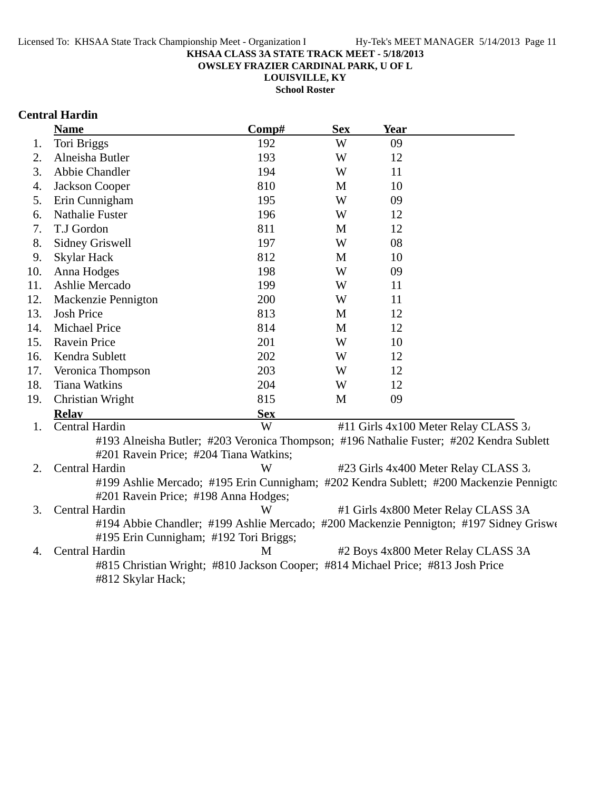**OWSLEY FRAZIER CARDINAL PARK, U OF L**

**LOUISVILLE, KY**

**School Roster**

## **Central Hardin**

|     | <b>Name</b>                                                                     | Comp#      | <b>Sex</b> | <b>Year</b> |                                                                                         |
|-----|---------------------------------------------------------------------------------|------------|------------|-------------|-----------------------------------------------------------------------------------------|
| 1.  | Tori Briggs                                                                     | 192        | W          | 09          |                                                                                         |
| 2.  | Alneisha Butler                                                                 | 193        | W          | 12          |                                                                                         |
| 3.  | Abbie Chandler                                                                  | 194        | W          | 11          |                                                                                         |
| 4.  | Jackson Cooper                                                                  | 810        | M          | 10          |                                                                                         |
| 5.  | Erin Cunnigham                                                                  | 195        | W          | 09          |                                                                                         |
| 6.  | <b>Nathalie Fuster</b>                                                          | 196        | W          | 12          |                                                                                         |
| 7.  | T.J Gordon                                                                      | 811        | M          | 12          |                                                                                         |
| 8.  | <b>Sidney Griswell</b>                                                          | 197        | W          | 08          |                                                                                         |
| 9.  | <b>Skylar Hack</b>                                                              | 812        | M          | 10          |                                                                                         |
| 10. | Anna Hodges                                                                     | 198        | W          | 09          |                                                                                         |
| 11. | Ashlie Mercado                                                                  | 199        | W          | 11          |                                                                                         |
| 12. | Mackenzie Pennigton                                                             | 200        | W          | 11          |                                                                                         |
| 13. | <b>Josh Price</b>                                                               | 813        | M          | 12          |                                                                                         |
| 14. | <b>Michael Price</b>                                                            | 814        | M          | 12          |                                                                                         |
| 15. | <b>Ravein Price</b>                                                             | 201        | W          | 10          |                                                                                         |
| 16. | Kendra Sublett                                                                  | 202        | W          | 12          |                                                                                         |
| 17. | Veronica Thompson                                                               | 203        | W          | 12          |                                                                                         |
| 18. | <b>Tiana Watkins</b>                                                            | 204        | W          | 12          |                                                                                         |
| 19. | Christian Wright                                                                | 815        | M          | 09          |                                                                                         |
|     | <b>Relay</b>                                                                    | <b>Sex</b> |            |             |                                                                                         |
| 1.  | Central Hardin                                                                  | W          |            |             | #11 Girls 4x100 Meter Relay CLASS 3.                                                    |
|     |                                                                                 |            |            |             | #193 Alneisha Butler; #203 Veronica Thompson; #196 Nathalie Fuster; #202 Kendra Sublett |
|     | #201 Ravein Price; #204 Tiana Watkins;                                          |            |            |             |                                                                                         |
| 2.  | Central Hardin                                                                  | W          |            |             | #23 Girls 4x400 Meter Relay CLASS 3.                                                    |
|     |                                                                                 |            |            |             | #199 Ashlie Mercado; #195 Erin Cunnigham; #202 Kendra Sublett; #200 Mackenzie Pennigtc  |
|     | #201 Ravein Price; #198 Anna Hodges;                                            |            |            |             |                                                                                         |
| 3.  | Central Hardin                                                                  | W          |            |             | #1 Girls 4x800 Meter Relay CLASS 3A                                                     |
|     |                                                                                 |            |            |             | #194 Abbie Chandler; #199 Ashlie Mercado; #200 Mackenzie Pennigton; #197 Sidney Griswe  |
|     | #195 Erin Cunnigham; #192 Tori Briggs;                                          |            |            |             |                                                                                         |
| 4.  | Central Hardin                                                                  | M          |            |             | #2 Boys 4x800 Meter Relay CLASS 3A                                                      |
|     | #815 Christian Wright; #810 Jackson Cooper; #814 Michael Price; #813 Josh Price |            |            |             |                                                                                         |
|     | #812 Skylar Hack;                                                               |            |            |             |                                                                                         |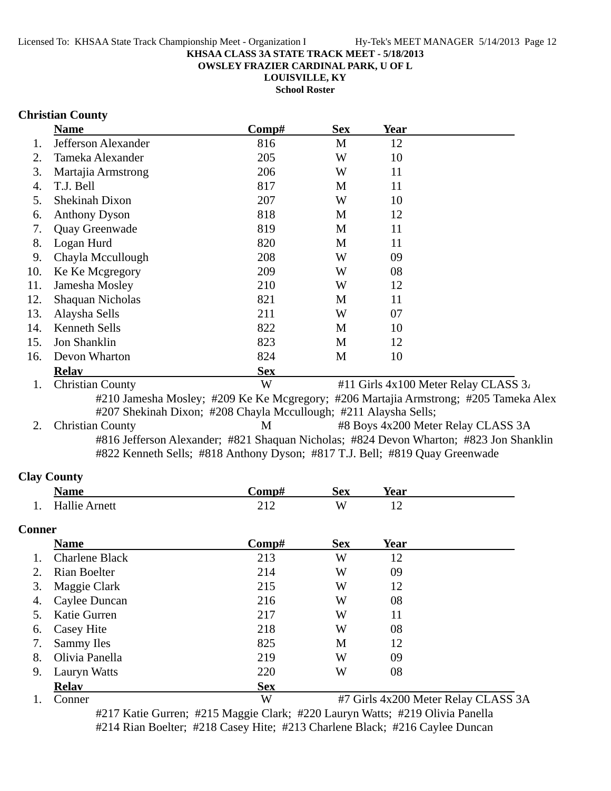**OWSLEY FRAZIER CARDINAL PARK, U OF L**

**LOUISVILLE, KY**

**School Roster**

### **Christian County**

|     | <b>Name</b>             | Comp#      | <b>Sex</b> | Year                                 |  |
|-----|-------------------------|------------|------------|--------------------------------------|--|
|     | Jefferson Alexander     | 816        | М          | 12                                   |  |
| 2.  | Tameka Alexander        | 205        | W          | 10                                   |  |
| 3.  | Martajia Armstrong      | 206        | W          | 11                                   |  |
| 4.  | T.J. Bell               | 817        | M          | 11                                   |  |
| 5.  | Shekinah Dixon          | 207        | W          | 10                                   |  |
| 6.  | <b>Anthony Dyson</b>    | 818        | M          | 12                                   |  |
| 7.  | Quay Greenwade          | 819        | M          | 11                                   |  |
| 8.  | Logan Hurd              | 820        | M          | 11                                   |  |
| 9.  | Chayla Mccullough       | 208        | W          | 09                                   |  |
| 10. | Ke Ke Mcgregory         | 209        | W          | 08                                   |  |
| 11. | Jamesha Mosley          | 210        | W          | 12                                   |  |
| 12. | Shaquan Nicholas        | 821        | M          | 11                                   |  |
| 13. | Alaysha Sells           | 211        | W          | 07                                   |  |
| 14. | <b>Kenneth Sells</b>    | 822        | M          | 10                                   |  |
| 15. | Jon Shanklin            | 823        | M          | 12                                   |  |
| 16. | Devon Wharton           | 824        | M          | 10                                   |  |
|     | <b>Relav</b>            | <b>Sex</b> |            |                                      |  |
| 1.  | <b>Christian County</b> | W          |            | #11 Girls 4x100 Meter Relay CLASS 3. |  |

#210 Jamesha Mosley; #209 Ke Ke Mcgregory; #206 Martajia Armstrong; #205 Tameka Alex #207 Shekinah Dixon; #208 Chayla Mccullough; #211 Alaysha Sells;

2. Christian County M #8 Boys 4x200 Meter Relay CLASS 3A #816 Jefferson Alexander; #821 Shaquan Nicholas; #824 Devon Wharton; #823 Jon Shanklin #822 Kenneth Sells; #818 Anthony Dyson; #817 T.J. Bell; #819 Quay Greenwade

#### **Clay County**

|               | <b>Name</b>           | Comp# | <b>Sex</b> | <b>Year</b> |  |
|---------------|-----------------------|-------|------------|-------------|--|
|               | <b>Hallie Arnett</b>  | 212   | W          | 12          |  |
| <b>Conner</b> |                       |       |            |             |  |
|               | <b>Name</b>           | Comp# | <b>Sex</b> | Year        |  |
|               | <b>Charlene Black</b> | 213   | W          | 12          |  |
| 2.            | Rian Boelter          | 214   | W          | 09          |  |
| 3.            | Maggie Clark          | 215   | W          | 12          |  |
| 4.            | Caylee Duncan         | 216   | W          | 08          |  |
| 5.            | Katie Gurren          | 217   | W          | 11          |  |
| 6.            | Casey Hite            | 218   | W          | 08          |  |
|               | Sammy Iles            | 825   | M          | 12          |  |
| 8.            | Olivia Panella        | 219   | W          | 09          |  |
| 9.            | Lauryn Watts          | 220   | W          | 08          |  |

**Relay Sex**

1. Conner W #7 Girls 4x200 Meter Relay CLASS 3A #217 Katie Gurren; #215 Maggie Clark; #220 Lauryn Watts; #219 Olivia Panella #214 Rian Boelter; #218 Casey Hite; #213 Charlene Black; #216 Caylee Duncan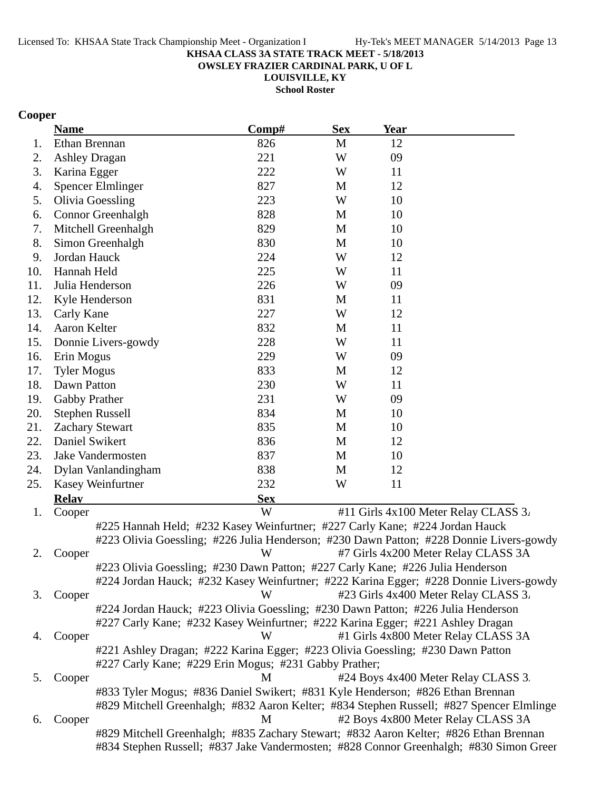**OWSLEY FRAZIER CARDINAL PARK, U OF L**

**LOUISVILLE, KY**

**School Roster**

## **Cooper**

|     | <b>Name</b>                                                                           | Comp#      | <b>Sex</b> | <b>Year</b> |                                                                                          |
|-----|---------------------------------------------------------------------------------------|------------|------------|-------------|------------------------------------------------------------------------------------------|
| 1.  | Ethan Brennan                                                                         | 826        | M          | 12          |                                                                                          |
| 2.  | <b>Ashley Dragan</b>                                                                  | 221        | W          | 09          |                                                                                          |
| 3.  | Karina Egger                                                                          | 222        | W          | 11          |                                                                                          |
| 4.  | <b>Spencer Elmlinger</b>                                                              | 827        | M          | 12          |                                                                                          |
| 5.  | <b>Olivia Goessling</b>                                                               | 223        | W          | 10          |                                                                                          |
| 6.  | Connor Greenhalgh                                                                     | 828        | M          | 10          |                                                                                          |
| 7.  | Mitchell Greenhalgh                                                                   | 829        | M          | 10          |                                                                                          |
| 8.  | Simon Greenhalgh                                                                      | 830        | M          | 10          |                                                                                          |
| 9.  | Jordan Hauck                                                                          | 224        | W          | 12          |                                                                                          |
| 10. | Hannah Held                                                                           | 225        | W          | 11          |                                                                                          |
| 11. | Julia Henderson                                                                       | 226        | W          | 09          |                                                                                          |
| 12. | Kyle Henderson                                                                        | 831        | M          | 11          |                                                                                          |
| 13. | Carly Kane                                                                            | 227        | W          | 12          |                                                                                          |
| 14. | Aaron Kelter                                                                          | 832        | M          | 11          |                                                                                          |
| 15. | Donnie Livers-gowdy                                                                   | 228        | W          | 11          |                                                                                          |
| 16. | Erin Mogus                                                                            | 229        | W          | 09          |                                                                                          |
| 17. | <b>Tyler Mogus</b>                                                                    | 833        | M          | 12          |                                                                                          |
| 18. | Dawn Patton                                                                           | 230        | W          | 11          |                                                                                          |
| 19. | Gabby Prather                                                                         | 231        | W          | 09          |                                                                                          |
| 20. | <b>Stephen Russell</b>                                                                | 834        | M          | 10          |                                                                                          |
| 21. | <b>Zachary Stewart</b>                                                                | 835        | M          | 10          |                                                                                          |
| 22. | Daniel Swikert                                                                        | 836        | M          | 12          |                                                                                          |
| 23. | Jake Vandermosten                                                                     | 837        | M          | 10          |                                                                                          |
| 24. | Dylan Vanlandingham                                                                   | 838        | M          | 12          |                                                                                          |
| 25. | Kasey Weinfurtner                                                                     | 232        | W          | 11          |                                                                                          |
|     | <b>Relay</b>                                                                          | <b>Sex</b> |            |             |                                                                                          |
| 1.  | Cooper                                                                                | W          |            |             | #11 Girls 4x100 Meter Relay CLASS 3.                                                     |
|     | #225 Hannah Held; #232 Kasey Weinfurtner; #227 Carly Kane; #224 Jordan Hauck          |            |            |             |                                                                                          |
|     |                                                                                       |            |            |             | #223 Olivia Goessling; #226 Julia Henderson; #230 Dawn Patton; #228 Donnie Livers-gowdy  |
| 2.  | Cooper                                                                                | W          |            |             | #7 Girls 4x200 Meter Relay CLASS 3A                                                      |
|     | #223 Olivia Goessling; #230 Dawn Patton; #227 Carly Kane; #226 Julia Henderson        |            |            |             |                                                                                          |
|     |                                                                                       |            |            |             | #224 Jordan Hauck; #232 Kasey Weinfurtner; #222 Karina Egger; #228 Donnie Livers-gowdy   |
| 3.  | Cooper                                                                                | W          |            |             | #23 Girls 4x400 Meter Relay CLASS 3.                                                     |
|     | #224 Jordan Hauck; #223 Olivia Goessling; #230 Dawn Patton; #226 Julia Henderson      |            |            |             |                                                                                          |
|     | #227 Carly Kane; #232 Kasey Weinfurtner; #222 Karina Egger; #221 Ashley Dragan        |            |            |             |                                                                                          |
| 4.  | Cooper                                                                                | W          |            |             | #1 Girls 4x800 Meter Relay CLASS 3A                                                      |
|     | #221 Ashley Dragan; #222 Karina Egger; #223 Olivia Goessling; #230 Dawn Patton        |            |            |             |                                                                                          |
|     | #227 Carly Kane; #229 Erin Mogus; #231 Gabby Prather;                                 |            |            |             |                                                                                          |
| 5.  | Cooper                                                                                | M          |            |             | #24 Boys 4x400 Meter Relay CLASS 3.                                                      |
|     | #833 Tyler Mogus; #836 Daniel Swikert; #831 Kyle Henderson; #826 Ethan Brennan        |            |            |             |                                                                                          |
|     |                                                                                       |            |            |             | #829 Mitchell Greenhalgh; #832 Aaron Kelter; #834 Stephen Russell; #827 Spencer Elmlinge |
| 6.  | Cooper                                                                                | M          |            |             | #2 Boys 4x800 Meter Relay CLASS 3A                                                       |
|     | #829 Mitchell Greenhalgh; #835 Zachary Stewart; #832 Aaron Kelter; #826 Ethan Brennan |            |            |             |                                                                                          |
|     |                                                                                       |            |            |             | #834 Stephen Russell; #837 Jake Vandermosten; #828 Connor Greenhalgh; #830 Simon Green   |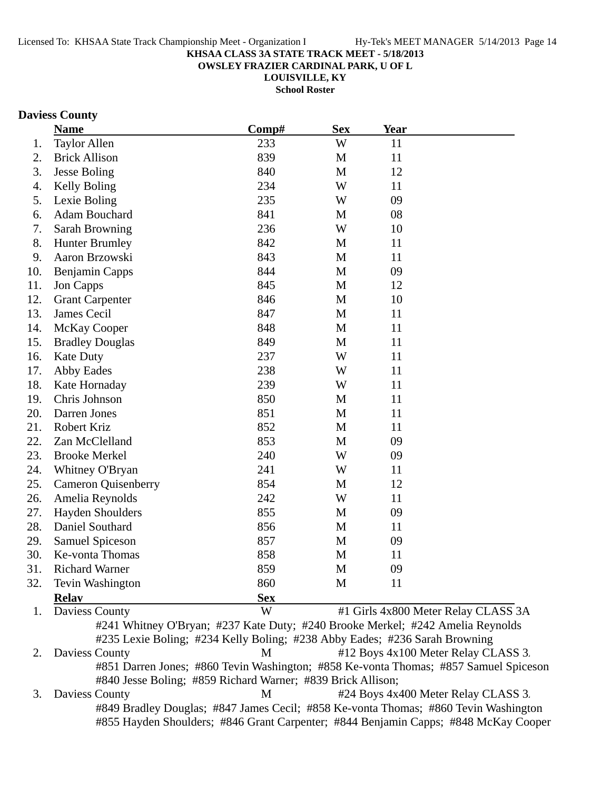**OWSLEY FRAZIER CARDINAL PARK, U OF L**

**LOUISVILLE, KY**

**School Roster**

#### **Daviess County**

|     | <b>Name</b>                | Comp#      | <b>Sex</b>   | <b>Year</b> |                                     |
|-----|----------------------------|------------|--------------|-------------|-------------------------------------|
| 1.  | <b>Taylor Allen</b>        | 233        | W            | 11          |                                     |
| 2.  | <b>Brick Allison</b>       | 839        | M            | 11          |                                     |
| 3.  | <b>Jesse Boling</b>        | 840        | M            | 12          |                                     |
| 4.  | Kelly Boling               | 234        | W            | 11          |                                     |
| 5.  | Lexie Boling               | 235        | W            | 09          |                                     |
| 6.  | Adam Bouchard              | 841        | M            | 08          |                                     |
| 7.  | <b>Sarah Browning</b>      | 236        | W            | 10          |                                     |
| 8.  | <b>Hunter Brumley</b>      | 842        | M            | 11          |                                     |
| 9.  | Aaron Brzowski             | 843        | M            | 11          |                                     |
| 10. | Benjamin Capps             | 844        | $\mathbf{M}$ | 09          |                                     |
| 11. | Jon Capps                  | 845        | M            | 12          |                                     |
| 12. | <b>Grant Carpenter</b>     | 846        | M            | 10          |                                     |
| 13. | James Cecil                | 847        | M            | 11          |                                     |
| 14. | <b>McKay Cooper</b>        | 848        | M            | 11          |                                     |
| 15. | <b>Bradley Douglas</b>     | 849        | M            | 11          |                                     |
| 16. | <b>Kate Duty</b>           | 237        | W            | 11          |                                     |
| 17. | <b>Abby Eades</b>          | 238        | W            | 11          |                                     |
| 18. | Kate Hornaday              | 239        | W            | 11          |                                     |
| 19. | Chris Johnson              | 850        | M            | 11          |                                     |
| 20. | Darren Jones               | 851        | M            | 11          |                                     |
| 21. | Robert Kriz                | 852        | M            | 11          |                                     |
| 22. | Zan McClelland             | 853        | M            | 09          |                                     |
| 23. | <b>Brooke Merkel</b>       | 240        | W            | 09          |                                     |
| 24. | Whitney O'Bryan            | 241        | W            | 11          |                                     |
| 25. | <b>Cameron Quisenberry</b> | 854        | M            | 12          |                                     |
| 26. | Amelia Reynolds            | 242        | W            | 11          |                                     |
| 27. | <b>Hayden Shoulders</b>    | 855        | M            | 09          |                                     |
| 28. | Daniel Southard            | 856        | M            | 11          |                                     |
| 29. | <b>Samuel Spiceson</b>     | 857        | M            | 09          |                                     |
| 30. | Ke-vonta Thomas            | 858        | $\mathbf M$  | 11          |                                     |
| 31. | <b>Richard Warner</b>      | 859        | M            | 09          |                                     |
| 32. | Tevin Washington           | 860        | M            | 11          |                                     |
|     | <b>Relay</b>               | <b>Sex</b> |              |             |                                     |
| 1.  | Daviess County             | W          |              |             | #1 Girls 4x800 Meter Relay CLASS 3A |

#241 Whitney O'Bryan; #237 Kate Duty; #240 Brooke Merkel; #242 Amelia Reynolds #235 Lexie Boling; #234 Kelly Boling; #238 Abby Eades; #236 Sarah Browning 2. Daviess County M #12 Boys 4x100 Meter Relay CLASS 3. #851 Darren Jones; #860 Tevin Washington; #858 Ke-vonta Thomas; #857 Samuel Spiceson #840 Jesse Boling; #859 Richard Warner; #839 Brick Allison;

3. Daviess County M #24 Boys 4x400 Meter Relay CLASS 3. #849 Bradley Douglas; #847 James Cecil; #858 Ke-vonta Thomas; #860 Tevin Washington #855 Hayden Shoulders; #846 Grant Carpenter; #844 Benjamin Capps; #848 McKay Cooper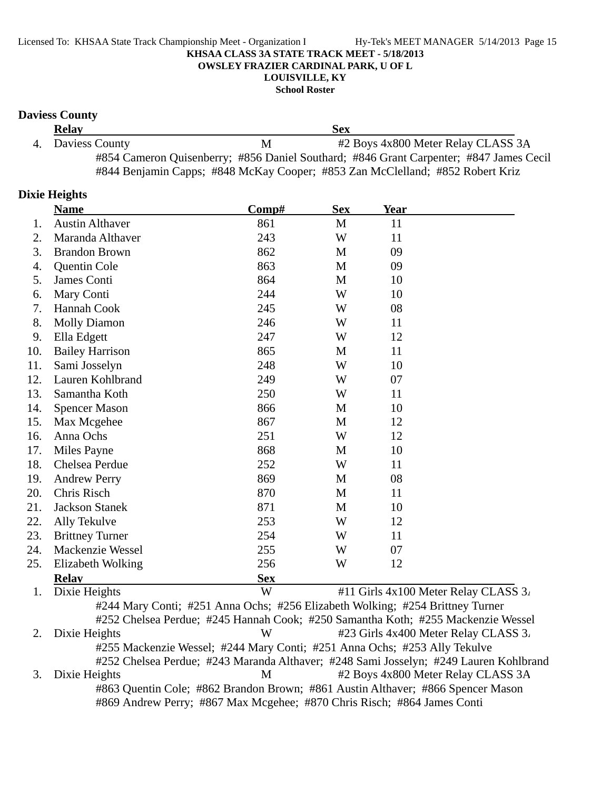#### **School Roster**

#### **Daviess County**

| <b>Relay</b>      |   | Sex                                                                                    |
|-------------------|---|----------------------------------------------------------------------------------------|
| 4. Daviess County | M | #2 Boys 4x800 Meter Relay CLASS 3A                                                     |
|                   |   | #854 Cameron Quisenberry; #856 Daniel Southard; #846 Grant Carpenter; #847 James Cecil |
|                   |   | #844 Benjamin Capps; #848 McKay Cooper; #853 Zan McClelland; #852 Robert Kriz          |

#### **Dixie Heights**

|     | <b>Name</b>             | Comp#      | <b>Sex</b> | <b>Year</b>                                                        |                                              |
|-----|-------------------------|------------|------------|--------------------------------------------------------------------|----------------------------------------------|
| 1.  | <b>Austin Althaver</b>  | 861        | M          | 11                                                                 |                                              |
| 2.  | Maranda Althaver        | 243        | W          | 11                                                                 |                                              |
| 3.  | <b>Brandon Brown</b>    | 862        | M          | 09                                                                 |                                              |
| 4.  | Quentin Cole            | 863        | M          | 09                                                                 |                                              |
| 5.  | James Conti             | 864        | M          | 10                                                                 |                                              |
| 6.  | Mary Conti              | 244        | W          | 10                                                                 |                                              |
| 7.  | Hannah Cook             | 245        | W          | 08                                                                 |                                              |
| 8.  | <b>Molly Diamon</b>     | 246        | W          | 11                                                                 |                                              |
| 9.  | Ella Edgett             | 247        | W          | 12                                                                 |                                              |
| 10. | <b>Bailey Harrison</b>  | 865        | M          | 11                                                                 |                                              |
| 11. | Sami Josselyn           | 248        | W          | 10                                                                 |                                              |
| 12. | Lauren Kohlbrand        | 249        | W          | 07                                                                 |                                              |
| 13. | Samantha Koth           | 250        | W          | 11                                                                 |                                              |
| 14. | <b>Spencer Mason</b>    | 866        | M          | 10                                                                 |                                              |
| 15. | Max Mcgehee             | 867        | M          | 12                                                                 |                                              |
| 16. | Anna Ochs               | 251        | W          | 12                                                                 |                                              |
| 17. | Miles Payne             | 868        | M          | 10                                                                 |                                              |
| 18. | Chelsea Perdue          | 252        | W          | 11                                                                 |                                              |
| 19. | <b>Andrew Perry</b>     | 869        | M          | 08                                                                 |                                              |
| 20. | Chris Risch             | 870        | M          | 11                                                                 |                                              |
| 21. | <b>Jackson Stanek</b>   | 871        | M          | 10                                                                 |                                              |
| 22. | Ally Tekulve            | 253        | W          | 12                                                                 |                                              |
| 23. | <b>Brittney Turner</b>  | 254        | W          | 11                                                                 |                                              |
| 24. | Mackenzie Wessel        | 255        | W          | 07                                                                 |                                              |
| 25. | Elizabeth Wolking       | 256        | W          | 12                                                                 |                                              |
|     | <b>Relay</b>            | <b>Sex</b> |            |                                                                    |                                              |
|     | $D^* = 1$ . II. $1.1.1$ | <b>TTT</b> |            | $\mu$ 11 $\Omega$ $\sim$ 1. $\mu$ $\sim$ 100 M $\mu$ $\sim$ $\sim$ | $\overline{C}$ $\overline{C}$<br>$D - 1 = -$ |

1. Dixie Heights  $\mathbb{W}$  #11 Girls 4x100 Meter Relay CLASS 3. #244 Mary Conti; #251 Anna Ochs; #256 Elizabeth Wolking; #254 Brittney Turner #252 Chelsea Perdue; #245 Hannah Cook; #250 Samantha Koth; #255 Mackenzie Wessel 2. Dixie Heights W #23 Girls 4x400 Meter Relay CLASS 3. #255 Mackenzie Wessel; #244 Mary Conti; #251 Anna Ochs; #253 Ally Tekulve #252 Chelsea Perdue; #243 Maranda Althaver; #248 Sami Josselyn; #249 Lauren Kohlbrand 3. Dixie Heights M #2 Boys 4x800 Meter Relay CLASS 3A #863 Quentin Cole; #862 Brandon Brown; #861 Austin Althaver; #866 Spencer Mason #869 Andrew Perry; #867 Max Mcgehee; #870 Chris Risch; #864 James Conti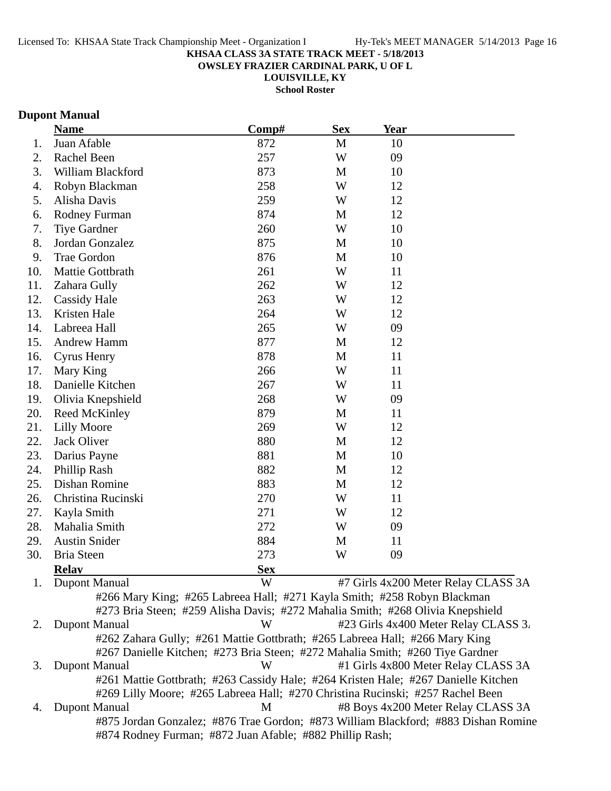**OWSLEY FRAZIER CARDINAL PARK, U OF L**

**LOUISVILLE, KY**

**School Roster**

### **Dupont Manual**

|     | <b>Name</b>          | Comp#                                                                          | <b>Sex</b> | Year |                                      |
|-----|----------------------|--------------------------------------------------------------------------------|------------|------|--------------------------------------|
| 1.  | Juan Afable          | 872                                                                            | M          | 10   |                                      |
| 2.  | Rachel Been          | 257                                                                            | W          | 09   |                                      |
| 3.  | William Blackford    | 873                                                                            | M          | 10   |                                      |
| 4.  | Robyn Blackman       | 258                                                                            | W          | 12   |                                      |
| 5.  | Alisha Davis         | 259                                                                            | W          | 12   |                                      |
| 6.  | <b>Rodney Furman</b> | 874                                                                            | M          | 12   |                                      |
| 7.  | <b>Tiye Gardner</b>  | 260                                                                            | W          | 10   |                                      |
| 8.  | Jordan Gonzalez      | 875                                                                            | M          | 10   |                                      |
| 9.  | <b>Trae Gordon</b>   | 876                                                                            | M          | 10   |                                      |
| 10. | Mattie Gottbrath     | 261                                                                            | W          | 11   |                                      |
| 11. | Zahara Gully         | 262                                                                            | W          | 12   |                                      |
| 12. | <b>Cassidy Hale</b>  | 263                                                                            | W          | 12   |                                      |
| 13. | Kristen Hale         | 264                                                                            | W          | 12   |                                      |
| 14. | Labreea Hall         | 265                                                                            | W          | 09   |                                      |
| 15. | <b>Andrew Hamm</b>   | 877                                                                            | M          | 12   |                                      |
| 16. | <b>Cyrus Henry</b>   | 878                                                                            | M          | 11   |                                      |
| 17. | Mary King            | 266                                                                            | W          | 11   |                                      |
| 18. | Danielle Kitchen     | 267                                                                            | W          | 11   |                                      |
| 19. | Olivia Knepshield    | 268                                                                            | W          | 09   |                                      |
| 20. | <b>Reed McKinley</b> | 879                                                                            | M          | 11   |                                      |
| 21. | <b>Lilly Moore</b>   | 269                                                                            | W          | 12   |                                      |
| 22. | Jack Oliver          | 880                                                                            | M          | 12   |                                      |
| 23. | Darius Payne         | 881                                                                            | M          | 10   |                                      |
| 24. | Phillip Rash         | 882                                                                            | M          | 12   |                                      |
| 25. | Dishan Romine        | 883                                                                            | M          | 12   |                                      |
| 26. | Christina Rucinski   | 270                                                                            | W          | 11   |                                      |
| 27. | Kayla Smith          | 271                                                                            | W          | 12   |                                      |
| 28. | Mahalia Smith        | 272                                                                            | W          | 09   |                                      |
| 29. | <b>Austin Snider</b> | 884                                                                            | M          | 11   |                                      |
| 30. | <b>Bria Steen</b>    | 273                                                                            | W          | 09   |                                      |
|     | <b>Relav</b>         | <b>Sex</b>                                                                     |            |      |                                      |
| 1.  | Dupont Manual        | W                                                                              |            |      | #7 Girls 4x200 Meter Relay CLASS 3A  |
|     |                      | #266 Mary King; #265 Labreea Hall; #271 Kayla Smith; #258 Robyn Blackman       |            |      |                                      |
|     |                      | #273 Bria Steen; #259 Alisha Davis; #272 Mahalia Smith; #268 Olivia Knepshield |            |      |                                      |
| 2.  | Dupont Manual        | W                                                                              |            |      | #23 Girls 4x400 Meter Relay CLASS 3. |
|     |                      | #262 Zahara Gully; #261 Mattie Gottbrath; #265 Labreea Hall; #266 Mary King    |            |      |                                      |
|     |                      | #267 Danielle Kitchen; #273 Bria Steen; #272 Mahalia Smith; #260 Tiye Gardner  |            |      |                                      |

3. Dupont Manual W #1 Girls 4x800 Meter Relay CLASS 3A #261 Mattie Gottbrath; #263 Cassidy Hale; #264 Kristen Hale; #267 Danielle Kitchen #269 Lilly Moore; #265 Labreea Hall; #270 Christina Rucinski; #257 Rachel Been 4. Dupont Manual 1 1 M 48 Boys 4x200 Meter Relay CLASS 3A #875 Jordan Gonzalez; #876 Trae Gordon; #873 William Blackford; #883 Dishan Romine

#874 Rodney Furman; #872 Juan Afable; #882 Phillip Rash;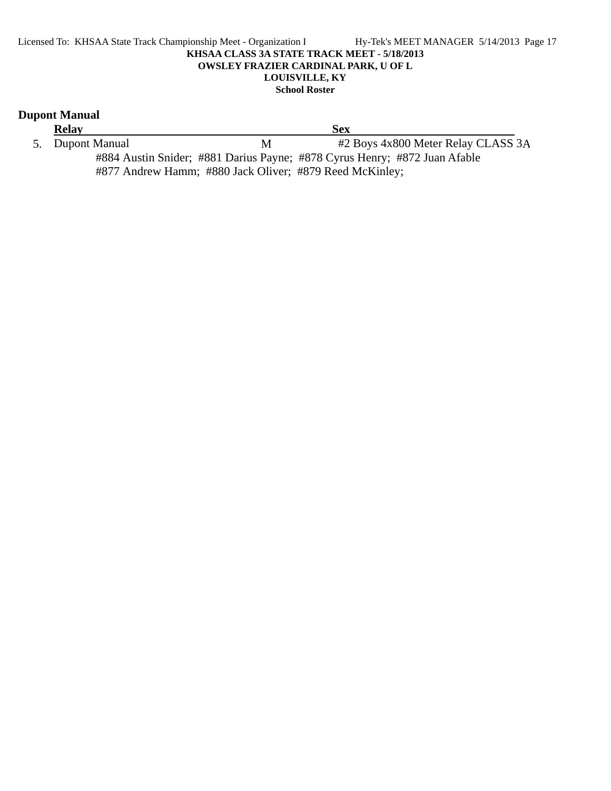#### Licensed To: KHSAA State Track Championship Meet - Organization I Hy-Tek's MEET MANAGER 5/14/2013 Page 17 **KHSAA CLASS 3A STATE TRACK MEET - 5/18/2013 OWSLEY FRAZIER CARDINAL PARK, U OF L LOUISVILLE, KY School Roster**

### **Dupont Manual**

**Relay**<br>
5. Dupont Manual M  $\overline{M}$   $\overline{H2}$ M #2 Boys 4x800 Meter Relay CLASS 3A #884 Austin Snider; #881 Darius Payne; #878 Cyrus Henry; #872 Juan Afable #877 Andrew Hamm; #880 Jack Oliver; #879 Reed McKinley;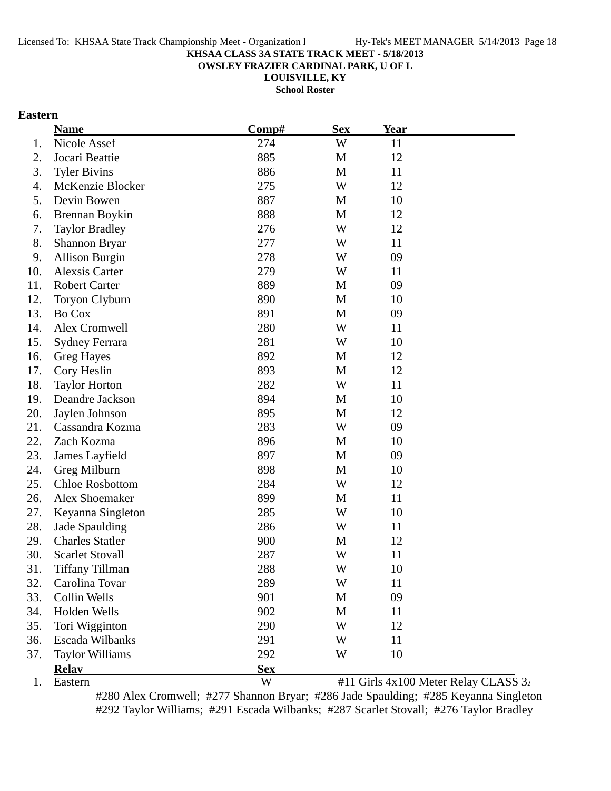**OWSLEY FRAZIER CARDINAL PARK, U OF L**

**LOUISVILLE, KY**

**School Roster**

### **Eastern**

|     | <b>Name</b>            | Comp#      | <b>Sex</b> | <b>Year</b> |                                      |
|-----|------------------------|------------|------------|-------------|--------------------------------------|
| 1.  | Nicole Assef           | 274        | W          | 11          |                                      |
| 2.  | Jocari Beattie         | 885        | M          | 12          |                                      |
| 3.  | <b>Tyler Bivins</b>    | 886        | M          | 11          |                                      |
| 4.  | McKenzie Blocker       | 275        | W          | 12          |                                      |
| 5.  | Devin Bowen            | 887        | M          | 10          |                                      |
| 6.  | Brennan Boykin         | 888        | M          | 12          |                                      |
| 7.  | <b>Taylor Bradley</b>  | 276        | W          | 12          |                                      |
| 8.  | Shannon Bryar          | 277        | W          | 11          |                                      |
| 9.  | <b>Allison Burgin</b>  | 278        | W          | 09          |                                      |
| 10. | <b>Alexsis Carter</b>  | 279        | W          | 11          |                                      |
| 11. | <b>Robert Carter</b>   | 889        | M          | 09          |                                      |
| 12. | Toryon Clyburn         | 890        | M          | 10          |                                      |
| 13. | Bo Cox                 | 891        | M          | 09          |                                      |
| 14. | Alex Cromwell          | 280        | W          | 11          |                                      |
| 15. | <b>Sydney Ferrara</b>  | 281        | W          | 10          |                                      |
| 16. | <b>Greg Hayes</b>      | 892        | M          | 12          |                                      |
| 17. | Cory Heslin            | 893        | M          | 12          |                                      |
| 18. | <b>Taylor Horton</b>   | 282        | W          | 11          |                                      |
| 19. | Deandre Jackson        | 894        | M          | 10          |                                      |
| 20. | Jaylen Johnson         | 895        | M          | 12          |                                      |
| 21. | Cassandra Kozma        | 283        | W          | 09          |                                      |
| 22. | Zach Kozma             | 896        | M          | 10          |                                      |
| 23. | James Layfield         | 897        | M          | 09          |                                      |
| 24. | Greg Milburn           | 898        | M          | 10          |                                      |
| 25. | <b>Chloe Rosbottom</b> | 284        | W          | 12          |                                      |
| 26. | Alex Shoemaker         | 899        | M          | 11          |                                      |
| 27. | Keyanna Singleton      | 285        | W          | 10          |                                      |
| 28. | Jade Spaulding         | 286        | W          | 11          |                                      |
| 29. | <b>Charles Statler</b> | 900        | M          | 12          |                                      |
| 30. | <b>Scarlet Stovall</b> | 287        | W          | 11          |                                      |
| 31. | <b>Tiffany Tillman</b> | 288        | W          | 10          |                                      |
| 32. | Carolina Tovar         | 289        | W          | 11          |                                      |
| 33. | Collin Wells           | 901        | M          | 09          |                                      |
| 34. | Holden Wells           | 902        | M          | 11          |                                      |
| 35. | Tori Wigginton         | 290        | W          | 12          |                                      |
| 36. | Escada Wilbanks        | 291        | W          | 11          |                                      |
| 37. | <b>Taylor Williams</b> | 292        | W          | 10          |                                      |
|     | <b>Relay</b>           | <b>Sex</b> |            |             |                                      |
| 1.  | Eastern                | W          |            |             | #11 Girls 4x100 Meter Relay CLASS 3. |

#280 Alex Cromwell; #277 Shannon Bryar; #286 Jade Spaulding; #285 Keyanna Singleton #292 Taylor Williams; #291 Escada Wilbanks; #287 Scarlet Stovall; #276 Taylor Bradley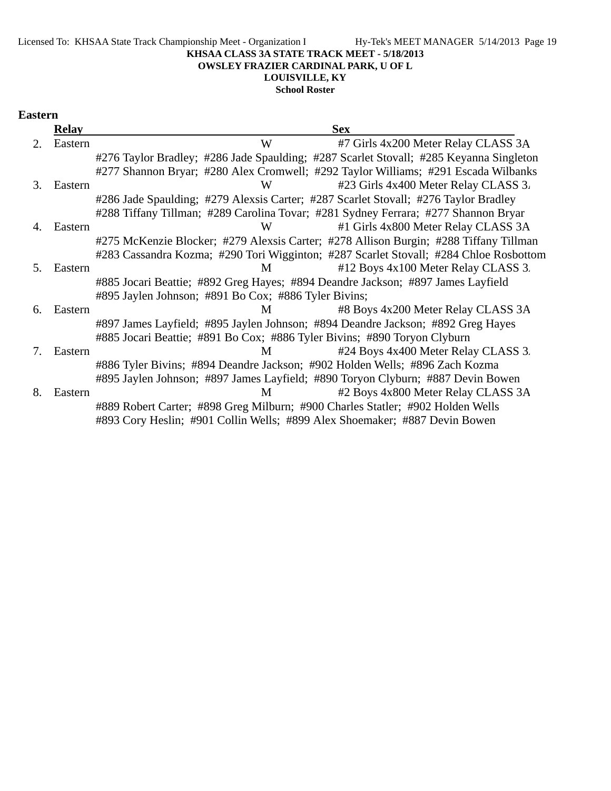## **LOUISVILLE, KY**

**School Roster**

#### **Eastern**

|    | <b>Relay</b> | <b>Sex</b>                                                                             |
|----|--------------|----------------------------------------------------------------------------------------|
| 2. | Eastern      | #7 Girls 4x200 Meter Relay CLASS 3A<br>W                                               |
|    |              | #276 Taylor Bradley; #286 Jade Spaulding; #287 Scarlet Stovall; #285 Keyanna Singleton |
|    |              | #277 Shannon Bryar; #280 Alex Cromwell; #292 Taylor Williams; #291 Escada Wilbanks     |
| 3. | Eastern      | W<br>#23 Girls 4x400 Meter Relay CLASS 3.                                              |
|    |              | #286 Jade Spaulding; #279 Alexsis Carter; #287 Scarlet Stovall; #276 Taylor Bradley    |
|    |              | #288 Tiffany Tillman; #289 Carolina Tovar; #281 Sydney Ferrara; #277 Shannon Bryar     |
| 4. | Eastern      | #1 Girls 4x800 Meter Relay CLASS 3A<br>W                                               |
|    |              | #275 McKenzie Blocker; #279 Alexsis Carter; #278 Allison Burgin; #288 Tiffany Tillman  |
|    |              | #283 Cassandra Kozma; #290 Tori Wigginton; #287 Scarlet Stovall; #284 Chloe Rosbottom  |
| 5. | Eastern      | #12 Boys 4x100 Meter Relay CLASS 3.<br>M                                               |
|    |              | #885 Jocari Beattie; #892 Greg Hayes; #894 Deandre Jackson; #897 James Layfield        |
|    |              | #895 Jaylen Johnson; #891 Bo Cox; #886 Tyler Bivins;                                   |
| 6. | Eastern      | #8 Boys 4x200 Meter Relay CLASS 3A<br>M                                                |
|    |              | #897 James Layfield; #895 Jaylen Johnson; #894 Deandre Jackson; #892 Greg Hayes        |
|    |              | #885 Jocari Beattie; #891 Bo Cox; #886 Tyler Bivins; #890 Toryon Clyburn               |
| 7. | Eastern      | #24 Boys 4x400 Meter Relay CLASS 3.<br>M                                               |
|    |              | #886 Tyler Bivins; #894 Deandre Jackson; #902 Holden Wells; #896 Zach Kozma            |
|    |              | #895 Jaylen Johnson; #897 James Layfield; #890 Toryon Clyburn; #887 Devin Bowen        |
| 8. | Eastern      | #2 Boys 4x800 Meter Relay CLASS 3A<br>M                                                |
|    |              | #889 Robert Carter; #898 Greg Milburn; #900 Charles Statler; #902 Holden Wells         |
|    |              | #893 Cory Heslin; #901 Collin Wells; #899 Alex Shoemaker; #887 Devin Bowen             |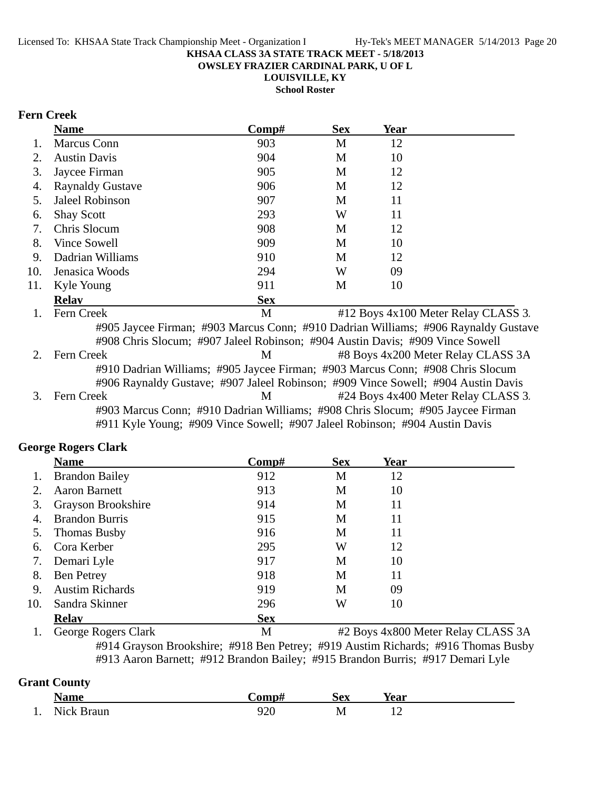**OWSLEY FRAZIER CARDINAL PARK, U OF L**

**LOUISVILLE, KY**

**School Roster**

### **Fern Creek**

|     | <b>Name</b>                                                                        | Comp#      | <b>Sex</b> | <b>Year</b> |                                     |
|-----|------------------------------------------------------------------------------------|------------|------------|-------------|-------------------------------------|
| 1.  | <b>Marcus Conn</b>                                                                 | 903        | M          | 12          |                                     |
| 2.  | <b>Austin Davis</b>                                                                | 904        | M          | 10          |                                     |
| 3.  | Jaycee Firman                                                                      | 905        | M          | 12          |                                     |
| 4.  | <b>Raynaldy Gustave</b>                                                            | 906        | M          | 12          |                                     |
| 5.  | Jaleel Robinson                                                                    | 907        | M          | 11          |                                     |
| 6.  | <b>Shay Scott</b>                                                                  | 293        | W          | 11          |                                     |
| 7.  | Chris Slocum                                                                       | 908        | М          | 12          |                                     |
| 8.  | Vince Sowell                                                                       | 909        | М          | 10          |                                     |
| 9.  | Dadrian Williams                                                                   | 910        | M          | 12          |                                     |
| 10. | Jenasica Woods                                                                     | 294        | W          | 09          |                                     |
| 11. | Kyle Young                                                                         | 911        | M          | 10          |                                     |
|     | <b>Relay</b>                                                                       | <b>Sex</b> |            |             |                                     |
| 1.  | Fern Creek                                                                         | M          |            |             | #12 Boys 4x100 Meter Relay CLASS 3. |
|     | #905 Jaycee Firman; #903 Marcus Conn; #910 Dadrian Williams; #906 Raynaldy Gustave |            |            |             |                                     |
|     | #908 Chris Slocum; #907 Jaleel Robinson; #904 Austin Davis; #909 Vince Sowell      |            |            |             |                                     |
| 2.  | Fern Creek                                                                         | M          |            |             | #8 Boys 4x200 Meter Relay CLASS 3A  |
|     | #910 Dadrian Williams; #905 Jaycee Firman; #903 Marcus Conn; #908 Chris Slocum     |            |            |             |                                     |
|     | #906 Raynaldy Gustave; #907 Jaleel Robinson; #909 Vince Sowell; #904 Austin Davis  |            |            |             |                                     |
| 3.  | Fern Creek                                                                         | M          |            |             | #24 Boys 4x400 Meter Relay CLASS 3. |
|     | #903 Marcus Conn; #910 Dadrian Williams; #908 Chris Slocum; #905 Jaycee Firman     |            |            |             |                                     |
|     | #911 Kyle Young; #909 Vince Sowell; #907 Jaleel Robinson; #904 Austin Davis        |            |            |             |                                     |

### **George Rogers Clark**

|                | <b>Name</b>            | Comp#      | <b>Sex</b> | Year |  |
|----------------|------------------------|------------|------------|------|--|
| $\mathbf{1}$ . | <b>Brandon Bailey</b>  | 912        | M          | 12   |  |
| 2.             | <b>Aaron Barnett</b>   | 913        | M          | 10   |  |
| 3.             | Grayson Brookshire     | 914        | M          | 11   |  |
| 4.             | <b>Brandon Burris</b>  | 915        | M          | 11   |  |
|                | 5. Thomas Busby        | 916        | M          | 11   |  |
| 6.             | Cora Kerber            | 295        | W          | 12   |  |
| 7.             | Demari Lyle            | 917        | M          | 10   |  |
| 8.             | <b>Ben Petrey</b>      | 918        | M          | 11   |  |
| 9.             | <b>Austim Richards</b> | 919        | M          | 09   |  |
| 10.            | Sandra Skinner         | 296        | W          | 10   |  |
|                | Relav                  | <b>Sex</b> |            |      |  |

1. George Rogers Clark M #2 Boys 4x800 Meter Relay CLASS 3A #914 Grayson Brookshire; #918 Ben Petrey; #919 Austim Richards; #916 Thomas Busby #913 Aaron Barnett; #912 Brandon Bailey; #915 Brandon Burris; #917 Demari Lyle

### **Grant County**

|     | √ame                       | 'omn                | ïΩV<br>DСА | --<br>Year               |
|-----|----------------------------|---------------------|------------|--------------------------|
| . . | N <sub>10</sub> k<br>้ ในท | $\sim$<br>ั∠∪<br>__ | M          | $\overline{\phantom{0}}$ |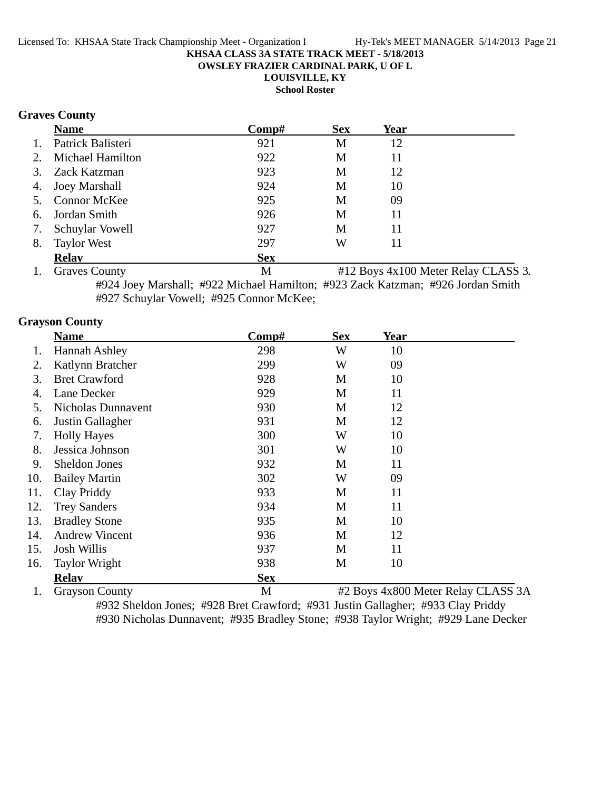**OWSLEY FRAZIER CARDINAL PARK, U OF L**

**LOUISVILLE, KY**

**School Roster**

### **Graves County**

|    | <b>Name</b>         | Comp#      | <b>Sex</b> | <b>Year</b> |  |
|----|---------------------|------------|------------|-------------|--|
| 1. | Patrick Balisteri   | 921        | M          | 12          |  |
|    | 2. Michael Hamilton | 922        | M          | 11          |  |
|    | 3. Zack Katzman     | 923        | М          | 12          |  |
|    | 4. Joey Marshall    | 924        | M          | 10          |  |
|    | 5. Connor McKee     | 925        | M          | 09          |  |
|    | 6. Jordan Smith     | 926        | M          | 11          |  |
| 7. | Schuylar Vowell     | 927        | М          | 11          |  |
| 8. | <b>Taylor West</b>  | 297        | W          | 11          |  |
|    | <b>Relay</b>        | <b>Sex</b> |            |             |  |

1. Graves County 1. Graves County 1. Graves County 1. Graves County #924 Joey Marshall; #922 Michael Hamilton; #923 Zack Katzman; #926 Jordan Smith #927 Schuylar Vowell; #925 Connor McKee;

#### **Grayson County**

|     | <b>Name</b>           | $\bf Comp\#$ | <b>Sex</b> | Year |                                    |
|-----|-----------------------|--------------|------------|------|------------------------------------|
|     | Hannah Ashley         | 298          | W          | 10   |                                    |
| 2.  | Katlynn Bratcher      | 299          | W          | 09   |                                    |
| 3.  | <b>Bret Crawford</b>  | 928          | M          | 10   |                                    |
| 4.  | Lane Decker           | 929          | M          | 11   |                                    |
| 5.  | Nicholas Dunnavent    | 930          | M          | 12   |                                    |
| 6.  | Justin Gallagher      | 931          | M          | 12   |                                    |
| 7.  | <b>Holly Hayes</b>    | 300          | W          | 10   |                                    |
| 8.  | Jessica Johnson       | 301          | W          | 10   |                                    |
| 9.  | <b>Sheldon Jones</b>  | 932          | M          | 11   |                                    |
| 10. | <b>Bailey Martin</b>  | 302          | W          | 09   |                                    |
| 11. | Clay Priddy           | 933          | M          | 11   |                                    |
| 12. | <b>Trey Sanders</b>   | 934          | M          | 11   |                                    |
| 13. | <b>Bradley Stone</b>  | 935          | M          | 10   |                                    |
| 14. | <b>Andrew Vincent</b> | 936          | M          | 12   |                                    |
| 15. | <b>Josh Willis</b>    | 937          | M          | 11   |                                    |
| 16. | <b>Taylor Wright</b>  | 938          | M          | 10   |                                    |
|     | <b>Relav</b>          | <b>Sex</b>   |            |      |                                    |
| 1.  | <b>Grayson County</b> | M            |            |      | #2 Boys 4x800 Meter Relay CLASS 3A |

#932 Sheldon Jones; #928 Bret Crawford; #931 Justin Gallagher; #933 Clay Priddy #930 Nicholas Dunnavent; #935 Bradley Stone; #938 Taylor Wright; #929 Lane Decker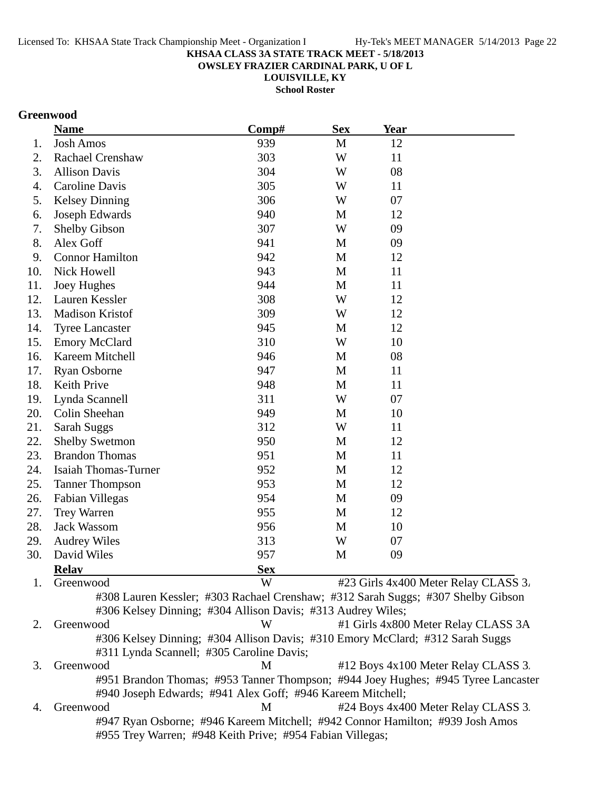**OWSLEY FRAZIER CARDINAL PARK, U OF L**

**LOUISVILLE, KY**

**School Roster**

### **Greenwood**

|     | <b>Name</b>                                                                       | Comp#      | <b>Sex</b>  | Year |                                      |
|-----|-----------------------------------------------------------------------------------|------------|-------------|------|--------------------------------------|
| 1.  | <b>Josh Amos</b>                                                                  | 939        | M           | 12   |                                      |
| 2.  | <b>Rachael Crenshaw</b>                                                           | 303        | W           | 11   |                                      |
| 3.  | <b>Allison Davis</b>                                                              | 304        | W           | 08   |                                      |
| 4.  | Caroline Davis                                                                    | 305        | W           | 11   |                                      |
| 5.  | <b>Kelsey Dinning</b>                                                             | 306        | W           | 07   |                                      |
| 6.  | Joseph Edwards                                                                    | 940        | M           | 12   |                                      |
| 7.  | <b>Shelby Gibson</b>                                                              | 307        | W           | 09   |                                      |
| 8.  | Alex Goff                                                                         | 941        | M           | 09   |                                      |
| 9.  | <b>Connor Hamilton</b>                                                            | 942        | M           | 12   |                                      |
| 10. | Nick Howell                                                                       | 943        | M           | 11   |                                      |
| 11. | Joey Hughes                                                                       | 944        | M           | 11   |                                      |
| 12. | Lauren Kessler                                                                    | 308        | W           | 12   |                                      |
| 13. | Madison Kristof                                                                   | 309        | W           | 12   |                                      |
| 14. | <b>Tyree Lancaster</b>                                                            | 945        | M           | 12   |                                      |
| 15. | <b>Emory McClard</b>                                                              | 310        | W           | 10   |                                      |
| 16. | Kareem Mitchell                                                                   | 946        | M           | 08   |                                      |
| 17. | <b>Ryan Osborne</b>                                                               | 947        | M           | 11   |                                      |
| 18. | Keith Prive                                                                       | 948        | M           | 11   |                                      |
| 19. | Lynda Scannell                                                                    | 311        | W           | 07   |                                      |
| 20. | Colin Sheehan                                                                     | 949        | M           | 10   |                                      |
| 21. | Sarah Suggs                                                                       | 312        | W           | 11   |                                      |
| 22. | <b>Shelby Swetmon</b>                                                             | 950        | M           | 12   |                                      |
| 23. | <b>Brandon Thomas</b>                                                             | 951        | M           | 11   |                                      |
| 24. | <b>Isaiah Thomas-Turner</b>                                                       | 952        | $\mathbf M$ | 12   |                                      |
| 25. | <b>Tanner Thompson</b>                                                            | 953        | M           | 12   |                                      |
| 26. | Fabian Villegas                                                                   | 954        | M           | 09   |                                      |
| 27. | <b>Trey Warren</b>                                                                | 955        | M           | 12   |                                      |
| 28. | <b>Jack Wassom</b>                                                                | 956        | M           | 10   |                                      |
| 29. | <b>Audrey Wiles</b>                                                               | 313        | W           | 07   |                                      |
| 30. | David Wiles                                                                       | 957        | M           | 09   |                                      |
|     | <b>Relay</b>                                                                      | <b>Sex</b> |             |      |                                      |
| 1.  | Greenwood                                                                         | W          |             |      | #23 Girls 4x400 Meter Relay CLASS 3. |
|     | #308 Lauren Kessler; #303 Rachael Crenshaw; #312 Sarah Suggs; #307 Shelby Gibson  |            |             |      |                                      |
|     | #306 Kelsey Dinning; #304 Allison Davis; #313 Audrey Wiles;                       |            |             |      |                                      |
| 2.  | Greenwood                                                                         | W          |             |      | #1 Girls 4x800 Meter Relay CLASS 3A  |
|     | #306 Kelsey Dinning; #304 Allison Davis; #310 Emory McClard; #312 Sarah Suggs     |            |             |      |                                      |
|     | #311 Lynda Scannell; #305 Caroline Davis;                                         |            |             |      |                                      |
| 3.  | Greenwood                                                                         | М          |             |      | #12 Boys 4x100 Meter Relay CLASS 3.  |
|     | #951 Brandon Thomas; #953 Tanner Thompson; #944 Joey Hughes; #945 Tyree Lancaster |            |             |      |                                      |
|     | #940 Joseph Edwards; #941 Alex Goff; #946 Kareem Mitchell;                        |            |             |      |                                      |

4. Greenwood M #24 Boys 4x400 Meter Relay CLASS 3. #947 Ryan Osborne; #946 Kareem Mitchell; #942 Connor Hamilton; #939 Josh Amos #955 Trey Warren; #948 Keith Prive; #954 Fabian Villegas;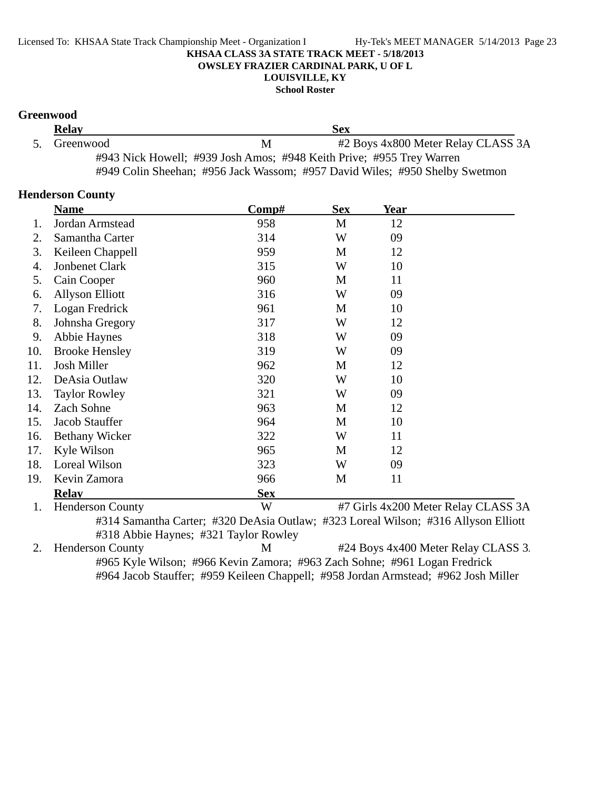**School Roster**

### **Greenwood**

| <b>Relay</b> | Sex                                                                  |                                                                             |  |
|--------------|----------------------------------------------------------------------|-----------------------------------------------------------------------------|--|
| 5. Greenwood | M                                                                    | #2 Boys 4x800 Meter Relay CLASS 3A                                          |  |
|              | #943 Nick Howell; #939 Josh Amos; #948 Keith Prive; #955 Trey Warren |                                                                             |  |
|              |                                                                      | #949 Colin Sheehan; #956 Jack Wassom; #957 David Wiles; #950 Shelby Swetmon |  |

#### **Henderson County**

|     | <b>Name</b>             | Comp#      | <b>Sex</b> | Year |                                     |
|-----|-------------------------|------------|------------|------|-------------------------------------|
| 1.  | Jordan Armstead         | 958        | M          | 12   |                                     |
| 2.  | Samantha Carter         | 314        | W          | 09   |                                     |
| 3.  | Keileen Chappell        | 959        | M          | 12   |                                     |
| 4.  | <b>Jonbenet Clark</b>   | 315        | W          | 10   |                                     |
| 5.  | Cain Cooper             | 960        | M          | 11   |                                     |
| 6.  | <b>Allyson Elliott</b>  | 316        | W          | 09   |                                     |
| 7.  | Logan Fredrick          | 961        | M          | 10   |                                     |
| 8.  | Johnsha Gregory         | 317        | W          | 12   |                                     |
| 9.  | Abbie Haynes            | 318        | W          | 09   |                                     |
| 10. | <b>Brooke Hensley</b>   | 319        | W          | 09   |                                     |
| 11. | Josh Miller             | 962        | M          | 12   |                                     |
| 12. | DeAsia Outlaw           | 320        | W          | 10   |                                     |
| 13. | <b>Taylor Rowley</b>    | 321        | W          | 09   |                                     |
| 14. | Zach Sohne              | 963        | М          | 12   |                                     |
| 15. | Jacob Stauffer          | 964        | M          | 10   |                                     |
| 16. | <b>Bethany Wicker</b>   | 322        | W          | 11   |                                     |
| 17. | Kyle Wilson             | 965        | M          | 12   |                                     |
| 18. | Loreal Wilson           | 323        | W          | 09   |                                     |
| 19. | Kevin Zamora            | 966        | M          | 11   |                                     |
|     | <b>Relav</b>            | <b>Sex</b> |            |      |                                     |
| 1.  | <b>Henderson County</b> | W          |            |      | #7 Girls 4x200 Meter Relay CLASS 3A |
|     |                         |            |            |      |                                     |

#314 Samantha Carter; #320 DeAsia Outlaw; #323 Loreal Wilson; #316 Allyson Elliott

#318 Abbie Haynes; #321 Taylor Rowley<br>2. Henderson County M M #24 Boys 4x400 Meter Relay CLASS 3. #965 Kyle Wilson; #966 Kevin Zamora; #963 Zach Sohne; #961 Logan Fredrick #964 Jacob Stauffer; #959 Keileen Chappell; #958 Jordan Armstead; #962 Josh Miller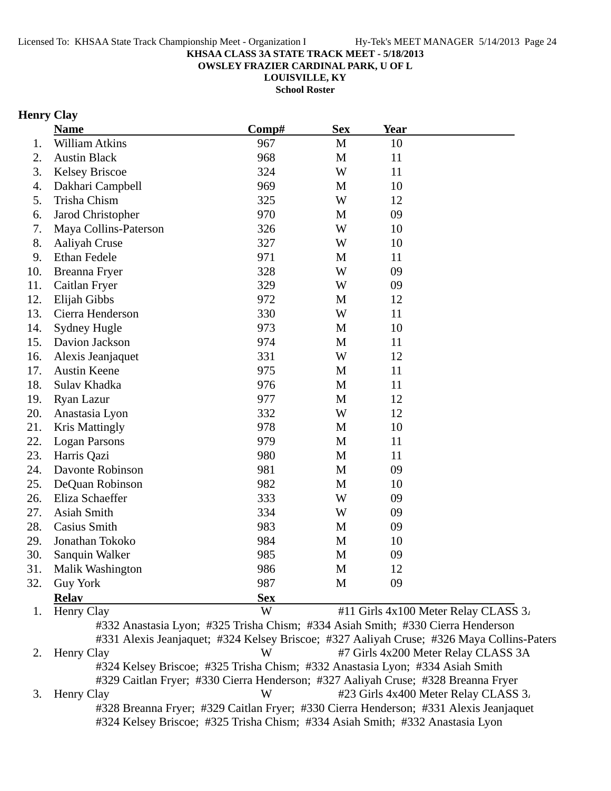**OWSLEY FRAZIER CARDINAL PARK, U OF L**

**LOUISVILLE, KY**

**School Roster**

### **Henry Clay**

|     | <b>Name</b>                                                                     | Comp#      | <b>Sex</b>  | <b>Year</b> |                                                                                           |
|-----|---------------------------------------------------------------------------------|------------|-------------|-------------|-------------------------------------------------------------------------------------------|
| 1.  | <b>William Atkins</b>                                                           | 967        | M           | 10          |                                                                                           |
| 2.  | <b>Austin Black</b>                                                             | 968        | M           | 11          |                                                                                           |
| 3.  | <b>Kelsey Briscoe</b>                                                           | 324        | W           | 11          |                                                                                           |
| 4.  | Dakhari Campbell                                                                | 969        | M           | 10          |                                                                                           |
| 5.  | Trisha Chism                                                                    | 325        | W           | 12          |                                                                                           |
| 6.  | Jarod Christopher                                                               | 970        | M           | 09          |                                                                                           |
| 7.  | Maya Collins-Paterson                                                           | 326        | W           | 10          |                                                                                           |
| 8.  | Aaliyah Cruse                                                                   | 327        | W           | 10          |                                                                                           |
| 9.  | <b>Ethan Fedele</b>                                                             | 971        | M           | 11          |                                                                                           |
| 10. | Breanna Fryer                                                                   | 328        | W           | 09          |                                                                                           |
| 11. | Caitlan Fryer                                                                   | 329        | W           | 09          |                                                                                           |
| 12. | Elijah Gibbs                                                                    | 972        | M           | 12          |                                                                                           |
| 13. | Cierra Henderson                                                                | 330        | W           | 11          |                                                                                           |
| 14. | <b>Sydney Hugle</b>                                                             | 973        | M           | 10          |                                                                                           |
| 15. | Davion Jackson                                                                  | 974        | $\mathbf M$ | 11          |                                                                                           |
| 16. | Alexis Jeanjaquet                                                               | 331        | W           | 12          |                                                                                           |
| 17. | <b>Austin Keene</b>                                                             | 975        | M           | 11          |                                                                                           |
| 18. | Sulav Khadka                                                                    | 976        | M           | 11          |                                                                                           |
| 19. | Ryan Lazur                                                                      | 977        | M           | 12          |                                                                                           |
| 20. | Anastasia Lyon                                                                  | 332        | W           | 12          |                                                                                           |
| 21. | <b>Kris Mattingly</b>                                                           | 978        | M           | 10          |                                                                                           |
| 22. | <b>Logan Parsons</b>                                                            | 979        | M           | 11          |                                                                                           |
| 23. | Harris Qazi                                                                     | 980        | M           | 11          |                                                                                           |
| 24. | Davonte Robinson                                                                | 981        | M           | 09          |                                                                                           |
| 25. | DeQuan Robinson                                                                 | 982        | M           | 10          |                                                                                           |
| 26. | Eliza Schaeffer                                                                 | 333        | W           | 09          |                                                                                           |
| 27. | Asiah Smith                                                                     | 334        | W           | 09          |                                                                                           |
| 28. | Casius Smith                                                                    | 983        | M           | 09          |                                                                                           |
| 29. | Jonathan Tokoko                                                                 | 984        | M           | 10          |                                                                                           |
| 30. | Sanquin Walker                                                                  | 985        | M           | 09          |                                                                                           |
| 31. | Malik Washington                                                                | 986        | M           | 12          |                                                                                           |
| 32. | <b>Guy York</b>                                                                 | 987        | M           | 09          |                                                                                           |
|     | <b>Relav</b>                                                                    | <b>Sex</b> |             |             |                                                                                           |
| 1.  | Henry Clay                                                                      | W          |             |             | #11 Girls 4x100 Meter Relay CLASS 3.                                                      |
|     | #332 Anastasia Lyon; #325 Trisha Chism; #334 Asiah Smith; #330 Cierra Henderson |            |             |             |                                                                                           |
|     |                                                                                 |            |             |             | #331 Alexis Jeanjaquet; #324 Kelsey Briscoe; #327 Aaliyah Cruse; #326 Maya Collins-Paters |
| 2.  | Henry Clay                                                                      | W          |             |             | #7 Girls 4x200 Meter Relay CLASS 3A                                                       |

#324 Kelsey Briscoe; #325 Trisha Chism; #332 Anastasia Lyon; #334 Asiah Smith #329 Caitlan Fryer; #330 Cierra Henderson; #327 Aaliyah Cruse; #328 Breanna Fryer

3. Henry Clay W #23 Girls 4x400 Meter Relay CLASS 3. #328 Breanna Fryer; #329 Caitlan Fryer; #330 Cierra Henderson; #331 Alexis Jeanjaquet #324 Kelsey Briscoe; #325 Trisha Chism; #334 Asiah Smith; #332 Anastasia Lyon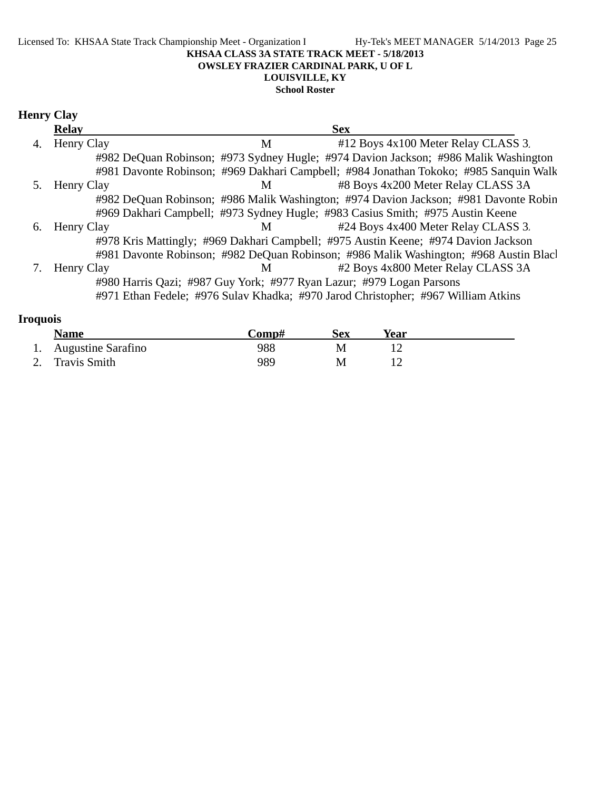#### Licensed To: KHSAA State Track Championship Meet - Organization I Hy-Tek's MEET MANAGER 5/14/2013 Page 25 **KHSAA CLASS 3A STATE TRACK MEET - 5/18/2013 OWSLEY FRAZIER CARDINAL PARK, U OF L LOUISVILLE, KY**

#### **School Roster**

### **Henry Clay**

|    | <b>Relay</b> |                | <b>Sex</b>                                                                            |
|----|--------------|----------------|---------------------------------------------------------------------------------------|
| 4. | Henry Clay   | M              | #12 Boys 4x100 Meter Relay CLASS 3.                                                   |
|    |              |                | #982 DeQuan Robinson; #973 Sydney Hugle; #974 Davion Jackson; #986 Malik Washington   |
|    |              |                | #981 Davonte Robinson; #969 Dakhari Campbell; #984 Jonathan Tokoko; #985 Sanquin Walk |
|    | Henry Clay   | М              | #8 Boys 4x200 Meter Relay CLASS 3A                                                    |
|    |              |                | #982 DeQuan Robinson; #986 Malik Washington; #974 Davion Jackson; #981 Davonte Robin  |
|    |              |                | #969 Dakhari Campbell; #973 Sydney Hugle; #983 Casius Smith; #975 Austin Keene        |
| 6. | Henry Clay   | M <sub>1</sub> | #24 Boys 4x400 Meter Relay CLASS 3.                                                   |
|    |              |                | #978 Kris Mattingly; #969 Dakhari Campbell; #975 Austin Keene; #974 Davion Jackson    |
|    |              |                | #981 Davonte Robinson; #982 DeQuan Robinson; #986 Malik Washington; #968 Austin Blacl |
|    | Henry Clay   | M              | #2 Boys 4x800 Meter Relay CLASS 3A                                                    |
|    |              |                | #980 Harris Qazi; #987 Guy York; #977 Ryan Lazur; #979 Logan Parsons                  |
|    |              |                | #971 Ethan Fedele; #976 Sulav Khadka; #970 Jarod Christopher; #967 William Atkins     |
|    |              |                |                                                                                       |

### **Iroquois Name Comp#** Sex Year<br>Aveveting Serging **Comp#** Sex Year 1. Augustine Sarafino 12

| Augustine Sarafino | 988 |  |  |
|--------------------|-----|--|--|
| 2. Travis Smith    | 989 |  |  |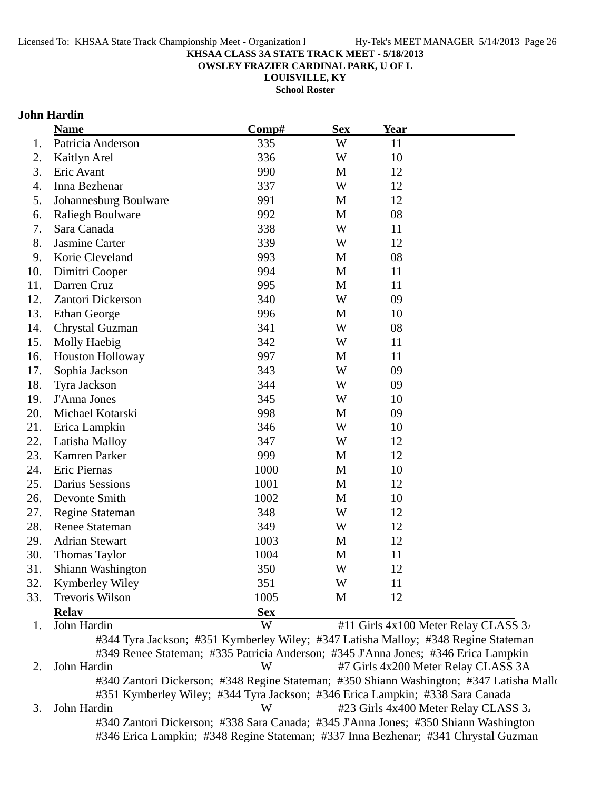**OWSLEY FRAZIER CARDINAL PARK, U OF L**

**LOUISVILLE, KY**

**School Roster**

### **John Hardin**

|     | <b>Name</b>             | Comp#      | <b>Sex</b>  | Year                                     |  |
|-----|-------------------------|------------|-------------|------------------------------------------|--|
| 1.  | Patricia Anderson       | 335        | W           | 11                                       |  |
| 2.  | Kaitlyn Arel            | 336        | W           | 10                                       |  |
| 3.  | Eric Avant              | 990        | M           | 12                                       |  |
| 4.  | Inna Bezhenar           | 337        | W           | 12                                       |  |
| 5.  | Johannesburg Boulware   | 991        | M           | 12                                       |  |
| 6.  | <b>Raliegh Boulware</b> | 992        | M           | 08                                       |  |
| 7.  | Sara Canada             | 338        | W           | 11                                       |  |
| 8.  | Jasmine Carter          | 339        | W           | 12                                       |  |
| 9.  | Korie Cleveland         | 993        | M           | 08                                       |  |
| 10. | Dimitri Cooper          | 994        | M           | 11                                       |  |
| 11. | Darren Cruz             | 995        | M           | 11                                       |  |
| 12. | Zantori Dickerson       | 340        | W           | 09                                       |  |
| 13. | <b>Ethan George</b>     | 996        | M           | 10                                       |  |
| 14. | Chrystal Guzman         | 341        | W           | 08                                       |  |
| 15. | Molly Haebig            | 342        | W           | 11                                       |  |
| 16. | <b>Houston Holloway</b> | 997        | M           | 11                                       |  |
| 17. | Sophia Jackson          | 343        | W           | 09                                       |  |
| 18. | Tyra Jackson            | 344        | W           | 09                                       |  |
| 19. | J'Anna Jones            | 345        | W           | 10                                       |  |
| 20. | Michael Kotarski        | 998        | M           | 09                                       |  |
| 21. | Erica Lampkin           | 346        | W           | 10                                       |  |
| 22. | Latisha Malloy          | 347        | W           | 12                                       |  |
| 23. | Kamren Parker           | 999        | M           | 12                                       |  |
| 24. | Eric Piernas            | 1000       | $\mathbf M$ | 10                                       |  |
| 25. | <b>Darius Sessions</b>  | 1001       | M           | 12                                       |  |
| 26. | Devonte Smith           | 1002       | M           | 10                                       |  |
| 27. | Regine Stateman         | 348        | W           | 12                                       |  |
| 28. | <b>Renee Stateman</b>   | 349        | W           | 12                                       |  |
| 29. | <b>Adrian Stewart</b>   | 1003       | M           | 12                                       |  |
| 30. | <b>Thomas Taylor</b>    | 1004       | M           | 11                                       |  |
| 31  | Shiann Washington       | 350        | W           | 12                                       |  |
| 32. | Kymberley Wiley         | 351        | W           | 11                                       |  |
| 33. | <b>Trevoris Wilson</b>  | 1005       | M           | 12                                       |  |
|     | <b>Relay</b>            | <b>Sex</b> |             |                                          |  |
|     | John Hardin             | W          |             | #11 Girls $4x100$ Meter Relay CLASS $3x$ |  |

2. John Hardin **W** #7 Girls 4x200 Meter Relay CLASS 3A #340 Zantori Dickerson; #348 Regine Stateman; #350 Shiann Washington; #347 Latisha Mallo #351 Kymberley Wiley; #344 Tyra Jackson; #346 Erica Lampkin; #338 Sara Canada 3. John Hardin W #23 Girls 4x400 Meter Relay CLASS 3. #340 Zantori Dickerson; #338 Sara Canada; #345 J'Anna Jones; #350 Shiann Washington

#346 Erica Lampkin; #348 Regine Stateman; #337 Inna Bezhenar; #341 Chrystal Guzman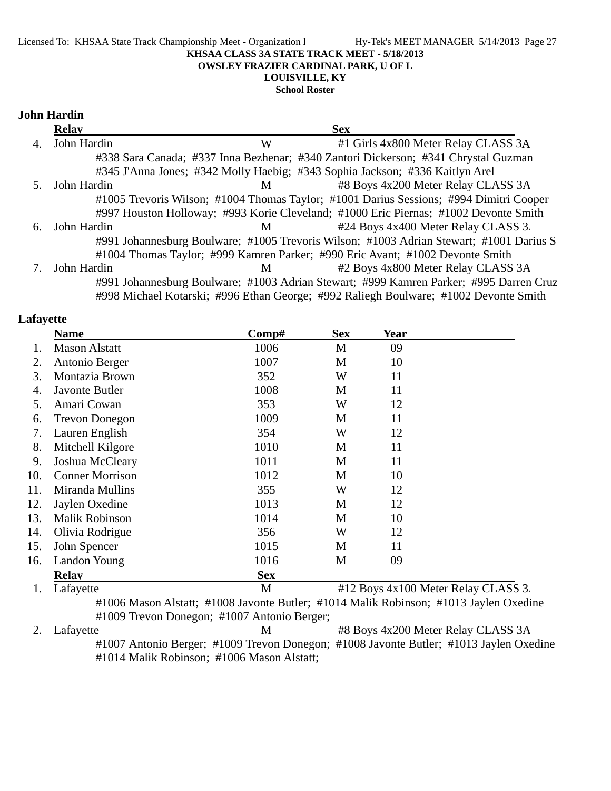#### Licensed To: KHSAA State Track Championship Meet - Organization I Hy-Tek's MEET MANAGER 5/14/2013 Page 27 **KHSAA CLASS 3A STATE TRACK MEET - 5/18/2013 OWSLEY FRAZIER CARDINAL PARK, U OF L LOUISVILLE, KY**

**School Roster**

#### **John Hardin**

|    | <b>Relay</b> |   | <b>Sex</b>                                                                              |  |
|----|--------------|---|-----------------------------------------------------------------------------------------|--|
| 4. | John Hardin  | W | #1 Girls 4x800 Meter Relay CLASS 3A                                                     |  |
|    |              |   | #338 Sara Canada; #337 Inna Bezhenar; #340 Zantori Dickerson; #341 Chrystal Guzman      |  |
|    |              |   | #345 J'Anna Jones; #342 Molly Haebig; #343 Sophia Jackson; #336 Kaitlyn Arel            |  |
|    | John Hardin  | M | #8 Boys 4x200 Meter Relay CLASS 3A                                                      |  |
|    |              |   | #1005 Trevoris Wilson; #1004 Thomas Taylor; #1001 Darius Sessions; #994 Dimitri Cooper  |  |
|    |              |   | #997 Houston Holloway; #993 Korie Cleveland; #1000 Eric Piernas; #1002 Devonte Smith    |  |
| 6. | John Hardin  | M | #24 Boys 4x400 Meter Relay CLASS 3.                                                     |  |
|    |              |   | #991 Johannesburg Boulware; #1005 Trevoris Wilson; #1003 Adrian Stewart; #1001 Darius S |  |
|    |              |   | #1004 Thomas Taylor; #999 Kamren Parker; #990 Eric Avant; #1002 Devonte Smith           |  |
|    | John Hardin  | M | #2 Boys 4x800 Meter Relay CLASS 3A                                                      |  |
|    |              |   | #991 Johannesburg Boulware; #1003 Adrian Stewart; #999 Kamren Parker; #995 Darren Cruz  |  |
|    |              |   | #998 Michael Kotarski; #996 Ethan George; #992 Raliegh Boulware; #1002 Devonte Smith    |  |

#### **Lafayette**

|     | <b>Name</b>            | Comp#      | <b>Sex</b> | Year                                |
|-----|------------------------|------------|------------|-------------------------------------|
|     | <b>Mason Alstatt</b>   | 1006       | M          | 09                                  |
| 2.  | Antonio Berger         | 1007       | M          | 10                                  |
| 3.  | Montazia Brown         | 352        | W          | 11                                  |
| 4.  | Javonte Butler         | 1008       | M          | 11                                  |
| 5.  | Amari Cowan            | 353        | W          | 12                                  |
| 6.  | <b>Trevon Donegon</b>  | 1009       | M          | 11                                  |
| 7.  | Lauren English         | 354        | W          | 12                                  |
| 8.  | Mitchell Kilgore       | 1010       | M          | 11                                  |
| 9.  | Joshua McCleary        | 1011       | M          | 11                                  |
| 10. | <b>Conner Morrison</b> | 1012       | M          | 10                                  |
| 11. | Miranda Mullins        | 355        | W          | 12                                  |
| 12. | Jaylen Oxedine         | 1013       | M          | 12                                  |
| 13. | Malik Robinson         | 1014       | M          | 10                                  |
| 14. | Olivia Rodrigue        | 356        | W          | 12                                  |
| 15. | John Spencer           | 1015       | M          | 11                                  |
| 16. | Landon Young           | 1016       | M          | 09                                  |
|     | <b>Relav</b>           | <b>Sex</b> |            |                                     |
|     | Lafayette              | M          |            | #12 Boys 4x100 Meter Relay CLASS 3. |

#1006 Mason Alstatt; #1008 Javonte Butler; #1014 Malik Robinson; #1013 Jaylen Oxedine #1009 Trevon Donegon; #1007 Antonio Berger;

2. Lafayette M  $\#8$  Boys 4x200 Meter Relay CLASS 3A #1007 Antonio Berger; #1009 Trevon Donegon; #1008 Javonte Butler; #1013 Jaylen Oxedine #1014 Malik Robinson; #1006 Mason Alstatt;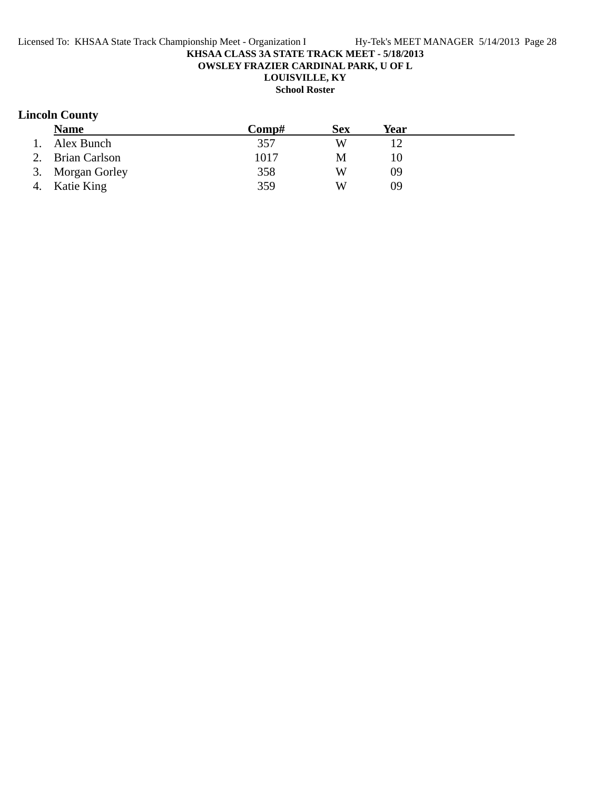**OWSLEY FRAZIER CARDINAL PARK, U OF L**

## **LOUISVILLE, KY**

**School Roster**

### **Lincoln County**

|    | <b>Name</b>      | $\bf Comp\#$ | <b>Sex</b> | Year |  |
|----|------------------|--------------|------------|------|--|
| 1. | Alex Bunch       | 357          | W          |      |  |
|    | 2. Brian Carlson | 1017         | M          |      |  |
|    | 3. Morgan Gorley | 358          | W          | 09   |  |
|    | 4. Katie King    | 359          | W          | 09   |  |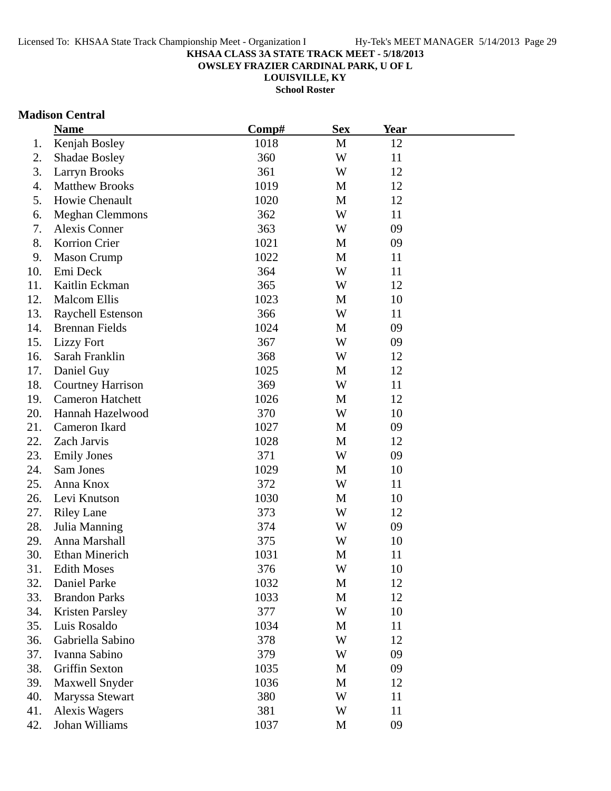**OWSLEY FRAZIER CARDINAL PARK, U OF L**

**LOUISVILLE, KY**

**School Roster**

#### **Madison Central**

|     | <b>Name</b>              | Comp# | <b>Sex</b> | Year |  |
|-----|--------------------------|-------|------------|------|--|
| 1.  | Kenjah Bosley            | 1018  | M          | 12   |  |
| 2.  | <b>Shadae Bosley</b>     | 360   | W          | 11   |  |
| 3.  | <b>Larryn Brooks</b>     | 361   | W          | 12   |  |
| 4.  | <b>Matthew Brooks</b>    | 1019  | M          | 12   |  |
| 5.  | Howie Chenault           | 1020  | M          | 12   |  |
| 6.  | <b>Meghan Clemmons</b>   | 362   | W          | 11   |  |
| 7.  | Alexis Conner            | 363   | W          | 09   |  |
| 8.  | Korrion Crier            | 1021  | M          | 09   |  |
| 9.  | <b>Mason Crump</b>       | 1022  | M          | 11   |  |
| 10. | Emi Deck                 | 364   | W          | 11   |  |
| 11. | Kaitlin Eckman           | 365   | W          | 12   |  |
| 12. | <b>Malcom Ellis</b>      | 1023  | M          | 10   |  |
| 13. | Raychell Estenson        | 366   | W          | 11   |  |
| 14. | <b>Brennan Fields</b>    | 1024  | M          | 09   |  |
| 15. | <b>Lizzy Fort</b>        | 367   | W          | 09   |  |
| 16. | Sarah Franklin           | 368   | W          | 12   |  |
| 17. | Daniel Guy               | 1025  | M          | 12   |  |
| 18. | <b>Courtney Harrison</b> | 369   | W          | 11   |  |
| 19. | <b>Cameron Hatchett</b>  | 1026  | M          | 12   |  |
| 20. | Hannah Hazelwood         | 370   | W          | 10   |  |
| 21. | Cameron Ikard            | 1027  | M          | 09   |  |
| 22. | Zach Jarvis              | 1028  | M          | 12   |  |
| 23. | <b>Emily Jones</b>       | 371   | W          | 09   |  |
| 24. | Sam Jones                | 1029  | M          | 10   |  |
| 25. | Anna Knox                | 372   | W          | 11   |  |
| 26. | Levi Knutson             | 1030  | M          | 10   |  |
| 27. | <b>Riley Lane</b>        | 373   | W          | 12   |  |
| 28. | Julia Manning            | 374   | W          | 09   |  |
| 29. | Anna Marshall            | 375   | W          | 10   |  |
| 30. | <b>Ethan Minerich</b>    | 1031  | M          | 11   |  |
| 31. | <b>Edith Moses</b>       | 376   | W          | 10   |  |
| 32. | Daniel Parke             | 1032  | M          | 12   |  |
| 33. | <b>Brandon Parks</b>     | 1033  | M          | 12   |  |
| 34. | <b>Kristen Parsley</b>   | 377   | W          | 10   |  |
| 35. | Luis Rosaldo             | 1034  | M          | 11   |  |
| 36. | Gabriella Sabino         | 378   | W          | 12   |  |
| 37. | Ivanna Sabino            | 379   | W          | 09   |  |
| 38. | Griffin Sexton           | 1035  | M          | 09   |  |
| 39. | Maxwell Snyder           | 1036  | M          | 12   |  |
| 40. | Maryssa Stewart          | 380   | W          | 11   |  |
| 41. | <b>Alexis Wagers</b>     | 381   | W          | 11   |  |
| 42. | Johan Williams           | 1037  | M          | 09   |  |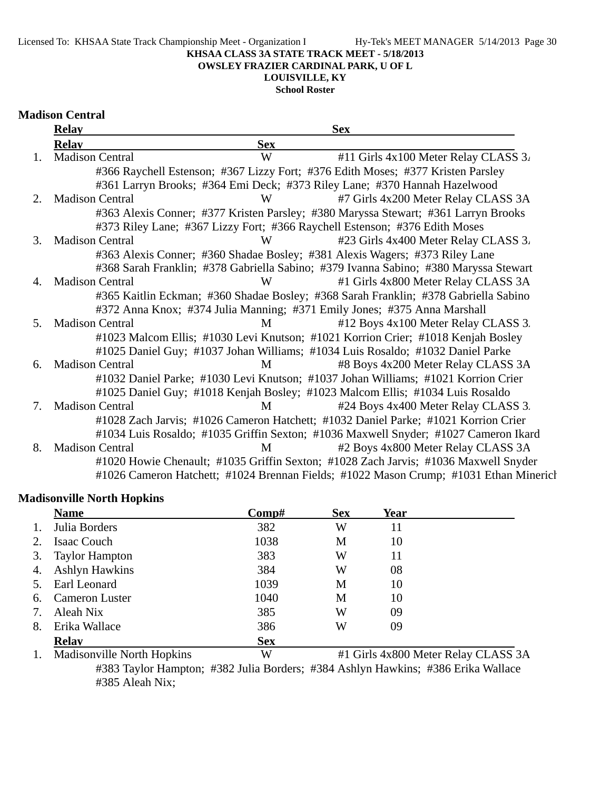**OWSLEY FRAZIER CARDINAL PARK, U OF L**

### **LOUISVILLE, KY**

**School Roster**

#### **Madison Central**

|             | <b>Relay</b>           |            | <b>Sex</b>                                                                            |
|-------------|------------------------|------------|---------------------------------------------------------------------------------------|
|             | <b>Relav</b>           | <b>Sex</b> |                                                                                       |
| 1.          | <b>Madison Central</b> | W          | #11 Girls 4x100 Meter Relay CLASS 3.                                                  |
|             |                        |            | #366 Raychell Estenson; #367 Lizzy Fort; #376 Edith Moses; #377 Kristen Parsley       |
|             |                        |            | #361 Larryn Brooks; #364 Emi Deck; #373 Riley Lane; #370 Hannah Hazelwood             |
| $2^{\circ}$ | <b>Madison Central</b> | W          | #7 Girls 4x200 Meter Relay CLASS 3A                                                   |
|             |                        |            | #363 Alexis Conner; #377 Kristen Parsley; #380 Maryssa Stewart; #361 Larryn Brooks    |
|             |                        |            | #373 Riley Lane; #367 Lizzy Fort; #366 Raychell Estenson; #376 Edith Moses            |
| 3.          | <b>Madison Central</b> | W          | #23 Girls 4x400 Meter Relay CLASS 3.                                                  |
|             |                        |            | #363 Alexis Conner; #360 Shadae Bosley; #381 Alexis Wagers; #373 Riley Lane           |
|             |                        |            | #368 Sarah Franklin; #378 Gabriella Sabino; #379 Ivanna Sabino; #380 Maryssa Stewart  |
| 4.          | <b>Madison Central</b> | W          | #1 Girls 4x800 Meter Relay CLASS 3A                                                   |
|             |                        |            | #365 Kaitlin Eckman; #360 Shadae Bosley; #368 Sarah Franklin; #378 Gabriella Sabino   |
|             |                        |            | #372 Anna Knox; #374 Julia Manning; #371 Emily Jones; #375 Anna Marshall              |
| .5          | <b>Madison Central</b> | M          | #12 Boys 4x100 Meter Relay CLASS 3.                                                   |
|             |                        |            | #1023 Malcom Ellis; #1030 Levi Knutson; #1021 Korrion Crier; #1018 Kenjah Bosley      |
|             |                        |            | #1025 Daniel Guy; #1037 Johan Williams; #1034 Luis Rosaldo; #1032 Daniel Parke        |
| 6.          | <b>Madison Central</b> | M          | #8 Boys 4x200 Meter Relay CLASS 3A                                                    |
|             |                        |            | #1032 Daniel Parke; #1030 Levi Knutson; #1037 Johan Williams; #1021 Korrion Crier     |
|             |                        |            | #1025 Daniel Guy; #1018 Kenjah Bosley; #1023 Malcom Ellis; #1034 Luis Rosaldo         |
| 7.          | <b>Madison Central</b> | M          | #24 Boys 4x400 Meter Relay CLASS 3.                                                   |
|             |                        |            | #1028 Zach Jarvis; #1026 Cameron Hatchett; #1032 Daniel Parke; #1021 Korrion Crier    |
|             |                        |            | #1034 Luis Rosaldo; #1035 Griffin Sexton; #1036 Maxwell Snyder; #1027 Cameron Ikard   |
| 8.          | <b>Madison Central</b> | M          | #2 Boys 4x800 Meter Relay CLASS 3A                                                    |
|             |                        |            | #1020 Howie Chenault; #1035 Griffin Sexton; #1028 Zach Jarvis; #1036 Maxwell Snyder   |
|             |                        |            | #1026 Cameron Hatchett; #1024 Brennan Fields; #1022 Mason Crump; #1031 Ethan Minerich |

### **Madisonville North Hopkins**

|    | <b>Name</b>           | Comp#      | <b>Sex</b> | Year |  |
|----|-----------------------|------------|------------|------|--|
|    | Julia Borders         | 382        | W          | 11   |  |
|    | Isaac Couch           | 1038       | M          | 10   |  |
| 3. | <b>Taylor Hampton</b> | 383        | W          | 11   |  |
| 4. | <b>Ashlyn Hawkins</b> | 384        | W          | 08   |  |
| 5. | Earl Leonard          | 1039       | M          | 10   |  |
| 6. | <b>Cameron Luster</b> | 1040       | M          | 10   |  |
|    | Aleah Nix             | 385        | W          | 09   |  |
| 8. | Erika Wallace         | 386        | W          | 09   |  |
|    | <b>Relav</b>          | <b>Sex</b> |            |      |  |

1. Madisonville North Hopkins W #1 Girls 4x800 Meter Relay CLASS 3A

#383 Taylor Hampton; #382 Julia Borders; #384 Ashlyn Hawkins; #386 Erika Wallace #385 Aleah Nix;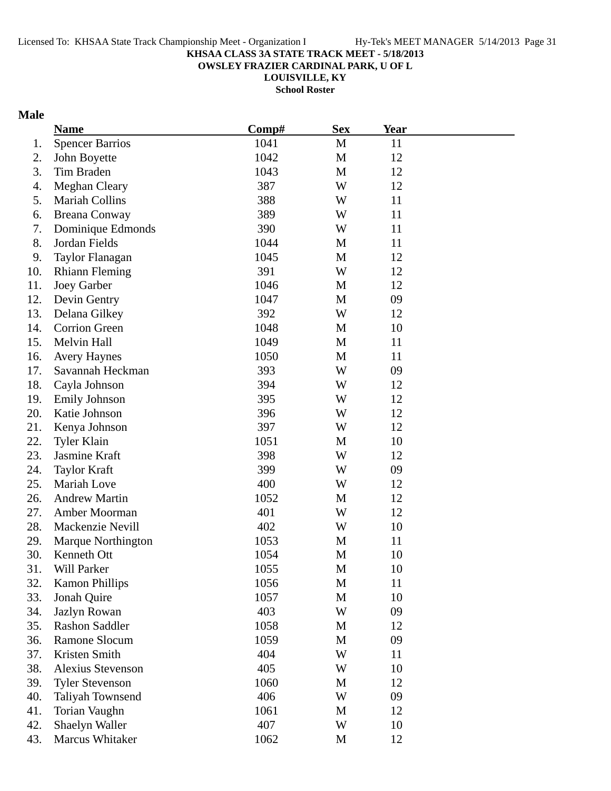**OWSLEY FRAZIER CARDINAL PARK, U OF L**

**LOUISVILLE, KY School Roster**

### **Male**

|     | <b>Name</b>               | Comp# | <b>Sex</b> | <b>Year</b> |  |
|-----|---------------------------|-------|------------|-------------|--|
| 1.  | <b>Spencer Barrios</b>    | 1041  | M          | 11          |  |
| 2.  | John Boyette              | 1042  | M          | 12          |  |
| 3.  | Tim Braden                | 1043  | M          | 12          |  |
| 4.  | <b>Meghan Cleary</b>      | 387   | W          | 12          |  |
| 5.  | <b>Mariah Collins</b>     | 388   | W          | 11          |  |
| 6.  | <b>Breana Conway</b>      | 389   | W          | 11          |  |
| 7.  | Dominique Edmonds         | 390   | W          | 11          |  |
| 8.  | Jordan Fields             | 1044  | M          | 11          |  |
| 9.  | Taylor Flanagan           | 1045  | M          | 12          |  |
| 10. | <b>Rhiann Fleming</b>     | 391   | W          | 12          |  |
| 11. | <b>Joey Garber</b>        | 1046  | M          | 12          |  |
| 12. | Devin Gentry              | 1047  | M          | 09          |  |
| 13. | Delana Gilkey             | 392   | W          | 12          |  |
| 14. | <b>Corrion Green</b>      | 1048  | M          | 10          |  |
| 15. | Melvin Hall               | 1049  | M          | 11          |  |
| 16. | <b>Avery Haynes</b>       | 1050  | M          | 11          |  |
| 17. | Savannah Heckman          | 393   | W          | 09          |  |
| 18. | Cayla Johnson             | 394   | W          | 12          |  |
| 19. | <b>Emily Johnson</b>      | 395   | W          | 12          |  |
| 20. | Katie Johnson             | 396   | W          | 12          |  |
| 21. | Kenya Johnson             | 397   | W          | 12          |  |
| 22. | <b>Tyler Klain</b>        | 1051  | M          | 10          |  |
| 23. | Jasmine Kraft             | 398   | W          | 12          |  |
| 24. | <b>Taylor Kraft</b>       | 399   | W          | 09          |  |
| 25. | Mariah Love               | 400   | W          | 12          |  |
| 26. | <b>Andrew Martin</b>      | 1052  | M          | 12          |  |
| 27. | Amber Moorman             | 401   | W          | 12          |  |
| 28. | Mackenzie Nevill          | 402   | W          | 10          |  |
| 29. | <b>Marque Northington</b> | 1053  | M          | 11          |  |
| 30. | Kenneth Ott               | 1054  | M          | 10          |  |
| 31. | Will Parker               | 1055  | M          | 10          |  |
| 32. | <b>Kamon Phillips</b>     | 1056  | M          | 11          |  |
| 33. | Jonah Quire               | 1057  | M          | 10          |  |
| 34. | Jazlyn Rowan              | 403   | W          | 09          |  |
| 35. | <b>Rashon Saddler</b>     | 1058  | M          | 12          |  |
| 36. | Ramone Slocum             | 1059  | M          | 09          |  |
| 37. | Kristen Smith             | 404   | W          | 11          |  |
| 38. | <b>Alexius Stevenson</b>  | 405   | W          | 10          |  |
| 39. | <b>Tyler Stevenson</b>    | 1060  | M          | 12          |  |
| 40. | Taliyah Townsend          | 406   | W          | 09          |  |
| 41. | Torian Vaughn             | 1061  | M          | 12          |  |
| 42. | Shaelyn Waller            | 407   | W          | 10          |  |
| 43. | Marcus Whitaker           | 1062  | M          | 12          |  |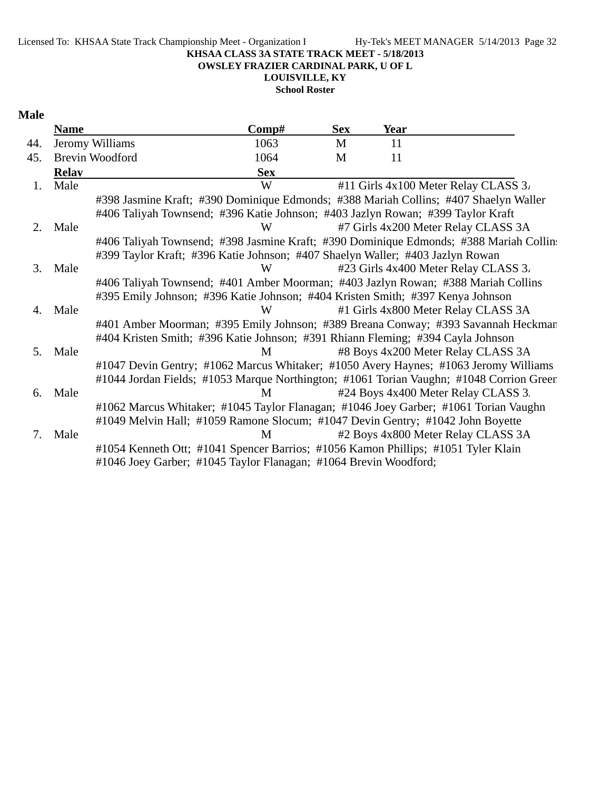Licensed To: KHSAA State Track Championship Meet - Organization I Hy-Tek's MEET MANAGER 5/14/2013 Page 32

#### **KHSAA CLASS 3A STATE TRACK MEET - 5/18/2013**

**OWSLEY FRAZIER CARDINAL PARK, U OF L**

**LOUISVILLE, KY**

**School Roster**

### **Male**

|     | <b>Name</b>  |                        | Comp#                                                                                   | <b>Sex</b> | <b>Year</b>                          |  |
|-----|--------------|------------------------|-----------------------------------------------------------------------------------------|------------|--------------------------------------|--|
| 44. |              | Jeromy Williams        | 1063                                                                                    | M          | 11                                   |  |
| 45. |              | <b>Brevin Woodford</b> | 1064                                                                                    | M          | 11                                   |  |
|     | <b>Relay</b> |                        | <b>Sex</b>                                                                              |            |                                      |  |
| 1.  | Male         |                        | W                                                                                       |            | #11 Girls 4x100 Meter Relay CLASS 3. |  |
|     |              |                        | #398 Jasmine Kraft; #390 Dominique Edmonds; #388 Mariah Collins; #407 Shaelyn Waller    |            |                                      |  |
|     |              |                        | #406 Taliyah Townsend; #396 Katie Johnson; #403 Jazlyn Rowan; #399 Taylor Kraft         |            |                                      |  |
| 2.  | Male         |                        | W                                                                                       |            | #7 Girls 4x200 Meter Relay CLASS 3A  |  |
|     |              |                        | #406 Taliyah Townsend; #398 Jasmine Kraft; #390 Dominique Edmonds; #388 Mariah Collin:  |            |                                      |  |
|     |              |                        | #399 Taylor Kraft; #396 Katie Johnson; #407 Shaelyn Waller; #403 Jazlyn Rowan           |            |                                      |  |
| 3.  | Male         |                        | W                                                                                       |            | #23 Girls 4x400 Meter Relay CLASS 3. |  |
|     |              |                        | #406 Taliyah Townsend; #401 Amber Moorman; #403 Jazlyn Rowan; #388 Mariah Collins       |            |                                      |  |
|     |              |                        | #395 Emily Johnson; #396 Katie Johnson; #404 Kristen Smith; #397 Kenya Johnson          |            |                                      |  |
| 4.  | Male         |                        | W                                                                                       |            | #1 Girls 4x800 Meter Relay CLASS 3A  |  |
|     |              |                        | #401 Amber Moorman; #395 Emily Johnson; #389 Breana Conway; #393 Savannah Heckman       |            |                                      |  |
|     |              |                        | #404 Kristen Smith; #396 Katie Johnson; #391 Rhiann Fleming; #394 Cayla Johnson         |            |                                      |  |
| 5.  | Male         |                        | M                                                                                       |            | #8 Boys 4x200 Meter Relay CLASS 3A   |  |
|     |              |                        | #1047 Devin Gentry; #1062 Marcus Whitaker; #1050 Avery Haynes; #1063 Jeromy Williams    |            |                                      |  |
|     |              |                        | #1044 Jordan Fields; #1053 Marque Northington; #1061 Torian Vaughn; #1048 Corrion Green |            |                                      |  |
| 6.  | Male         |                        | M                                                                                       |            | #24 Boys 4x400 Meter Relay CLASS 3.  |  |
|     |              |                        | #1062 Marcus Whitaker; #1045 Taylor Flanagan; #1046 Joey Garber; #1061 Torian Vaughn    |            |                                      |  |
|     |              |                        | #1049 Melvin Hall; #1059 Ramone Slocum; #1047 Devin Gentry; #1042 John Boyette          |            |                                      |  |
| 7.  | Male         |                        | M                                                                                       |            | #2 Boys 4x800 Meter Relay CLASS 3A   |  |
|     |              |                        | #1054 Kenneth Ott; #1041 Spencer Barrios; #1056 Kamon Phillips; #1051 Tyler Klain       |            |                                      |  |
|     |              |                        | #1046 Joey Garber; #1045 Taylor Flanagan; #1064 Brevin Woodford;                        |            |                                      |  |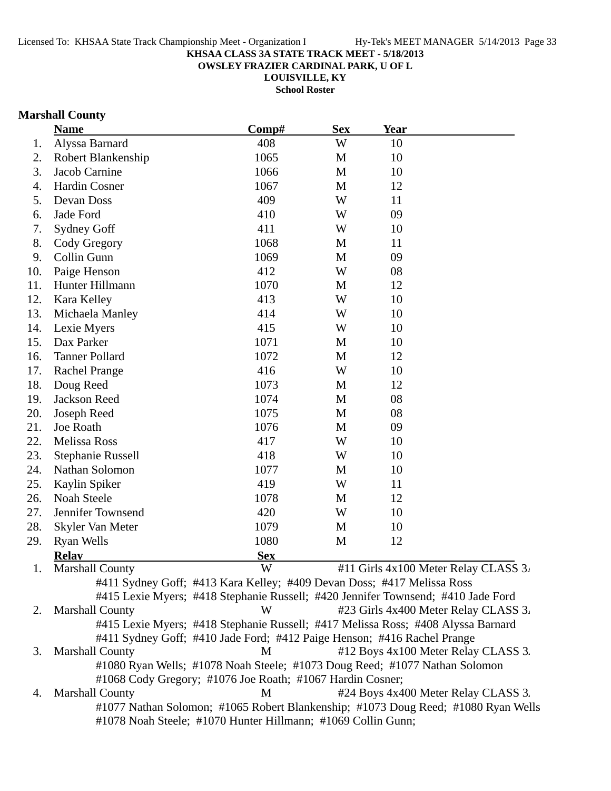**OWSLEY FRAZIER CARDINAL PARK, U OF L**

**LOUISVILLE, KY School Roster**

### **Marshall County**

|     | <b>Name</b>              | Comp#                                                                             | <b>Sex</b> | <b>Year</b> |                                      |
|-----|--------------------------|-----------------------------------------------------------------------------------|------------|-------------|--------------------------------------|
| 1.  | Alyssa Barnard           | 408                                                                               | W          | 10          |                                      |
| 2.  | Robert Blankenship       | 1065                                                                              | M          | 10          |                                      |
| 3.  | Jacob Carnine            | 1066                                                                              | M          | 10          |                                      |
| 4.  | <b>Hardin Cosner</b>     | 1067                                                                              | M          | 12          |                                      |
| 5.  | Devan Doss               | 409                                                                               | W          | 11          |                                      |
| 6.  | Jade Ford                | 410                                                                               | W          | 09          |                                      |
| 7.  | Sydney Goff              | 411                                                                               | W          | 10          |                                      |
| 8.  | Cody Gregory             | 1068                                                                              | M          | 11          |                                      |
| 9.  | Collin Gunn              | 1069                                                                              | M          | 09          |                                      |
| 10. | Paige Henson             | 412                                                                               | W          | 08          |                                      |
| 11. | Hunter Hillmann          | 1070                                                                              | M          | 12          |                                      |
| 12. | Kara Kelley              | 413                                                                               | W          | 10          |                                      |
| 13. | Michaela Manley          | 414                                                                               | W          | 10          |                                      |
| 14. | Lexie Myers              | 415                                                                               | W          | 10          |                                      |
| 15. | Dax Parker               | 1071                                                                              | M          | 10          |                                      |
| 16. | <b>Tanner Pollard</b>    | 1072                                                                              | M          | 12          |                                      |
| 17. | <b>Rachel Prange</b>     | 416                                                                               | W          | 10          |                                      |
| 18. | Doug Reed                | 1073                                                                              | M          | 12          |                                      |
| 19. | Jackson Reed             | 1074                                                                              | M          | 08          |                                      |
| 20. | Joseph Reed              | 1075                                                                              | M          | 08          |                                      |
| 21. | Joe Roath                | 1076                                                                              | M          | 09          |                                      |
| 22. | Melissa Ross             | 417                                                                               | W          | 10          |                                      |
| 23. | <b>Stephanie Russell</b> | 418                                                                               | W          | 10          |                                      |
| 24. | Nathan Solomon           | 1077                                                                              | M          | 10          |                                      |
| 25. | Kaylin Spiker            | 419                                                                               | W          | 11          |                                      |
| 26. | Noah Steele              | 1078                                                                              | M          | 12          |                                      |
| 27. | Jennifer Townsend        | 420                                                                               | W          | 10          |                                      |
| 28. | Skyler Van Meter         | 1079                                                                              | M          | 10          |                                      |
| 29. | <b>Ryan Wells</b>        | 1080                                                                              | M          | 12          |                                      |
|     | <b>Relay</b>             | <b>Sex</b>                                                                        |            |             |                                      |
|     | <b>Marshall County</b>   | W                                                                                 |            |             | #11 Girls 4x100 Meter Relay CLASS 3. |
|     |                          | #411 Sydney Goff; #413 Kara Kelley; #409 Devan Doss; #417 Melissa Ross            |            |             |                                      |
|     |                          | #415 Lexie Myers; #418 Stephanie Russell; #420 Jennifer Townsend; #410 Jade Ford  |            |             |                                      |
| 2.  | <b>Marshall County</b>   | W                                                                                 |            |             | #23 Girls 4x400 Meter Relay CLASS 3. |
|     |                          | #415 Lexie Myers; #418 Stephanie Russell; #417 Melissa Ross; #408 Alyssa Barnard  |            |             |                                      |
|     |                          | #411 Sydney Goff; #410 Jade Ford; #412 Paige Henson; #416 Rachel Prange           |            |             |                                      |
| 3.  | <b>Marshall County</b>   | M                                                                                 |            |             | #12 Boys 4x100 Meter Relay CLASS 3.  |
|     |                          | #1080 Ryan Wells; #1078 Noah Steele; #1073 Doug Reed; #1077 Nathan Solomon        |            |             |                                      |
|     |                          | #1068 Cody Gregory; #1076 Joe Roath; #1067 Hardin Cosner;                         |            |             |                                      |
| 4.  | <b>Marshall County</b>   | M                                                                                 |            |             | #24 Boys 4x400 Meter Relay CLASS 3.  |
|     |                          | #1077 Nathan Solomon; #1065 Robert Blankenship; #1073 Doug Reed; #1080 Ryan Wells |            |             |                                      |
|     |                          | #1078 Noah Steele; #1070 Hunter Hillmann; #1069 Collin Gunn;                      |            |             |                                      |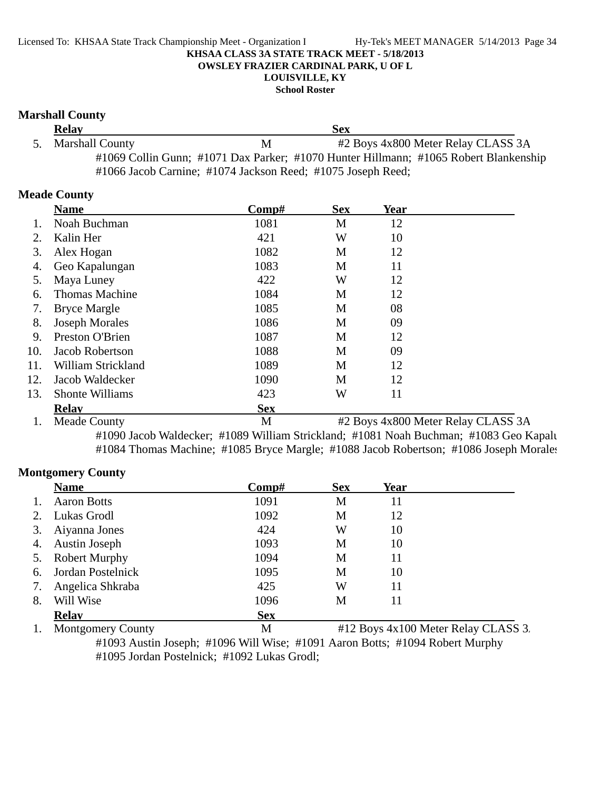**School Roster**

#### **Marshall County**

| <b>Relay</b>                                                |   | <b>Sex</b>                                                                           |  |
|-------------------------------------------------------------|---|--------------------------------------------------------------------------------------|--|
| 5. Marshall County                                          | М | #2 Boys 4x800 Meter Relay CLASS 3A                                                   |  |
|                                                             |   | #1069 Collin Gunn; #1071 Dax Parker; #1070 Hunter Hillmann; #1065 Robert Blankenship |  |
| #1066 Jacob Carnine; #1074 Jackson Reed; #1075 Joseph Reed; |   |                                                                                      |  |

#### **Meade County**

|     | <b>Name</b>           | $\bf Comp\#$ | <b>Sex</b> | Year |                                    |
|-----|-----------------------|--------------|------------|------|------------------------------------|
|     | Noah Buchman          | 1081         | M          | 12   |                                    |
| 2.  | Kalin Her             | 421          | W          | 10   |                                    |
| 3.  | Alex Hogan            | 1082         | M          | 12   |                                    |
| 4.  | Geo Kapalungan        | 1083         | M          | 11   |                                    |
| 5.  | Maya Luney            | 422          | W          | 12   |                                    |
| 6.  | <b>Thomas Machine</b> | 1084         | M          | 12   |                                    |
| 7.  | <b>Bryce Margle</b>   | 1085         | M          | 08   |                                    |
| 8.  | <b>Joseph Morales</b> | 1086         | M          | 09   |                                    |
| 9.  | Preston O'Brien       | 1087         | M          | 12   |                                    |
| 10. | Jacob Robertson       | 1088         | M          | 09   |                                    |
| 11. | William Strickland    | 1089         | M          | 12   |                                    |
| 12. | Jacob Waldecker       | 1090         | M          | 12   |                                    |
| 13. | Shonte Williams       | 423          | W          | 11   |                                    |
|     | <b>Relay</b>          | <b>Sex</b>   |            |      |                                    |
|     | <b>Meade County</b>   | M            |            |      | #2 Boys 4x800 Meter Relay CLASS 3A |

#1090 Jacob Waldecker; #1089 William Strickland; #1081 Noah Buchman; #1083 Geo Kapalu #1084 Thomas Machine; #1085 Bryce Margle; #1088 Jacob Robertson; #1086 Joseph Morales

### **Montgomery County**

|    | <b>Name</b>              | $\bf Comp\#$ | <b>Sex</b> | Year                                |  |
|----|--------------------------|--------------|------------|-------------------------------------|--|
|    | <b>Aaron Botts</b>       | 1091         | M          | 11                                  |  |
| 2. | Lukas Grodl              | 1092         | M          | 12                                  |  |
| 3. | Aiyanna Jones            | 424          | W          | 10                                  |  |
| 4. | <b>Austin Joseph</b>     | 1093         | М          | 10                                  |  |
| 5. | <b>Robert Murphy</b>     | 1094         | M          | 11                                  |  |
| 6. | Jordan Postelnick        | 1095         | M          | 10                                  |  |
| 7. | Angelica Shkraba         | 425          | W          | 11                                  |  |
| 8. | Will Wise                | 1096         | М          | 11                                  |  |
|    | <b>Relav</b>             | <b>Sex</b>   |            |                                     |  |
|    | <b>Montgomery County</b> | М            |            | #12 Boys 4x100 Meter Relay CLASS 3. |  |

#1093 Austin Joseph; #1096 Will Wise; #1091 Aaron Botts; #1094 Robert Murphy #1095 Jordan Postelnick; #1092 Lukas Grodl;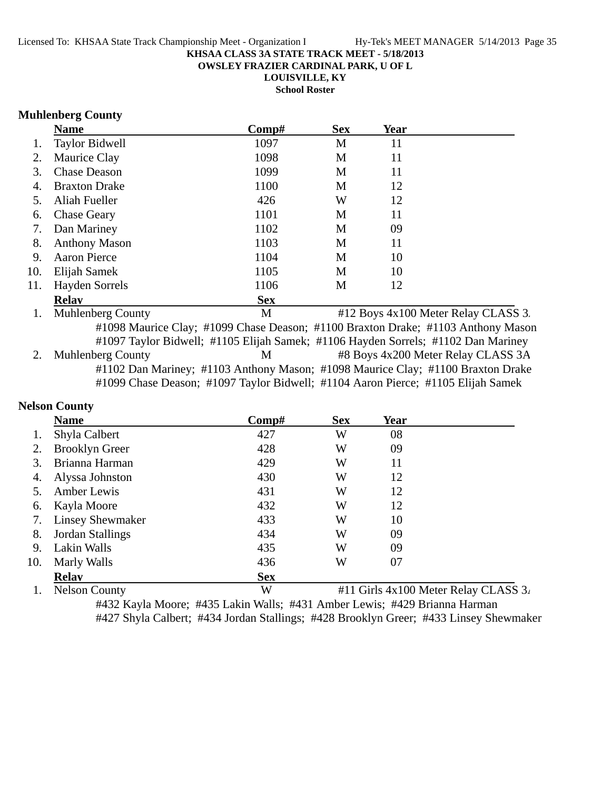**OWSLEY FRAZIER CARDINAL PARK, U OF L**

**LOUISVILLE, KY**

**School Roster**

### **Muhlenberg County**

|     | <b>Name</b>                                                                       | Comp#      | <b>Sex</b> | Year |                                     |
|-----|-----------------------------------------------------------------------------------|------------|------------|------|-------------------------------------|
| 1.  | <b>Taylor Bidwell</b>                                                             | 1097       | M          | 11   |                                     |
| 2.  | Maurice Clay                                                                      | 1098       | M          | 11   |                                     |
| 3.  | <b>Chase Deason</b>                                                               | 1099       | M          | 11   |                                     |
| 4.  | <b>Braxton Drake</b>                                                              | 1100       | M          | 12   |                                     |
| 5.  | Aliah Fueller                                                                     | 426        | W          | 12   |                                     |
| 6.  | <b>Chase Geary</b>                                                                | 1101       | M          | 11   |                                     |
| 7.  | Dan Mariney                                                                       | 1102       | M          | 09   |                                     |
| 8.  | <b>Anthony Mason</b>                                                              | 1103       | M          | 11   |                                     |
| 9.  | <b>Aaron Pierce</b>                                                               | 1104       | M          | 10   |                                     |
| 10. | Elijah Samek                                                                      | 1105       | M          | 10   |                                     |
| 11. | <b>Hayden Sorrels</b>                                                             | 1106       | M          | 12   |                                     |
|     | <b>Relay</b>                                                                      | <b>Sex</b> |            |      |                                     |
| 1.  | <b>Muhlenberg County</b>                                                          | M          |            |      | #12 Boys 4x100 Meter Relay CLASS 3. |
|     | #1098 Maurice Clay; #1099 Chase Deason; #1100 Braxton Drake; #1103 Anthony Mason  |            |            |      |                                     |
|     | #1097 Taylor Bidwell; #1105 Elijah Samek; #1106 Hayden Sorrels; #1102 Dan Mariney |            |            |      |                                     |
|     | <b>Muhlenberg County</b>                                                          | M          |            |      | #8 Boys 4x200 Meter Relay CLASS 3A  |
|     | #1102 Dan Mariney; #1103 Anthony Mason; #1098 Maurice Clay; #1100 Braxton Drake   |            |            |      |                                     |

#1099 Chase Deason; #1097 Taylor Bidwell; #1104 Aaron Pierce; #1105 Elijah Samek

### **Nelson County**

|     | <b>Name</b>             | Comp#      | <b>Sex</b> | Year                       |                                              |
|-----|-------------------------|------------|------------|----------------------------|----------------------------------------------|
| 1.  | Shyla Calbert           | 427        | W          | 08                         |                                              |
|     | <b>Brooklyn Greer</b>   | 428        | W          | 09                         |                                              |
| 3.  | Brianna Harman          | 429        | W          | 11                         |                                              |
| 4.  | Alyssa Johnston         | 430        | W          | 12                         |                                              |
|     | Amber Lewis             | 431        | W          | 12                         |                                              |
| 6.  | Kayla Moore             | 432        | W          | 12                         |                                              |
| 7.  | <b>Linsey Shewmaker</b> | 433        | W          | 10                         |                                              |
| 8.  | Jordan Stallings        | 434        | W          | 09                         |                                              |
| 9.  | Lakin Walls             | 435        | W          | 09                         |                                              |
| 10. | Marly Walls             | 436        | W          | 07                         |                                              |
|     | <b>Relav</b>            | <b>Sex</b> |            |                            |                                              |
|     | $- - -$                 |            |            | $\cdots$ $\cdots$ $\cdots$ | $\sim$ $\sim$<br>$\sim$ $\sim$ $\sim$ $\sim$ |

1. Nelson County  $W$  #11 Girls 4x100 Meter Relay CLASS 3.

#432 Kayla Moore; #435 Lakin Walls; #431 Amber Lewis; #429 Brianna Harman #427 Shyla Calbert; #434 Jordan Stallings; #428 Brooklyn Greer; #433 Linsey Shewmaker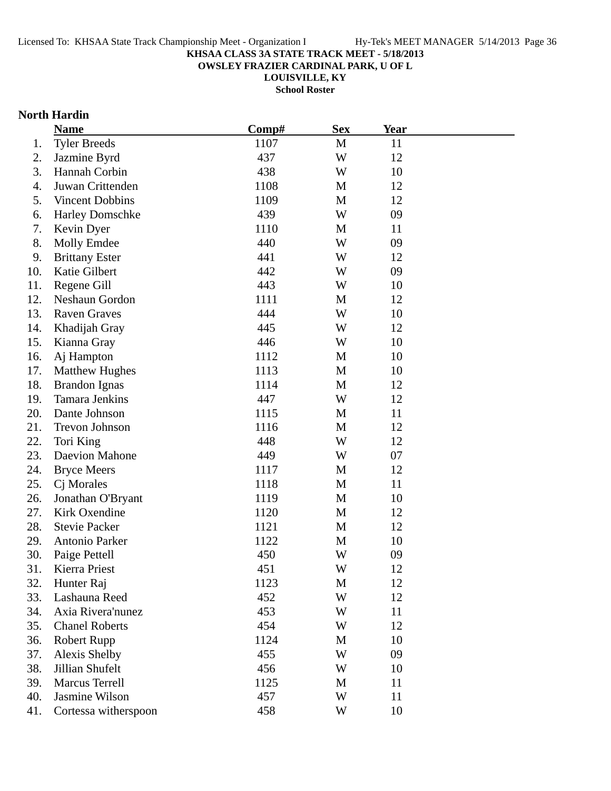**OWSLEY FRAZIER CARDINAL PARK, U OF L**

**LOUISVILLE, KY**

**School Roster**

### **North Hardin**

|     | <b>Name</b>            | Comp# | <b>Sex</b>   | <b>Year</b> |  |
|-----|------------------------|-------|--------------|-------------|--|
| 1.  | <b>Tyler Breeds</b>    | 1107  | M            | 11          |  |
| 2.  | Jazmine Byrd           | 437   | W            | 12          |  |
| 3.  | Hannah Corbin          | 438   | W            | 10          |  |
| 4.  | Juwan Crittenden       | 1108  | M            | 12          |  |
| 5.  | <b>Vincent Dobbins</b> | 1109  | $\mathbf M$  | 12          |  |
| 6.  | <b>Harley Domschke</b> | 439   | W            | 09          |  |
| 7.  | Kevin Dyer             | 1110  | M            | 11          |  |
| 8.  | Molly Emdee            | 440   | W            | 09          |  |
| 9.  | <b>Brittany Ester</b>  | 441   | W            | 12          |  |
| 10. | Katie Gilbert          | 442   | W            | 09          |  |
| 11. | Regene Gill            | 443   | W            | 10          |  |
| 12. | Neshaun Gordon         | 1111  | M            | 12          |  |
| 13. | <b>Raven Graves</b>    | 444   | W            | 10          |  |
| 14. | Khadijah Gray          | 445   | W            | 12          |  |
| 15. | Kianna Gray            | 446   | W            | 10          |  |
| 16. | Aj Hampton             | 1112  | M            | 10          |  |
| 17. | <b>Matthew Hughes</b>  | 1113  | M            | 10          |  |
| 18. | <b>Brandon Ignas</b>   | 1114  | M            | 12          |  |
| 19. | <b>Tamara Jenkins</b>  | 447   | W            | 12          |  |
| 20. | Dante Johnson          | 1115  | M            | 11          |  |
| 21. | Trevon Johnson         | 1116  | $\mathbf{M}$ | 12          |  |
| 22. | Tori King              | 448   | W            | 12          |  |
| 23. | Daevion Mahone         | 449   | W            | 07          |  |
| 24. | <b>Bryce Meers</b>     | 1117  | M            | 12          |  |
| 25. | Cj Morales             | 1118  | M            | 11          |  |
| 26. | Jonathan O'Bryant      | 1119  | M            | 10          |  |
| 27. | Kirk Oxendine          | 1120  | M            | 12          |  |
| 28. | <b>Stevie Packer</b>   | 1121  | M            | 12          |  |
| 29. | Antonio Parker         | 1122  | M            | 10          |  |
| 30. | Paige Pettell          | 450   | W            | 09          |  |
| 31. | Kierra Priest          | 451   | W            | 12          |  |
| 32. | Hunter Raj             | 1123  | M            | 12          |  |
| 33. | Lashauna Reed          | 452   | W            | 12          |  |
| 34. | Axia Rivera'nunez      | 453   | W            | 11          |  |
| 35. | <b>Chanel Roberts</b>  | 454   | W            | 12          |  |
| 36. | <b>Robert Rupp</b>     | 1124  | M            | 10          |  |
| 37. | Alexis Shelby          | 455   | W            | 09          |  |
| 38. | Jillian Shufelt        | 456   | W            | 10          |  |
| 39. | <b>Marcus Terrell</b>  | 1125  | M            | 11          |  |
| 40. | Jasmine Wilson         | 457   | W            | 11          |  |
| 41. | Cortessa witherspoon   | 458   | W            | 10          |  |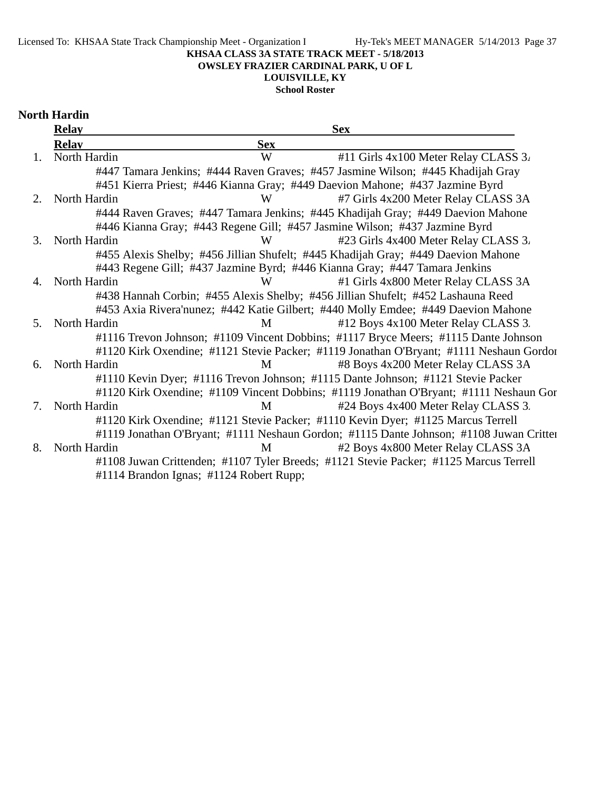### **OWSLEY FRAZIER CARDINAL PARK, U OF L**

### **LOUISVILLE, KY**

### **School Roster**

## **North Hardin**

|                | <b>Relay</b> |                                                                              | <b>Sex</b>                                                                              |
|----------------|--------------|------------------------------------------------------------------------------|-----------------------------------------------------------------------------------------|
|                | <b>Relav</b> | <b>Sex</b>                                                                   |                                                                                         |
| $\mathbf{1}$ . | North Hardin | W                                                                            | #11 Girls $4x100$ Meter Relay CLASS $3i$                                                |
|                |              |                                                                              | #447 Tamara Jenkins; #444 Raven Graves; #457 Jasmine Wilson; #445 Khadijah Gray         |
|                |              | #451 Kierra Priest; #446 Kianna Gray; #449 Daevion Mahone; #437 Jazmine Byrd |                                                                                         |
| $2^{\circ}$    | North Hardin | W                                                                            | #7 Girls 4x200 Meter Relay CLASS 3A                                                     |
|                |              |                                                                              | #444 Raven Graves; #447 Tamara Jenkins; #445 Khadijah Gray; #449 Daevion Mahone         |
|                |              | #446 Kianna Gray; #443 Regene Gill; #457 Jasmine Wilson; #437 Jazmine Byrd   |                                                                                         |
| 3.             | North Hardin | W                                                                            | #23 Girls 4x400 Meter Relay CLASS 3.                                                    |
|                |              |                                                                              | #455 Alexis Shelby; #456 Jillian Shufelt; #445 Khadijah Gray; #449 Daevion Mahone       |
|                |              | #443 Regene Gill; #437 Jazmine Byrd; #446 Kianna Gray; #447 Tamara Jenkins   |                                                                                         |
| 4.             | North Hardin | W                                                                            | #1 Girls 4x800 Meter Relay CLASS 3A                                                     |
|                |              |                                                                              | #438 Hannah Corbin; #455 Alexis Shelby; #456 Jillian Shufelt; #452 Lashauna Reed        |
|                |              |                                                                              | #453 Axia Rivera'nunez; #442 Katie Gilbert; #440 Molly Emdee; #449 Daevion Mahone       |
| 5 <sub>1</sub> | North Hardin | M                                                                            | #12 Boys 4x100 Meter Relay CLASS 3.                                                     |
|                |              |                                                                              | #1116 Trevon Johnson; #1109 Vincent Dobbins; #1117 Bryce Meers; #1115 Dante Johnson     |
|                |              |                                                                              | #1120 Kirk Oxendine; #1121 Stevie Packer; #1119 Jonathan O'Bryant; #1111 Neshaun Gordon |
| 6.             | North Hardin | M                                                                            | #8 Boys 4x200 Meter Relay CLASS 3A                                                      |
|                |              |                                                                              | #1110 Kevin Dyer; #1116 Trevon Johnson; #1115 Dante Johnson; #1121 Stevie Packer        |
|                |              |                                                                              | #1120 Kirk Oxendine; #1109 Vincent Dobbins; #1119 Jonathan O'Bryant; #1111 Neshaun Gor  |
| 7.             | North Hardin | M                                                                            | #24 Boys 4x400 Meter Relay CLASS 3.                                                     |
|                |              |                                                                              | #1120 Kirk Oxendine; #1121 Stevie Packer; #1110 Kevin Dyer; #1125 Marcus Terrell        |
|                |              |                                                                              | #1119 Jonathan O'Bryant; #1111 Neshaun Gordon; #1115 Dante Johnson; #1108 Juwan Critter |
| 8.             | North Hardin | M                                                                            | #2 Boys 4x800 Meter Relay CLASS 3A                                                      |
|                |              |                                                                              | #1108 Juwan Crittenden; #1107 Tyler Breeds; #1121 Stevie Packer; #1125 Marcus Terrell   |
|                |              | #1114 Brandon Ignas; #1124 Robert Rupp;                                      |                                                                                         |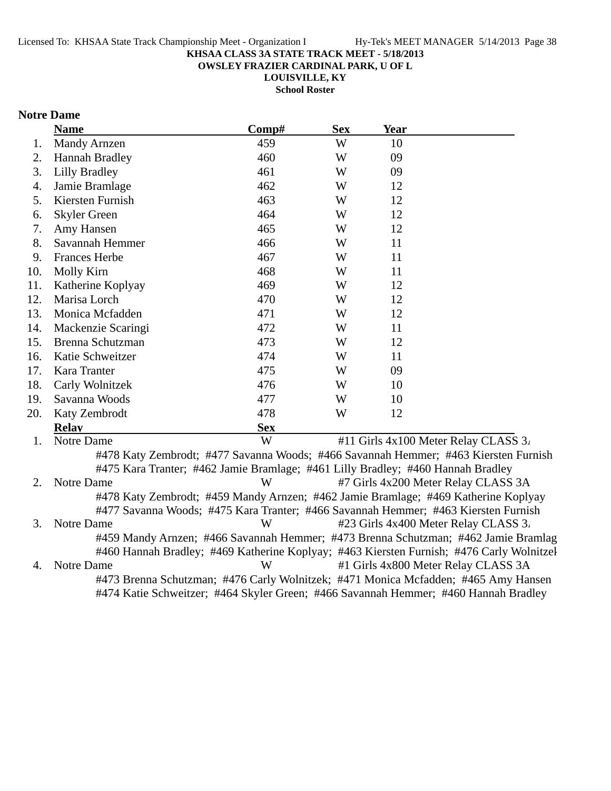**OWSLEY FRAZIER CARDINAL PARK, U OF L**

**LOUISVILLE, KY**

**School Roster**

### **Notre Dame**

|     | <b>Name</b>                                                                        | Comp#      | <b>Sex</b> | Year |                                                                                          |
|-----|------------------------------------------------------------------------------------|------------|------------|------|------------------------------------------------------------------------------------------|
| 1.  | <b>Mandy Arnzen</b>                                                                | 459        | W          | 10   |                                                                                          |
| 2.  | <b>Hannah Bradley</b>                                                              | 460        | W          | 09   |                                                                                          |
| 3.  | <b>Lilly Bradley</b>                                                               | 461        | W          | 09   |                                                                                          |
| 4.  | Jamie Bramlage                                                                     | 462        | W          | 12   |                                                                                          |
| 5.  | Kiersten Furnish                                                                   | 463        | W          | 12   |                                                                                          |
| 6.  | <b>Skyler Green</b>                                                                | 464        | W          | 12   |                                                                                          |
| 7.  | Amy Hansen                                                                         | 465        | W          | 12   |                                                                                          |
| 8.  | Savannah Hemmer                                                                    | 466        | W          | 11   |                                                                                          |
| 9.  | <b>Frances Herbe</b>                                                               | 467        | W          | 11   |                                                                                          |
| 10. | Molly Kirn                                                                         | 468        | W          | 11   |                                                                                          |
| 11. | Katherine Koplyay                                                                  | 469        | W          | 12   |                                                                                          |
| 12. | Marisa Lorch                                                                       | 470        | W          | 12   |                                                                                          |
| 13. | Monica Mcfadden                                                                    | 471        | W          | 12   |                                                                                          |
| 14. | Mackenzie Scaringi                                                                 | 472        | W          | 11   |                                                                                          |
| 15. | Brenna Schutzman                                                                   | 473        | W          | 12   |                                                                                          |
| 16. | Katie Schweitzer                                                                   | 474        | W          | 11   |                                                                                          |
| 17. | Kara Tranter                                                                       | 475        | W          | 09   |                                                                                          |
| 18. | Carly Wolnitzek                                                                    | 476        | W          | 10   |                                                                                          |
| 19. | Savanna Woods                                                                      | 477        | W          | 10   |                                                                                          |
| 20. | Katy Zembrodt                                                                      | 478        | W          | 12   |                                                                                          |
|     | <b>Relay</b>                                                                       | <b>Sex</b> |            |      |                                                                                          |
| 1.  | Notre Dame                                                                         | W          |            |      | #11 Girls 4x100 Meter Relay CLASS 3.                                                     |
|     |                                                                                    |            |            |      | #478 Katy Zembrodt; #477 Savanna Woods; #466 Savannah Hemmer; #463 Kiersten Furnish      |
|     | #475 Kara Tranter; #462 Jamie Bramlage; #461 Lilly Bradley; #460 Hannah Bradley    |            |            |      |                                                                                          |
| 2.  | Notre Dame                                                                         | W          |            |      | #7 Girls 4x200 Meter Relay CLASS 3A                                                      |
|     | #478 Katy Zembrodt; #459 Mandy Arnzen; #462 Jamie Bramlage; #469 Katherine Koplyay |            |            |      |                                                                                          |
|     | #477 Savanna Woods; #475 Kara Tranter; #466 Savannah Hemmer; #463 Kiersten Furnish |            |            |      |                                                                                          |
| 3.  | Notre Dame                                                                         | W          |            |      | #23 Girls 4x400 Meter Relay CLASS 3.                                                     |
|     |                                                                                    |            |            |      | #459 Mandy Arnzen; #466 Savannah Hemmer; #473 Brenna Schutzman; #462 Jamie Bramlag       |
|     |                                                                                    |            |            |      | #460 Hannah Bradley; #469 Katherine Koplyay; #463 Kiersten Furnish; #476 Carly Wolnitzel |
| 4.  | Notre Dame                                                                         | W          |            |      | #1 Girls 4x800 Meter Relay CLASS 3A                                                      |

#473 Brenna Schutzman; #476 Carly Wolnitzek; #471 Monica Mcfadden; #465 Amy Hansen #474 Katie Schweitzer; #464 Skyler Green; #466 Savannah Hemmer; #460 Hannah Bradley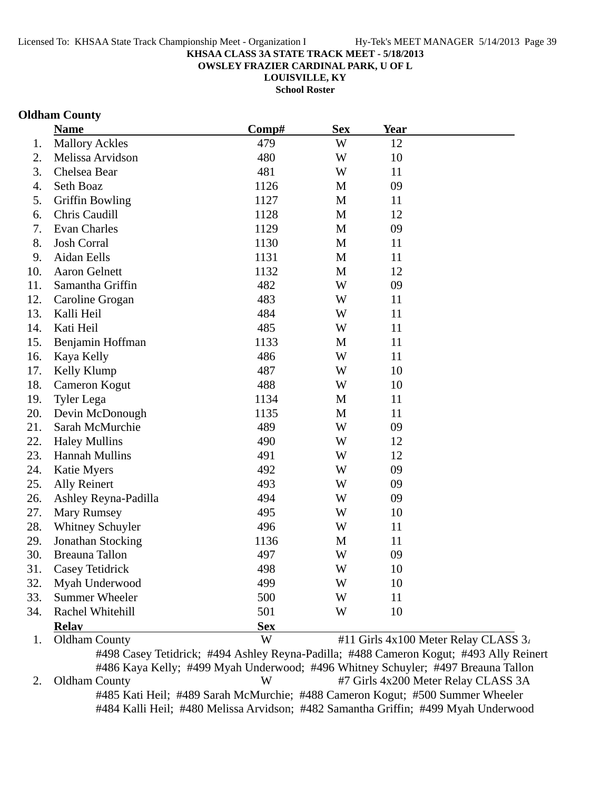**OWSLEY FRAZIER CARDINAL PARK, U OF L**

**LOUISVILLE, KY**

**School Roster**

### **Oldham County**

|     | <b>Name</b>            | Comp#<br><b>Sex</b> |              | Year |                                      |
|-----|------------------------|---------------------|--------------|------|--------------------------------------|
| 1.  | <b>Mallory Ackles</b>  | 479                 | W            | 12   |                                      |
| 2.  | Melissa Arvidson       | 480                 | W            | 10   |                                      |
| 3.  | Chelsea Bear           | 481                 | W            | 11   |                                      |
| 4.  | Seth Boaz              | 1126                | M            | 09   |                                      |
| 5.  | <b>Griffin Bowling</b> | 1127                | M            | 11   |                                      |
| 6.  | Chris Caudill          | 1128                | M            | 12   |                                      |
| 7.  | Evan Charles           | 1129                | M            | 09   |                                      |
| 8.  | <b>Josh Corral</b>     | 1130                | $\mathbf{M}$ | 11   |                                      |
| 9.  | Aidan Eells            | 1131                | M            | 11   |                                      |
| 10. | <b>Aaron Gelnett</b>   | 1132                | $\mathbf{M}$ | 12   |                                      |
| 11. | Samantha Griffin       | 482                 | W            | 09   |                                      |
| 12. | Caroline Grogan        | 483                 | W            | 11   |                                      |
| 13. | Kalli Heil             | 484                 | W            | 11   |                                      |
| 14. | Kati Heil              | 485                 | W            | 11   |                                      |
| 15. | Benjamin Hoffman       | 1133                | M            | 11   |                                      |
| 16. | Kaya Kelly             | 486                 | W            | 11   |                                      |
| 17. | Kelly Klump            | 487                 | W            | 10   |                                      |
| 18. | Cameron Kogut          | 488                 | W            | 10   |                                      |
| 19. | <b>Tyler Lega</b>      | 1134                | M            | 11   |                                      |
| 20. | Devin McDonough        | 1135                | $\mathbf M$  | 11   |                                      |
| 21. | Sarah McMurchie        | 489                 | W            | 09   |                                      |
| 22. | <b>Haley Mullins</b>   | 490                 | W            | 12   |                                      |
| 23. | <b>Hannah Mullins</b>  | 491                 | W            | 12   |                                      |
| 24. | <b>Katie Myers</b>     | 492                 | W            | 09   |                                      |
| 25. | <b>Ally Reinert</b>    | 493                 | W            | 09   |                                      |
| 26. | Ashley Reyna-Padilla   | 494                 | W            | 09   |                                      |
| 27. | <b>Mary Rumsey</b>     | 495                 | W            | 10   |                                      |
| 28. | Whitney Schuyler       | 496                 | W            | 11   |                                      |
| 29. | Jonathan Stocking      | 1136                | M            | 11   |                                      |
| 30. | Breauna Tallon         | 497                 | W            | 09   |                                      |
| 31. | Casey Tetidrick        | 498                 | W            | 10   |                                      |
| 32. | Myah Underwood         | 499                 | W            | 10   |                                      |
| 33. | <b>Summer Wheeler</b>  | 500                 | W            | 11   |                                      |
| 34. | Rachel Whitehill       | 501                 | W            | 10   |                                      |
|     | <b>Relay</b>           | <b>Sex</b>          |              |      |                                      |
| 1.  | <b>Oldham County</b>   | W                   |              |      | #11 Girls 4x100 Meter Relay CLASS 3. |

#498 Casey Tetidrick; #494 Ashley Reyna-Padilla; #488 Cameron Kogut; #493 Ally Reinert #486 Kaya Kelly; #499 Myah Underwood; #496 Whitney Schuyler; #497 Breauna Tallon 2. Oldham County W #7 Girls 4x200 Meter Relay CLASS 3A #485 Kati Heil; #489 Sarah McMurchie; #488 Cameron Kogut; #500 Summer Wheeler #484 Kalli Heil; #480 Melissa Arvidson; #482 Samantha Griffin; #499 Myah Underwood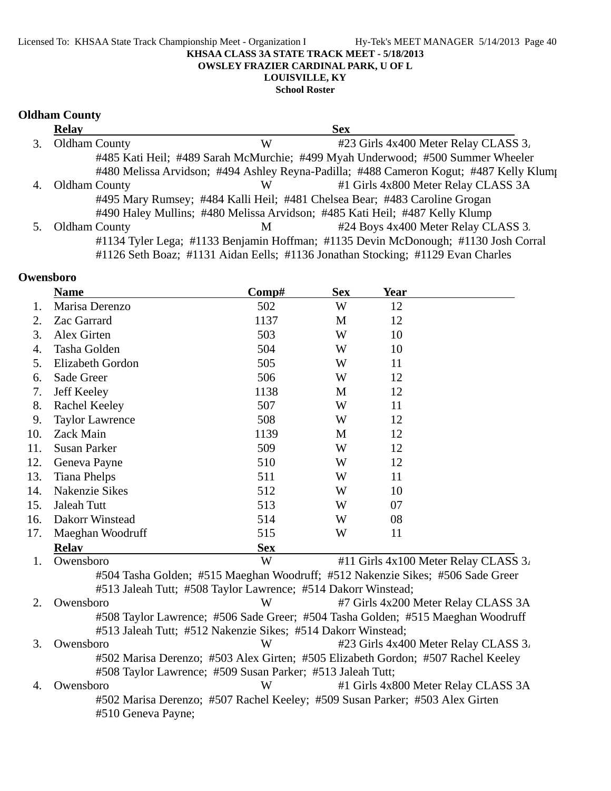#### Licensed To: KHSAA State Track Championship Meet - Organization I Hy-Tek's MEET MANAGER 5/14/2013 Page 40 **KHSAA CLASS 3A STATE TRACK MEET - 5/18/2013 OWSLEY FRAZIER CARDINAL PARK, U OF L LOUISVILLE, KY**

**School Roster**

#### **Oldham County**

|    | <b>Relay</b>         |   | <b>Sex</b>                                                                            |
|----|----------------------|---|---------------------------------------------------------------------------------------|
|    | Oldham County        | W | #23 Girls 4x400 Meter Relay CLASS 3.                                                  |
|    |                      |   | #485 Kati Heil; #489 Sarah McMurchie; #499 Myah Underwood; #500 Summer Wheeler        |
|    |                      |   | #480 Melissa Arvidson; #494 Ashley Reyna-Padilla; #488 Cameron Kogut; #487 Kelly Klum |
| 4. | <b>Oldham County</b> | W | #1 Girls 4x800 Meter Relay CLASS 3A                                                   |
|    |                      |   | #495 Mary Rumsey; #484 Kalli Heil; #481 Chelsea Bear; #483 Caroline Grogan            |
|    |                      |   | #490 Haley Mullins; #480 Melissa Arvidson; #485 Kati Heil; #487 Kelly Klump           |
|    | <b>Oldham County</b> | M | #24 Boys 4x400 Meter Relay CLASS 3.                                                   |
|    |                      |   | #1134 Tyler Lega; #1133 Benjamin Hoffman; #1135 Devin McDonough; #1130 Josh Corral    |
|    |                      |   | #1126 Seth Boaz; #1131 Aidan Eells; #1136 Jonathan Stocking; #1129 Evan Charles       |

### **Owensboro**

| Comp#<br><b>Sex</b><br>Year<br><b>Name</b> |                                                                                  |            |         |    |                                      |
|--------------------------------------------|----------------------------------------------------------------------------------|------------|---------|----|--------------------------------------|
| 1.                                         | Marisa Derenzo                                                                   | 502        | W       | 12 |                                      |
| 2.                                         | Zac Garrard                                                                      | 1137       | M       | 12 |                                      |
| 3.                                         | Alex Girten                                                                      | 503        | W<br>10 |    |                                      |
| 4.                                         | Tasha Golden                                                                     | 504        | W       | 10 |                                      |
| 5.                                         | Elizabeth Gordon                                                                 | 505        | W       | 11 |                                      |
| 6.                                         | Sade Greer                                                                       | 506        | W       | 12 |                                      |
| 7.                                         | Jeff Keeley                                                                      | 1138       | M       | 12 |                                      |
| 8.                                         | Rachel Keeley                                                                    | 507        | W       | 11 |                                      |
| 9.                                         | <b>Taylor Lawrence</b>                                                           | 508        | W       | 12 |                                      |
| 10.                                        | Zack Main                                                                        | 1139       | M       | 12 |                                      |
| 11.                                        | <b>Susan Parker</b>                                                              | 509        | W       | 12 |                                      |
| 12.                                        | Geneva Payne                                                                     | 510        | W       | 12 |                                      |
| 13.                                        | <b>Tiana Phelps</b>                                                              | 511        | W       | 11 |                                      |
| 14.                                        | <b>Nakenzie Sikes</b>                                                            | 512        | W       | 10 |                                      |
| 15.                                        | Jaleah Tutt                                                                      | 513        | W       | 07 |                                      |
| 16.                                        | Dakorr Winstead                                                                  | 514        | W       | 08 |                                      |
| 17.                                        | Maeghan Woodruff                                                                 | 515        | W       | 11 |                                      |
|                                            | <b>Relay</b>                                                                     | <b>Sex</b> |         |    |                                      |
| 1.                                         | Owensboro                                                                        | W          |         |    | #11 Girls 4x100 Meter Relay CLASS 3. |
|                                            | #504 Tasha Golden; #515 Maeghan Woodruff; #512 Nakenzie Sikes; #506 Sade Greer   |            |         |    |                                      |
|                                            | #513 Jaleah Tutt; #508 Taylor Lawrence; #514 Dakorr Winstead;                    |            |         |    |                                      |
| 2.                                         | Owensboro                                                                        | W          |         |    | #7 Girls 4x200 Meter Relay CLASS 3A  |
|                                            | #508 Taylor Lawrence; #506 Sade Greer; #504 Tasha Golden; #515 Maeghan Woodruff  |            |         |    |                                      |
|                                            | #513 Jaleah Tutt; #512 Nakenzie Sikes; #514 Dakorr Winstead;                     |            |         |    |                                      |
| 3.                                         | Owensboro                                                                        | W          |         |    | #23 Girls 4x400 Meter Relay CLASS 3. |
|                                            | #502 Marisa Derenzo; #503 Alex Girten; #505 Elizabeth Gordon; #507 Rachel Keeley |            |         |    |                                      |
|                                            | #508 Taylor Lawrence; #509 Susan Parker; #513 Jaleah Tutt;                       |            |         |    |                                      |
| 4.                                         | Owensboro                                                                        | W          |         |    | #1 Girls 4x800 Meter Relay CLASS 3A  |
|                                            | #502 Marisa Derenzo; #507 Rachel Keeley; #509 Susan Parker; #503 Alex Girten     |            |         |    |                                      |
|                                            | #510 Geneva Payne;                                                               |            |         |    |                                      |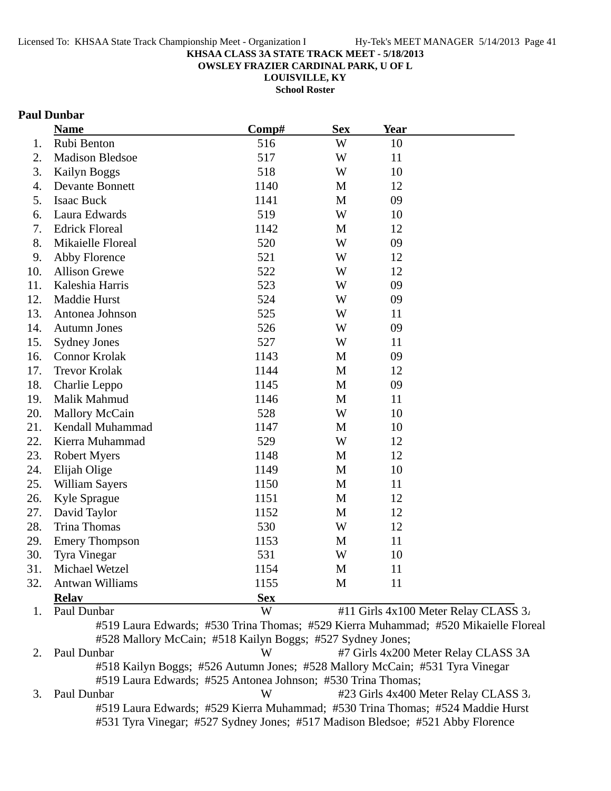**OWSLEY FRAZIER CARDINAL PARK, U OF L**

**LOUISVILLE, KY**

**School Roster**

### **Paul Dunbar**

|     | <b>Name</b>            | Comp#                                                      |             | <u>Year</u> |                                                                                     |  |
|-----|------------------------|------------------------------------------------------------|-------------|-------------|-------------------------------------------------------------------------------------|--|
| 1.  | Rubi Benton            | 516                                                        | W           | 10          |                                                                                     |  |
| 2.  | <b>Madison Bledsoe</b> | 517                                                        | W           | 11          |                                                                                     |  |
| 3.  | Kailyn Boggs           | 518                                                        | W           | 10          |                                                                                     |  |
| 4.  | <b>Devante Bonnett</b> | 1140                                                       | M           | 12          |                                                                                     |  |
| 5.  | <b>Isaac Buck</b>      | 1141                                                       | M           | 09          |                                                                                     |  |
| 6.  | Laura Edwards          | 519                                                        | W           | 10          |                                                                                     |  |
| 7.  | <b>Edrick Floreal</b>  | 1142                                                       | M           | 12          |                                                                                     |  |
| 8.  | Mikaielle Floreal      | 520                                                        | W           | 09          |                                                                                     |  |
| 9.  | Abby Florence          | 521                                                        | W           | 12          |                                                                                     |  |
| 10. | <b>Allison Grewe</b>   | 522                                                        | W           | 12          |                                                                                     |  |
| 11. | Kaleshia Harris        | 523                                                        | W           | 09          |                                                                                     |  |
| 12. | <b>Maddie Hurst</b>    | 524                                                        | W           | 09          |                                                                                     |  |
| 13. | Antonea Johnson        | 525                                                        | W           | 11          |                                                                                     |  |
| 14. | <b>Autumn Jones</b>    | 526                                                        | W           | 09          |                                                                                     |  |
| 15. | <b>Sydney Jones</b>    | 527                                                        | W           | 11          |                                                                                     |  |
| 16. | <b>Connor Krolak</b>   | 1143                                                       | $\mathbf M$ | 09          |                                                                                     |  |
| 17. | <b>Trevor Krolak</b>   | 1144                                                       | M           | 12          |                                                                                     |  |
| 18. | Charlie Leppo          | 1145                                                       | M           | 09          |                                                                                     |  |
| 19. | Malik Mahmud           | 1146                                                       | M           | 11          |                                                                                     |  |
| 20. | <b>Mallory McCain</b>  | 528                                                        | W           | 10          |                                                                                     |  |
| 21. | Kendall Muhammad       | 1147                                                       | M           | 10          |                                                                                     |  |
| 22. | Kierra Muhammad        | 529                                                        | W           | 12          |                                                                                     |  |
| 23. | <b>Robert Myers</b>    | 1148                                                       | M           | 12          |                                                                                     |  |
| 24. | Elijah Olige           | 1149                                                       | M           | 10          |                                                                                     |  |
| 25. | William Sayers         | 1150                                                       | M           | 11          |                                                                                     |  |
| 26. | Kyle Sprague           | 1151                                                       | M           | 12          |                                                                                     |  |
| 27. | David Taylor           | 1152                                                       | M           | 12          |                                                                                     |  |
| 28. | <b>Trina Thomas</b>    | 530                                                        | W           | 12          |                                                                                     |  |
| 29. | <b>Emery Thompson</b>  | 1153                                                       | M           | 11          |                                                                                     |  |
| 30. | <b>Tyra Vinegar</b>    | 531                                                        | W           | 10          |                                                                                     |  |
| 31. | Michael Wetzel         | 1154                                                       | M           | 11          |                                                                                     |  |
| 32. | <b>Antwan Williams</b> | 1155                                                       | M           | 11          |                                                                                     |  |
|     | <b>Relay</b>           | <b>Sex</b>                                                 |             |             |                                                                                     |  |
| 1.  | Paul Dunbar            | W                                                          |             |             | #11 Girls 4x100 Meter Relay CLASS 3.                                                |  |
|     |                        |                                                            |             |             | #519 Laura Edwards; #530 Trina Thomas; #529 Kierra Muhammad; #520 Mikaielle Floreal |  |
|     |                        | #528 Mallory McCain; #518 Kailyn Boggs; #527 Sydney Jones; |             |             |                                                                                     |  |

2. Paul Dunbar W #7 Girls 4x200 Meter Relay CLASS 3A #518 Kailyn Boggs; #526 Autumn Jones; #528 Mallory McCain; #531 Tyra Vinegar #519 Laura Edwards; #525 Antonea Johnson; #530 Trina Thomas; 3. Paul Dunbar W #23 Girls 4x400 Meter Relay CLASS 3.

#519 Laura Edwards; #529 Kierra Muhammad; #530 Trina Thomas; #524 Maddie Hurst #531 Tyra Vinegar; #527 Sydney Jones; #517 Madison Bledsoe; #521 Abby Florence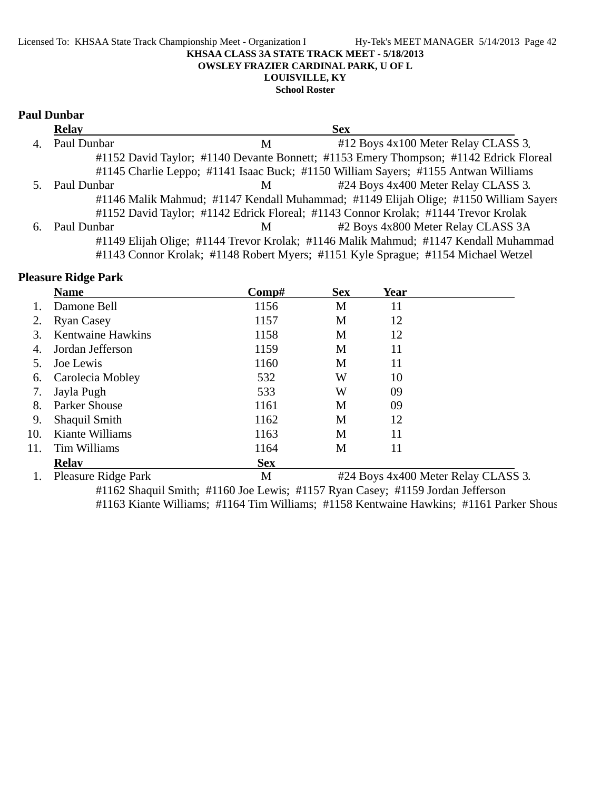#### Licensed To: KHSAA State Track Championship Meet - Organization I Hy-Tek's MEET MANAGER 5/14/2013 Page 42 **KHSAA CLASS 3A STATE TRACK MEET - 5/18/2013 OWSLEY FRAZIER CARDINAL PARK, U OF L LOUISVILLE, KY**

**School Roster**

#### **Paul Dunbar**

|    | <b>Relay</b> | <b>Sex</b>                                                                            |  |
|----|--------------|---------------------------------------------------------------------------------------|--|
| 4. | Paul Dunbar  | #12 Boys 4x100 Meter Relay CLASS 3.<br>M                                              |  |
|    |              | #1152 David Taylor; #1140 Devante Bonnett; #1153 Emery Thompson; #1142 Edrick Floreal |  |
|    |              | #1145 Charlie Leppo; #1141 Isaac Buck; #1150 William Sayers; #1155 Antwan Williams    |  |
|    | Paul Dunbar  | #24 Boys 4x400 Meter Relay CLASS 3.<br>M                                              |  |
|    |              | #1146 Malik Mahmud; #1147 Kendall Muhammad; #1149 Elijah Olige; #1150 William Sayers  |  |
|    |              | #1152 David Taylor; #1142 Edrick Floreal; #1143 Connor Krolak; #1144 Trevor Krolak    |  |
| 6. | Paul Dunbar  | #2 Boys 4x800 Meter Relay CLASS 3A<br>M                                               |  |
|    |              | #1149 Elijah Olige; #1144 Trevor Krolak; #1146 Malik Mahmud; #1147 Kendall Muhammad   |  |
|    |              | #1143 Connor Krolak; #1148 Robert Myers; #1151 Kyle Sprague; #1154 Michael Wetzel     |  |

### **Pleasure Ridge Park**

|     | <b>Name</b>                | Comp#      | <b>Sex</b>                          | Year |  |
|-----|----------------------------|------------|-------------------------------------|------|--|
|     | Damone Bell                | 1156       | M                                   | 11   |  |
|     | <b>Ryan Casey</b>          | 1157       | M                                   | 12   |  |
| 3.  | <b>Kentwaine Hawkins</b>   | 1158       | M                                   | 12   |  |
| 4.  | Jordan Jefferson           | 1159       | M                                   | 11   |  |
| 5.  | Joe Lewis                  | 1160       | M                                   | 11   |  |
| 6.  | Carolecia Mobley           | 532        | W                                   | 10   |  |
| 7.  | Jayla Pugh                 | 533        | W                                   | 09   |  |
| 8.  | <b>Parker Shouse</b>       | 1161       | М                                   | 09   |  |
| 9.  | Shaquil Smith              | 1162       | M                                   | 12   |  |
| 10. | Kiante Williams            | 1163       | M                                   | 11   |  |
| 11. | Tim Williams               | 1164       | М                                   | 11   |  |
|     | <b>Relay</b>               | <b>Sex</b> |                                     |      |  |
|     | <b>Pleasure Ridge Park</b> | M          | #24 Boys 4x400 Meter Relay CLASS 3. |      |  |
|     |                            |            |                                     |      |  |

#1162 Shaquil Smith; #1160 Joe Lewis; #1157 Ryan Casey; #1159 Jordan Jefferson #1163 Kiante Williams; #1164 Tim Williams; #1158 Kentwaine Hawkins; #1161 Parker Shous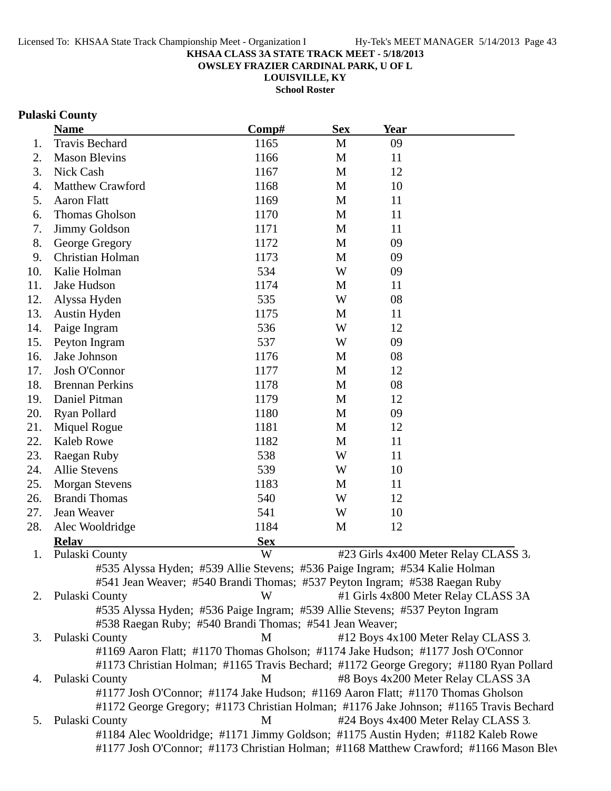**OWSLEY FRAZIER CARDINAL PARK, U OF L**

**LOUISVILLE, KY**

**School Roster**

## **Pulaski County**

|     | <b>Name</b>                                                                            | Comp#      | <b>Sex</b>   | <b>Year</b>                          |  |
|-----|----------------------------------------------------------------------------------------|------------|--------------|--------------------------------------|--|
| 1.  | Travis Bechard                                                                         | 1165       | $\mathbf{M}$ | 09                                   |  |
| 2.  | <b>Mason Blevins</b>                                                                   | 1166       | M            | 11                                   |  |
| 3.  | Nick Cash                                                                              | 1167       | M            | 12                                   |  |
| 4.  | <b>Matthew Crawford</b>                                                                | 1168       | M            | 10                                   |  |
| 5.  | <b>Aaron Flatt</b>                                                                     | 1169       | M            | 11                                   |  |
| 6.  | Thomas Gholson                                                                         | 1170       | M            | 11                                   |  |
| 7.  | Jimmy Goldson                                                                          | 1171       | M            | 11                                   |  |
| 8.  | George Gregory                                                                         | 1172       | M            | 09                                   |  |
| 9.  | Christian Holman                                                                       | 1173       | M            | 09                                   |  |
| 10. | Kalie Holman                                                                           | 534        | W            | 09                                   |  |
| 11. | Jake Hudson                                                                            | 1174       | M            | 11                                   |  |
| 12. | Alyssa Hyden                                                                           | 535        | W            | 08                                   |  |
| 13. | Austin Hyden                                                                           | 1175       | M            | 11                                   |  |
| 14. | Paige Ingram                                                                           | 536        | W            | 12                                   |  |
| 15. | Peyton Ingram                                                                          | 537        | W            | 09                                   |  |
| 16. | Jake Johnson                                                                           | 1176       | M            | 08                                   |  |
| 17. | Josh O'Connor                                                                          | 1177       | M            | 12                                   |  |
| 18. | <b>Brennan Perkins</b>                                                                 | 1178       | M            | 08                                   |  |
| 19. | Daniel Pitman                                                                          | 1179       | M            | 12                                   |  |
| 20. | Ryan Pollard                                                                           | 1180       | M            | 09                                   |  |
| 21. | Miquel Rogue                                                                           | 1181       | M            | 12                                   |  |
| 22. | <b>Kaleb Rowe</b>                                                                      | 1182       | M            | 11                                   |  |
| 23. | Raegan Ruby                                                                            | 538        | W            | 11                                   |  |
| 24. | <b>Allie Stevens</b>                                                                   | 539        | W            | 10                                   |  |
| 25. | <b>Morgan Stevens</b>                                                                  | 1183       | M            | 11                                   |  |
| 26. | <b>Brandi Thomas</b>                                                                   | 540        | W            | 12                                   |  |
| 27. | Jean Weaver                                                                            | 541        | W            | 10                                   |  |
| 28. | Alec Wooldridge                                                                        | 1184       | M            | 12                                   |  |
|     | <b>Relay</b>                                                                           | <b>Sex</b> |              |                                      |  |
| 1.  | Pulaski County                                                                         | W          |              | #23 Girls 4x400 Meter Relay CLASS 3. |  |
|     | #535 Alyssa Hyden; #539 Allie Stevens; #536 Paige Ingram; #534 Kalie Holman            |            |              |                                      |  |
|     | #541 Jean Weaver; #540 Brandi Thomas; #537 Peyton Ingram; #538 Raegan Ruby             |            |              |                                      |  |
| 2.  | Pulaski County                                                                         | W          |              | #1 Girls 4x800 Meter Relay CLASS 3A  |  |
|     | #535 Alyssa Hyden; #536 Paige Ingram; #539 Allie Stevens; #537 Peyton Ingram           |            |              |                                      |  |
|     | #538 Raegan Ruby; #540 Brandi Thomas; #541 Jean Weaver;                                |            |              |                                      |  |
| 3.  | Pulaski County                                                                         | M          |              | #12 Boys 4x100 Meter Relay CLASS 3.  |  |
|     | #1169 Aaron Flatt; #1170 Thomas Gholson; #1174 Jake Hudson; #1177 Josh O'Connor        |            |              |                                      |  |
|     | #1173 Christian Holman; #1165 Travis Bechard; #1172 George Gregory; #1180 Ryan Pollard |            |              |                                      |  |
| 4.  | Pulaski County                                                                         | M          |              | #8 Boys 4x200 Meter Relay CLASS 3A   |  |
|     | #1177 Josh O'Connor; #1174 Jake Hudson; #1169 Aaron Flatt; #1170 Thomas Gholson        |            |              |                                      |  |
|     | #1172 George Gregory; #1173 Christian Holman; #1176 Jake Johnson; #1165 Travis Bechard |            |              |                                      |  |
| 5.  | Pulaski County                                                                         | M          |              | #24 Boys 4x400 Meter Relay CLASS 3.  |  |
|     | #1184 Alec Wooldridge; #1171 Jimmy Goldson; #1175 Austin Hyden; #1182 Kaleb Rowe       |            |              |                                      |  |
|     | #1177 Josh O'Connor; #1173 Christian Holman; #1168 Matthew Crawford; #1166 Mason Blev  |            |              |                                      |  |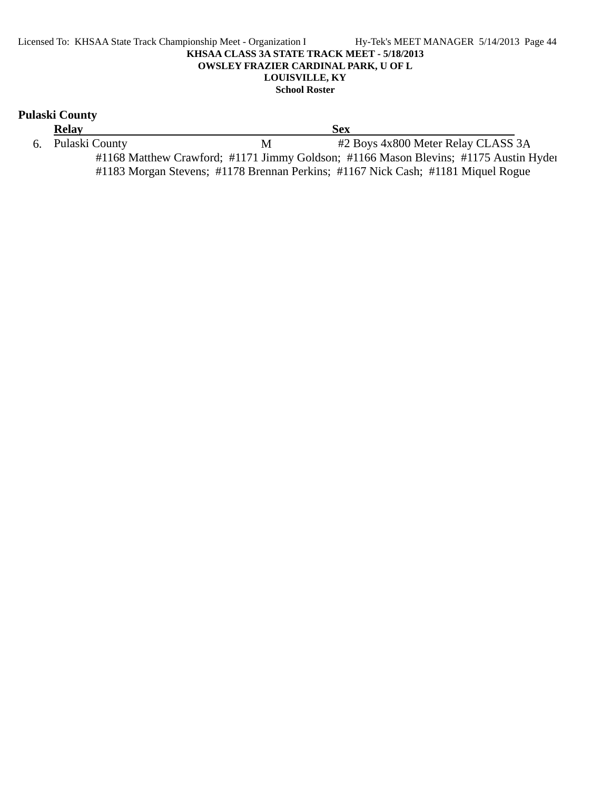#### Licensed To: KHSAA State Track Championship Meet - Organization I Hy-Tek's MEET MANAGER 5/14/2013 Page 44 **KHSAA CLASS 3A STATE TRACK MEET - 5/18/2013 OWSLEY FRAZIER CARDINAL PARK, U OF L LOUISVILLE, KY School Roster**

### **Pulaski County**

**Relay Sex** 6. Pulaski County M #2 Boys 4x800 Meter Relay CLASS 3A #1168 Matthew Crawford; #1171 Jimmy Goldson; #1166 Mason Blevins; #1175 Austin Hyden #1183 Morgan Stevens; #1178 Brennan Perkins; #1167 Nick Cash; #1181 Miquel Rogue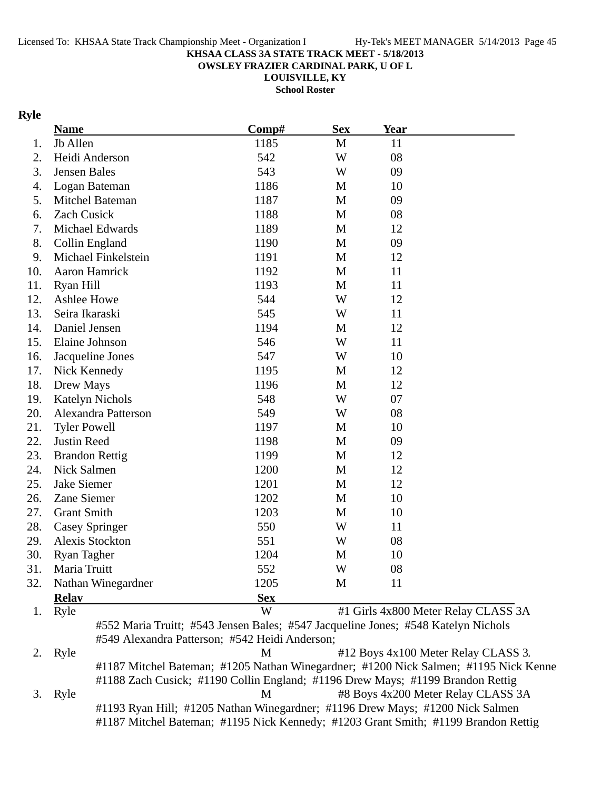**OWSLEY FRAZIER CARDINAL PARK, U OF L**

**LOUISVILLE, KY**

**School Roster**

### **Ryle**

|     | <b>Name</b>            | Comp#                                                                             | <b>Sex</b> | <b>Year</b> |                                                                                      |
|-----|------------------------|-----------------------------------------------------------------------------------|------------|-------------|--------------------------------------------------------------------------------------|
| 1.  | Jb Allen               | 1185                                                                              | M          | 11          |                                                                                      |
| 2.  | Heidi Anderson         | 542                                                                               | W          | 08          |                                                                                      |
| 3.  | Jensen Bales           | 543                                                                               | W          | 09          |                                                                                      |
| 4.  | Logan Bateman          | 1186                                                                              | M          | 10          |                                                                                      |
| 5.  | Mitchel Bateman        | 1187                                                                              | M          | 09          |                                                                                      |
| 6.  | <b>Zach Cusick</b>     | 1188                                                                              | M          | 08          |                                                                                      |
| 7.  | Michael Edwards        | 1189                                                                              | M          | 12          |                                                                                      |
| 8.  | Collin England         | 1190                                                                              | M          | 09          |                                                                                      |
| 9.  | Michael Finkelstein    | 1191                                                                              | M          | 12          |                                                                                      |
| 10. | Aaron Hamrick          | 1192                                                                              | M          | 11          |                                                                                      |
| 11. | Ryan Hill              | 1193                                                                              | M          | 11          |                                                                                      |
| 12. | Ashlee Howe            | 544                                                                               | W          | 12          |                                                                                      |
| 13. | Seira Ikaraski         | 545                                                                               | W          | 11          |                                                                                      |
| 14. | Daniel Jensen          | 1194                                                                              | M          | 12          |                                                                                      |
| 15. | Elaine Johnson         | 546                                                                               | W          | 11          |                                                                                      |
| 16. | Jacqueline Jones       | 547                                                                               | W          | 10          |                                                                                      |
| 17. | Nick Kennedy           | 1195                                                                              | M          | 12          |                                                                                      |
| 18. | Drew Mays              | 1196                                                                              | M          | 12          |                                                                                      |
| 19. | <b>Katelyn Nichols</b> | 548                                                                               | W          | 07          |                                                                                      |
| 20. | Alexandra Patterson    | 549                                                                               | W          | 08          |                                                                                      |
| 21. | <b>Tyler Powell</b>    | 1197                                                                              | M          | 10          |                                                                                      |
| 22. | Justin Reed            | 1198                                                                              | M          | 09          |                                                                                      |
| 23. | <b>Brandon Rettig</b>  | 1199                                                                              | M          | 12          |                                                                                      |
| 24. | Nick Salmen            | 1200                                                                              | M          | 12          |                                                                                      |
| 25. | <b>Jake Siemer</b>     | 1201                                                                              | M          | 12          |                                                                                      |
| 26. | Zane Siemer            | 1202                                                                              | M          | 10          |                                                                                      |
| 27. | <b>Grant Smith</b>     | 1203                                                                              | M          | 10          |                                                                                      |
| 28. | <b>Casey Springer</b>  | 550                                                                               | W          | 11          |                                                                                      |
| 29. | Alexis Stockton        | 551                                                                               | W          | 08          |                                                                                      |
| 30. | <b>Ryan Tagher</b>     | 1204                                                                              | M          | 10          |                                                                                      |
| 31. | Maria Truitt           | 552                                                                               | W          | 08          |                                                                                      |
| 32. | Nathan Winegardner     | 1205                                                                              | M          | 11          |                                                                                      |
|     | <b>Relav</b>           | <b>Sex</b>                                                                        |            |             |                                                                                      |
| 1.  | Ryle                   | W                                                                                 |            |             | #1 Girls 4x800 Meter Relay CLASS 3A                                                  |
|     |                        | #552 Maria Truitt; #543 Jensen Bales; #547 Jacqueline Jones; #548 Katelyn Nichols |            |             |                                                                                      |
|     |                        | #549 Alexandra Patterson; #542 Heidi Anderson;                                    |            |             |                                                                                      |
| 2.  | Ryle                   | M                                                                                 |            |             | #12 Boys 4x100 Meter Relay CLASS 3.                                                  |
|     |                        |                                                                                   |            |             | #1187 Mitchel Bateman; #1205 Nathan Winegardner; #1200 Nick Salmen; #1195 Nick Kenne |
|     |                        | #1188 Zach Cusick; #1190 Collin England; #1196 Drew Mays; #1199 Brandon Rettig    |            |             |                                                                                      |
| 3.  | Ryle                   | M                                                                                 |            |             | #8 Boys 4x200 Meter Relay CLASS 3A                                                   |
|     |                        | #1193 Ryan Hill; #1205 Nathan Winegardner; #1196 Drew Mays; #1200 Nick Salmen     |            |             |                                                                                      |
|     |                        |                                                                                   |            |             | #1187 Mitchel Bateman; #1195 Nick Kennedy; #1203 Grant Smith; #1199 Brandon Rettig   |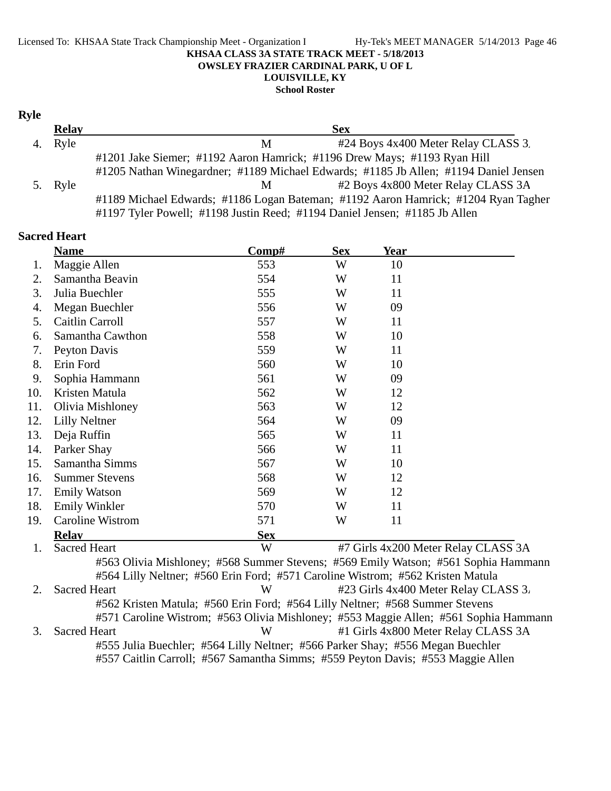#### Licensed To: KHSAA State Track Championship Meet - Organization l Hy-Tek's MEET MANAGER 5/14/2013 Page 46 **KHSAA CLASS 3A STATE TRACK MEET - 5/18/2013 OWSLEY FRAZIER CARDINAL PARK, U OF L LOUISVILLE, KY**

**School Roster**

#### **Ryle**

| <b>Relay</b> | <b>Sex</b>                                                                           |
|--------------|--------------------------------------------------------------------------------------|
| 4. Ryle      | #24 Boys 4x400 Meter Relay CLASS 3.<br>М                                             |
|              | #1201 Jake Siemer; #1192 Aaron Hamrick; #1196 Drew Mays; #1193 Ryan Hill             |
|              | #1205 Nathan Winegardner; #1189 Michael Edwards; #1185 Jb Allen; #1194 Daniel Jensen |
| 5. Ryle      | #2 Boys 4x800 Meter Relay CLASS 3A<br>M                                              |
|              | #1189 Michael Edwards; #1186 Logan Bateman; #1192 Aaron Hamrick; #1204 Ryan Tagher   |
|              | #1197 Tyler Powell; #1198 Justin Reed; #1194 Daniel Jensen; #1185 Jb Allen           |

### **Sacred Heart Name Comp#** Sex Year 1. Maggie Allen 553 W 10 2. Samantha Beavin 554 W 11 3. Julia Buechler 555 W 11 4. Megan Buechler 556 W 09 5. Caitlin Carroll 557 W 11 6. Samantha Cawthon 558 W 10 7. Peyton Davis 559 W 11 8. Erin Ford 560 W 10 9. Sophia Hammann 561 W 09 10. Kristen Matula 10. S62 W 12 11. Olivia Mishloney 563 W 12 12. 564 Lilly Neltner 09 W 13. Deja Ruffin 11 565 W 11 14. Parker Shay 11 11 566 W 11 15. Samantha Simms 567 W 10 16. Summer Stevens 568 W 12 17. Emily Watson 569 W 12 18. Emily Winkler 570 W 11 19. Caroline Wistrom 571 W 11 **Relay Sex** 1. Sacred Heart W #7 Girls 4x200 Meter Relay CLASS 3A #563 Olivia Mishloney; #568 Summer Stevens; #569 Emily Watson; #561 Sophia Hammann #564 Lilly Neltner; #560 Erin Ford; #571 Caroline Wistrom; #562 Kristen Matula 2. Sacred Heart W #23 Girls 4x400 Meter Relay CLASS 3. #562 Kristen Matula; #560 Erin Ford; #564 Lilly Neltner; #568 Summer Stevens #571 Caroline Wistrom; #563 Olivia Mishloney; #553 Maggie Allen; #561 Sophia Hammann 3. Sacred Heart W #1 Girls 4x800 Meter Relay CLASS 3A #555 Julia Buechler; #564 Lilly Neltner; #566 Parker Shay; #556 Megan Buechler #557 Caitlin Carroll; #567 Samantha Simms; #559 Peyton Davis; #553 Maggie Allen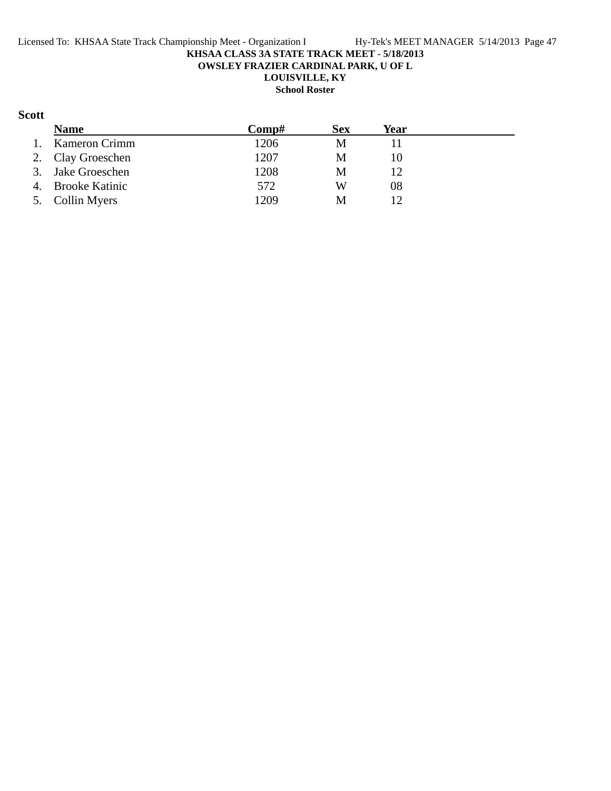**OWSLEY FRAZIER CARDINAL PARK, U OF L**

**LOUISVILLE, KY**

## **School Roster**

### **Scott**

|    | <b>Name</b>          | Comp# | <b>Sex</b> | Year |  |
|----|----------------------|-------|------------|------|--|
| 1. | <b>Kameron Crimm</b> | 1206  | M          |      |  |
|    | 2. Clay Groeschen    | 1207  | М          | 10   |  |
|    | 3. Jake Groeschen    | 1208  | М          | 12   |  |
|    | 4. Brooke Katinic    | 572   | W          | 08   |  |
|    | 5. Collin Myers      | 1209  | M          | 12   |  |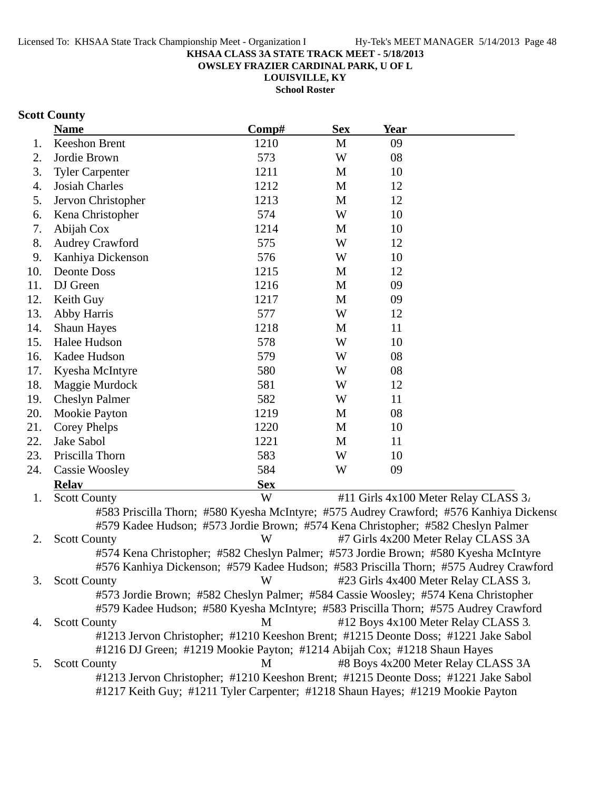**OWSLEY FRAZIER CARDINAL PARK, U OF L**

**LOUISVILLE, KY School Roster**

## **Scott County**

|     | <b>Name</b>                                                                           | Comp#      | <b>Sex</b>   | Year |                                                                                         |
|-----|---------------------------------------------------------------------------------------|------------|--------------|------|-----------------------------------------------------------------------------------------|
| 1.  | Keeshon Brent                                                                         | 1210       | M            | 09   |                                                                                         |
| 2.  | Jordie Brown                                                                          | 573        | W            | 08   |                                                                                         |
| 3.  | <b>Tyler Carpenter</b>                                                                | 1211       | M            | 10   |                                                                                         |
| 4.  | <b>Josiah Charles</b>                                                                 | 1212       | M            | 12   |                                                                                         |
| 5.  | Jervon Christopher                                                                    | 1213       | $\mathbf{M}$ | 12   |                                                                                         |
| 6.  | Kena Christopher                                                                      | 574        | W            | 10   |                                                                                         |
| 7.  | Abijah Cox                                                                            | 1214       | M            | 10   |                                                                                         |
| 8.  | <b>Audrey Crawford</b>                                                                | 575        | W            | 12   |                                                                                         |
| 9.  | Kanhiya Dickenson                                                                     | 576        | W            | 10   |                                                                                         |
| 10. | <b>Deonte Doss</b>                                                                    | 1215       | M            | 12   |                                                                                         |
| 11. | DJ Green                                                                              | 1216       | M            | 09   |                                                                                         |
| 12. | Keith Guy                                                                             | 1217       | M            | 09   |                                                                                         |
| 13. | Abby Harris                                                                           | 577        | W            | 12   |                                                                                         |
| 14. | <b>Shaun Hayes</b>                                                                    | 1218       | M            | 11   |                                                                                         |
| 15. | Halee Hudson                                                                          | 578        | W            | 10   |                                                                                         |
| 16. | Kadee Hudson                                                                          | 579        | W            | 08   |                                                                                         |
| 17. | Kyesha McIntyre                                                                       | 580        | W            | 08   |                                                                                         |
| 18. | Maggie Murdock                                                                        | 581        | W            | 12   |                                                                                         |
| 19. | <b>Cheslyn Palmer</b>                                                                 | 582        | W            | 11   |                                                                                         |
| 20. | Mookie Payton                                                                         | 1219       | M            | 08   |                                                                                         |
| 21. | Corey Phelps                                                                          | 1220       | M            | 10   |                                                                                         |
| 22. | Jake Sabol                                                                            | 1221       | M            | 11   |                                                                                         |
| 23. | Priscilla Thorn                                                                       | 583        | W            | 10   |                                                                                         |
| 24. | <b>Cassie Woosley</b>                                                                 | 584        | W            | 09   |                                                                                         |
|     | <b>Relay</b>                                                                          | <b>Sex</b> |              |      |                                                                                         |
| 1.  | <b>Scott County</b>                                                                   | W          |              |      | #11 Girls 4x100 Meter Relay CLASS 3.                                                    |
|     |                                                                                       |            |              |      | #583 Priscilla Thorn; #580 Kyesha McIntyre; #575 Audrey Crawford; #576 Kanhiya Dickenso |
|     | #579 Kadee Hudson; #573 Jordie Brown; #574 Kena Christopher; #582 Cheslyn Palmer      |            |              |      |                                                                                         |
| 2.  | <b>Scott County</b>                                                                   | W          |              |      | #7 Girls 4x200 Meter Relay CLASS 3A                                                     |
|     | #574 Kena Christopher; #582 Cheslyn Palmer; #573 Jordie Brown; #580 Kyesha McIntyre   |            |              |      |                                                                                         |
|     | #576 Kanhiya Dickenson; #579 Kadee Hudson; #583 Priscilla Thorn; #575 Audrey Crawford |            |              |      |                                                                                         |
| 3.  | <b>Scott County</b>                                                                   | W          |              |      | #23 Girls 4x400 Meter Relay CLASS 3.                                                    |
|     | #573 Jordie Brown; #582 Cheslyn Palmer; #584 Cassie Woosley; #574 Kena Christopher    |            |              |      |                                                                                         |
|     | #579 Kadee Hudson; #580 Kyesha McIntyre; #583 Priscilla Thorn; #575 Audrey Crawford   |            |              |      |                                                                                         |
| 4.  | <b>Scott County</b>                                                                   | M          |              |      | #12 Boys 4x100 Meter Relay CLASS 3.                                                     |
|     | #1213 Jervon Christopher; #1210 Keeshon Brent; #1215 Deonte Doss; #1221 Jake Sabol    |            |              |      |                                                                                         |
|     | #1216 DJ Green; #1219 Mookie Payton; #1214 Abijah Cox; #1218 Shaun Hayes              |            |              |      |                                                                                         |
| 5.  | <b>Scott County</b>                                                                   | M          |              |      | #8 Boys 4x200 Meter Relay CLASS 3A                                                      |
|     | #1213 Jervon Christopher; #1210 Keeshon Brent; #1215 Deonte Doss; #1221 Jake Sabol    |            |              |      |                                                                                         |
|     | #1217 Keith Guy; #1211 Tyler Carpenter; #1218 Shaun Hayes; #1219 Mookie Payton        |            |              |      |                                                                                         |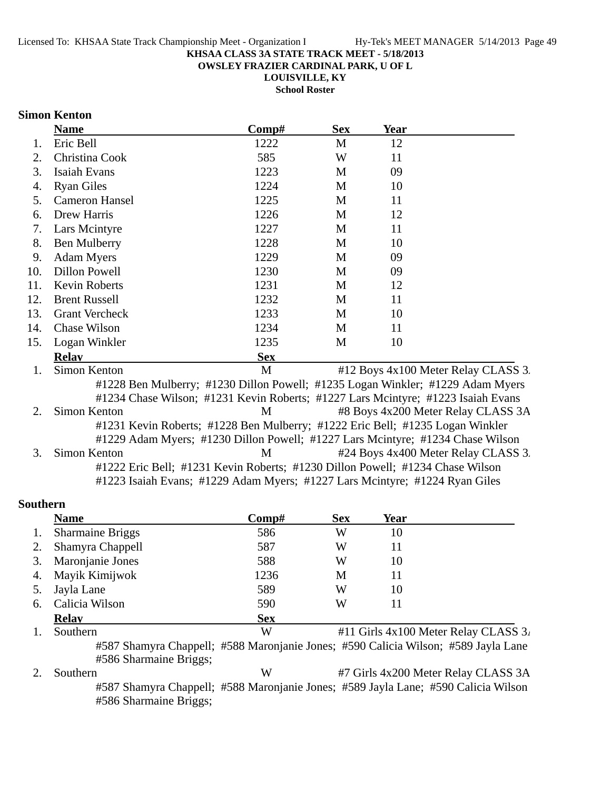**OWSLEY FRAZIER CARDINAL PARK, U OF L**

**LOUISVILLE, KY**

**School Roster**

### **Simon Kenton**

| <b>Name</b>           | Comp#                        | <b>Sex</b> | <b>Year</b>                                                                                                                                                                                                                                                                                                                                                                                                                                                                                           |
|-----------------------|------------------------------|------------|-------------------------------------------------------------------------------------------------------------------------------------------------------------------------------------------------------------------------------------------------------------------------------------------------------------------------------------------------------------------------------------------------------------------------------------------------------------------------------------------------------|
| Eric Bell             | 1222                         | M          | 12                                                                                                                                                                                                                                                                                                                                                                                                                                                                                                    |
| Christina Cook        | 585                          | W          | 11                                                                                                                                                                                                                                                                                                                                                                                                                                                                                                    |
| Isaiah Evans          | 1223                         | M          | 09                                                                                                                                                                                                                                                                                                                                                                                                                                                                                                    |
| <b>Ryan Giles</b>     | 1224                         | M          | 10                                                                                                                                                                                                                                                                                                                                                                                                                                                                                                    |
| Cameron Hansel        | 1225                         | M          | 11                                                                                                                                                                                                                                                                                                                                                                                                                                                                                                    |
| Drew Harris           | 1226                         | M          | 12                                                                                                                                                                                                                                                                                                                                                                                                                                                                                                    |
| Lars Mcintyre         | 1227                         | M          | 11                                                                                                                                                                                                                                                                                                                                                                                                                                                                                                    |
| Ben Mulberry          | 1228                         | M          | 10                                                                                                                                                                                                                                                                                                                                                                                                                                                                                                    |
| <b>Adam Myers</b>     | 1229                         | M          | 09                                                                                                                                                                                                                                                                                                                                                                                                                                                                                                    |
| <b>Dillon Powell</b>  | 1230                         | M          | 09                                                                                                                                                                                                                                                                                                                                                                                                                                                                                                    |
| <b>Kevin Roberts</b>  | 1231                         | M          | 12                                                                                                                                                                                                                                                                                                                                                                                                                                                                                                    |
| <b>Brent Russell</b>  | 1232                         | M          | 11                                                                                                                                                                                                                                                                                                                                                                                                                                                                                                    |
| <b>Grant Vercheck</b> | 1233                         | M          | 10                                                                                                                                                                                                                                                                                                                                                                                                                                                                                                    |
| <b>Chase Wilson</b>   | 1234                         | M          | 11                                                                                                                                                                                                                                                                                                                                                                                                                                                                                                    |
| Logan Winkler         | 1235                         | M          | 10                                                                                                                                                                                                                                                                                                                                                                                                                                                                                                    |
| <b>Relav</b>          | <b>Sex</b>                   |            |                                                                                                                                                                                                                                                                                                                                                                                                                                                                                                       |
| Simon Kenton          | M                            |            | #12 Boys 4x100 Meter Relay CLASS 3.                                                                                                                                                                                                                                                                                                                                                                                                                                                                   |
|                       |                              |            |                                                                                                                                                                                                                                                                                                                                                                                                                                                                                                       |
|                       |                              |            |                                                                                                                                                                                                                                                                                                                                                                                                                                                                                                       |
|                       | M                            |            | #8 Boys 4x200 Meter Relay CLASS 3A                                                                                                                                                                                                                                                                                                                                                                                                                                                                    |
|                       |                              |            |                                                                                                                                                                                                                                                                                                                                                                                                                                                                                                       |
|                       |                              |            |                                                                                                                                                                                                                                                                                                                                                                                                                                                                                                       |
|                       |                              |            | #24 Boys 4x400 Meter Relay CLASS 3.                                                                                                                                                                                                                                                                                                                                                                                                                                                                   |
|                       |                              |            |                                                                                                                                                                                                                                                                                                                                                                                                                                                                                                       |
|                       |                              |            |                                                                                                                                                                                                                                                                                                                                                                                                                                                                                                       |
|                       | Simon Kenton<br>Simon Kenton | M          | #1228 Ben Mulberry; #1230 Dillon Powell; #1235 Logan Winkler; #1229 Adam Myers<br>#1234 Chase Wilson; #1231 Kevin Roberts; #1227 Lars Mcintyre; #1223 Isaiah Evans<br>#1231 Kevin Roberts; #1228 Ben Mulberry; #1222 Eric Bell; #1235 Logan Winkler<br>#1229 Adam Myers; #1230 Dillon Powell; #1227 Lars Mcintyre; #1234 Chase Wilson<br>#1222 Eric Bell; #1231 Kevin Roberts; #1230 Dillon Powell; #1234 Chase Wilson<br>#1223 Isaiah Evans; #1229 Adam Myers; #1227 Lars Mcintyre; #1224 Ryan Giles |

### **Southern**

|    | <b>Name</b>             | Comp#      | <b>Sex</b> | Year |                                      |
|----|-------------------------|------------|------------|------|--------------------------------------|
| 1. | <b>Sharmaine Briggs</b> | 586        | W          | 10   |                                      |
| 2. | Shamyra Chappell        | 587        | W          |      |                                      |
| 3. | Maronjanie Jones        | 588        | W          | 10   |                                      |
| 4. | Mayik Kimijwok          | 1236       | M          | 11   |                                      |
| 5. | Jayla Lane              | 589        | W          | 10   |                                      |
| 6. | Calicia Wilson          | 590        | W          |      |                                      |
|    | <b>Relay</b>            | <b>Sex</b> |            |      |                                      |
|    | Southern                | W          |            |      | #11 Girls 4x100 Meter Relay CLASS 3. |

#587 Shamyra Chappell; #588 Maronjanie Jones; #590 Calicia Wilson; #589 Jayla Lane #586 Sharmaine Briggs;

2. Southern W #7 Girls 4x200 Meter Relay CLASS 3A #587 Shamyra Chappell; #588 Maronjanie Jones; #589 Jayla Lane; #590 Calicia Wilson #586 Sharmaine Briggs;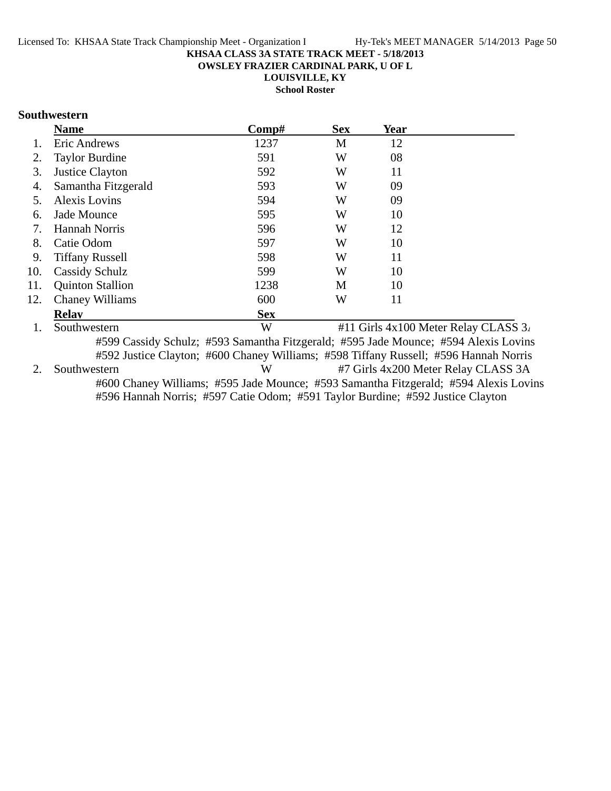**OWSLEY FRAZIER CARDINAL PARK, U OF L**

**LOUISVILLE, KY**

**School Roster**

### **Southwestern**

|     | <b>Name</b>             | Comp#      | <b>Sex</b> | <b>Year</b> |  |
|-----|-------------------------|------------|------------|-------------|--|
|     | Eric Andrews            | 1237       | M          | 12          |  |
| 2.  | <b>Taylor Burdine</b>   | 591        | W          | 08          |  |
| 3.  | Justice Clayton         | 592        | W          | 11          |  |
| 4.  | Samantha Fitzgerald     | 593        | W          | 09          |  |
| 5.  | <b>Alexis Lovins</b>    | 594        | W          | 09          |  |
| 6.  | Jade Mounce             | 595        | W          | 10          |  |
| 7.  | <b>Hannah Norris</b>    | 596        | W          | 12          |  |
| 8.  | Catie Odom              | 597        | W          | 10          |  |
| 9.  | <b>Tiffany Russell</b>  | 598        | W          | 11          |  |
| 10. | <b>Cassidy Schulz</b>   | 599        | W          | 10          |  |
| 11. | <b>Quinton Stallion</b> | 1238       | M          | 10          |  |
| 12. | <b>Chaney Williams</b>  | 600        | W          | 11          |  |
|     | <b>Relav</b>            | <b>Sex</b> |            |             |  |

1. Southwestern W  $\#11$  Girls  $4x100$  Meter Relay CLASS  $3/$ #599 Cassidy Schulz; #593 Samantha Fitzgerald; #595 Jade Mounce; #594 Alexis Lovins #592 Justice Clayton; #600 Chaney Williams; #598 Tiffany Russell; #596 Hannah Norris 2. Southwestern W #7 Girls 4x200 Meter Relay CLASS 3A #600 Chaney Williams; #595 Jade Mounce; #593 Samantha Fitzgerald; #594 Alexis Lovins #596 Hannah Norris; #597 Catie Odom; #591 Taylor Burdine; #592 Justice Clayton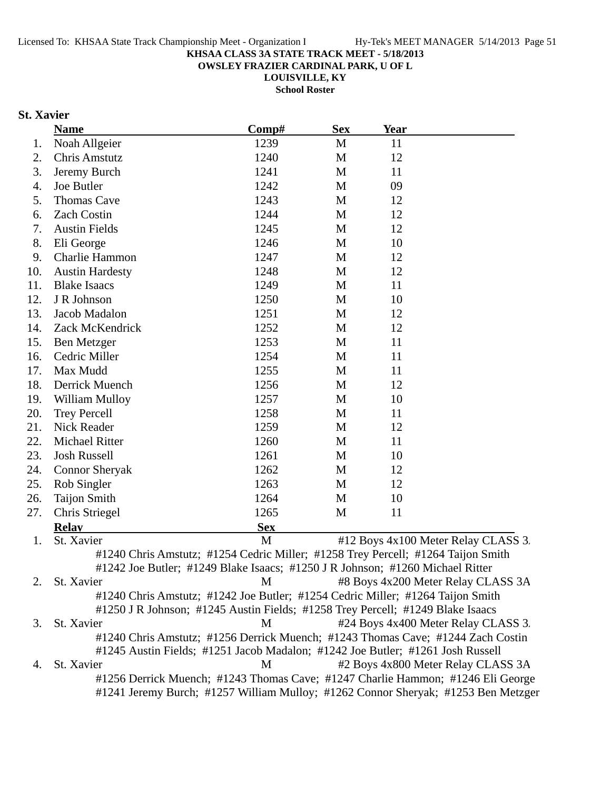**OWSLEY FRAZIER CARDINAL PARK, U OF L**

**LOUISVILLE, KY**

**School Roster**

### **St. Xavier**

|     | <b>Name</b>                                                                                   | Comp#      | <b>Sex</b> | <b>Year</b> |                                     |
|-----|-----------------------------------------------------------------------------------------------|------------|------------|-------------|-------------------------------------|
| 1.  | Noah Allgeier                                                                                 | 1239       | M          | 11          |                                     |
| 2.  | <b>Chris Amstutz</b>                                                                          | 1240       | M          | 12          |                                     |
| 3.  | Jeremy Burch                                                                                  | 1241       | M          | 11          |                                     |
| 4.  | Joe Butler                                                                                    | 1242       | M          | 09          |                                     |
| 5.  | <b>Thomas Cave</b>                                                                            | 1243       | M          | 12          |                                     |
| 6.  | <b>Zach Costin</b>                                                                            | 1244       | M          | 12          |                                     |
| 7.  | <b>Austin Fields</b>                                                                          | 1245       | M          | 12          |                                     |
| 8.  | Eli George                                                                                    | 1246       | M          | 10          |                                     |
| 9.  | Charlie Hammon                                                                                | 1247       | M          | 12          |                                     |
| 10. | <b>Austin Hardesty</b>                                                                        | 1248       | M          | 12          |                                     |
| 11. | <b>Blake Isaacs</b>                                                                           | 1249       | M          | 11          |                                     |
| 12. | J R Johnson                                                                                   | 1250       | M          | 10          |                                     |
| 13. | Jacob Madalon                                                                                 | 1251       | M          | 12          |                                     |
| 14. | Zack McKendrick                                                                               | 1252       | M          | 12          |                                     |
| 15. | Ben Metzger                                                                                   | 1253       | M          | 11          |                                     |
| 16. | Cedric Miller                                                                                 | 1254       | M          | 11          |                                     |
| 17. | Max Mudd                                                                                      | 1255       | M          | 11          |                                     |
| 18. | Derrick Muench                                                                                | 1256       | M          | 12          |                                     |
| 19. | William Mulloy                                                                                | 1257       | M          | 10          |                                     |
| 20. | <b>Trey Percell</b>                                                                           | 1258       | M          | 11          |                                     |
| 21. | Nick Reader                                                                                   | 1259       | M          | 12          |                                     |
| 22. | <b>Michael Ritter</b>                                                                         | 1260       | M          | 11          |                                     |
| 23. | <b>Josh Russell</b>                                                                           | 1261       | M          | 10          |                                     |
| 24. | <b>Connor Sheryak</b>                                                                         | 1262       | M          | 12          |                                     |
| 25. | Rob Singler                                                                                   | 1263       | M          | 12          |                                     |
| 26. | <b>Taijon Smith</b>                                                                           | 1264       | M          | 10          |                                     |
| 27. | Chris Striegel                                                                                | 1265       | M          | 11          |                                     |
|     | <b>Relay</b>                                                                                  | <b>Sex</b> |            |             |                                     |
| 1.  | St. Xavier                                                                                    | M          |            |             | #12 Boys 4x100 Meter Relay CLASS 3. |
|     | #1240 Chris Amstutz; #1254 Cedric Miller; #1258 Trey Percell; #1264 Taijon Smith              |            |            |             |                                     |
|     | #1242 Joe Butler; #1249 Blake Isaacs; #1250 J R Johnson; #1260 Michael Ritter                 |            |            |             |                                     |
| 2.  | St. Xavier                                                                                    | M          |            |             | #8 Boys 4x200 Meter Relay CLASS 3A  |
|     | #1240 Chris Amstutz; #1242 Joe Butler; #1254 Cedric Miller; #1264 Taijon Smith                |            |            |             |                                     |
|     | #1250 J R Johnson; #1245 Austin Fields; #1258 Trey Percell; #1249 Blake Isaacs                |            |            |             |                                     |
| 3.  | St. Xavier                                                                                    | M          |            |             | #24 Boys 4x400 Meter Relay CLASS 3. |
|     | #1240 Chris Amstutz; #1256 Derrick Muench; #1243 Thomas Cave; #1244 Zach Costin               |            |            |             |                                     |
|     | #1245 Austin Fields; #1251 Jacob Madalon; #1242 Joe Butler; #1261 Josh Russell                |            |            |             |                                     |
| 4.  | St. Xavier<br>#1256 Derrick Muench; #1243 Thomas Cave; #1247 Charlie Hammon; #1246 Eli George | M          |            |             | #2 Boys 4x800 Meter Relay CLASS 3A  |
|     | #1241 Jeremy Burch; #1257 William Mulloy; #1262 Connor Sheryak; #1253 Ben Metzger             |            |            |             |                                     |
|     |                                                                                               |            |            |             |                                     |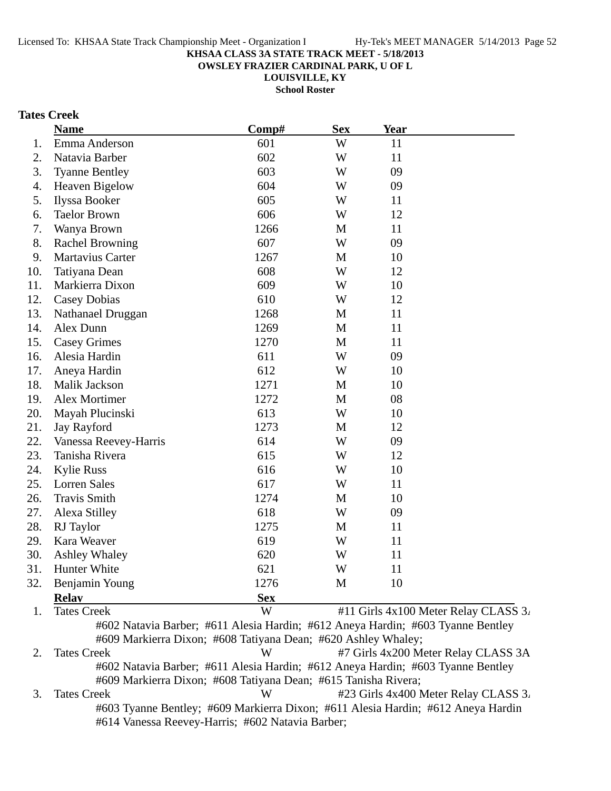**OWSLEY FRAZIER CARDINAL PARK, U OF L**

**LOUISVILLE, KY**

**School Roster**

## **Tates Creek**

|     | <b>Name</b>            | Comp#      | <b>Sex</b>   | <b>Year</b> |                                      |
|-----|------------------------|------------|--------------|-------------|--------------------------------------|
| 1.  | Emma Anderson          | 601        | W            | 11          |                                      |
| 2.  | Natavia Barber         | 602        | W            | 11          |                                      |
| 3.  | <b>Tyanne Bentley</b>  | 603        | W            | 09          |                                      |
| 4.  | <b>Heaven Bigelow</b>  | 604        | W            | 09          |                                      |
| 5.  | Ilyssa Booker          | 605        | W            | 11          |                                      |
| 6.  | <b>Taelor Brown</b>    | 606        | W            | 12          |                                      |
| 7.  | Wanya Brown            | 1266       | M            | 11          |                                      |
| 8.  | <b>Rachel Browning</b> | 607        | W            | 09          |                                      |
| 9.  | Martavius Carter       | 1267       | M            | 10          |                                      |
| 10. | Tatiyana Dean          | 608        | W            | 12          |                                      |
| 11. | Markierra Dixon        | 609        | W            | 10          |                                      |
| 12. | <b>Casey Dobias</b>    | 610        | W            | 12          |                                      |
| 13. | Nathanael Druggan      | 1268       | M            | 11          |                                      |
| 14. | Alex Dunn              | 1269       | M            | 11          |                                      |
| 15. | <b>Casey Grimes</b>    | 1270       | M            | 11          |                                      |
| 16. | Alesia Hardin          | 611        | W            | 09          |                                      |
| 17. | Aneya Hardin           | 612        | W            | 10          |                                      |
| 18. | Malik Jackson          | 1271       | M            | 10          |                                      |
| 19. | Alex Mortimer          | 1272       | $\mathbf M$  | 08          |                                      |
| 20. | Mayah Plucinski        | 613        | W            | 10          |                                      |
| 21. | Jay Rayford            | 1273       | M            | 12          |                                      |
| 22. | Vanessa Reevey-Harris  | 614        | W            | 09          |                                      |
| 23. | Tanisha Rivera         | 615        | W            | 12          |                                      |
| 24. | <b>Kylie Russ</b>      | 616        | W            | 10          |                                      |
| 25. | <b>Lorren Sales</b>    | 617        | W            | 11          |                                      |
| 26. | <b>Travis Smith</b>    | 1274       | M            | 10          |                                      |
| 27. | Alexa Stilley          | 618        | W            | 09          |                                      |
| 28. | RJ Taylor              | 1275       | M            | 11          |                                      |
| 29. | Kara Weaver            | 619        | W            | 11          |                                      |
| 30. | <b>Ashley Whaley</b>   | 620        | W            | 11          |                                      |
| 31. | Hunter White           | 621        | W            | 11          |                                      |
| 32. | Benjamin Young         | 1276       | $\mathbf{M}$ | 10          |                                      |
|     | <b>Relay</b>           | <b>Sex</b> |              |             |                                      |
| 1.  | <b>Tates Creek</b>     | W          |              |             | #11 Girls 4x100 Meter Relay CLASS 3. |

#602 Natavia Barber; #611 Alesia Hardin; #612 Aneya Hardin; #603 Tyanne Bentley #609 Markierra Dixon; #608 Tatiyana Dean; #620 Ashley Whaley;

2. Tates Creek W #7 Girls 4x200 Meter Relay CLASS 3A #602 Natavia Barber; #611 Alesia Hardin; #612 Aneya Hardin; #603 Tyanne Bentley #609 Markierra Dixon; #608 Tatiyana Dean; #615 Tanisha Rivera; 3. Tates Creek W #23 Girls 4x400 Meter Relay CLASS 3.

#603 Tyanne Bentley; #609 Markierra Dixon; #611 Alesia Hardin; #612 Aneya Hardin #614 Vanessa Reevey-Harris; #602 Natavia Barber;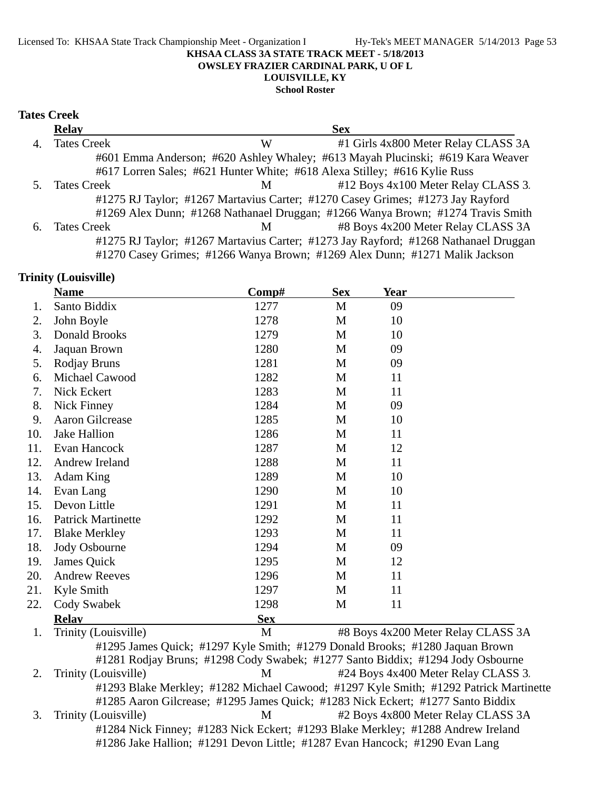#### Licensed To: KHSAA State Track Championship Meet - Organization I Hy-Tek's MEET MANAGER 5/14/2013 Page 53 **KHSAA CLASS 3A STATE TRACK MEET - 5/18/2013 OWSLEY FRAZIER CARDINAL PARK, U OF L**

## **LOUISVILLE, KY**

## **School Roster**

### **Tates Creek**

|    | <b>Relay</b>       |   | <b>Sex</b>                                                                          |  |
|----|--------------------|---|-------------------------------------------------------------------------------------|--|
| 4. | <b>Tates Creek</b> | W | #1 Girls 4x800 Meter Relay CLASS 3A                                                 |  |
|    |                    |   | #601 Emma Anderson; #620 Ashley Whaley; #613 Mayah Plucinski; #619 Kara Weaver      |  |
|    |                    |   | #617 Lorren Sales; #621 Hunter White; #618 Alexa Stilley; #616 Kylie Russ           |  |
|    | <b>Tates Creek</b> | M | #12 Boys 4x100 Meter Relay CLASS 3.                                                 |  |
|    |                    |   | #1275 RJ Taylor; #1267 Martavius Carter; #1270 Casey Grimes; #1273 Jay Rayford      |  |
|    |                    |   | #1269 Alex Dunn; #1268 Nathanael Druggan; #1266 Wanya Brown; #1274 Travis Smith     |  |
| 6. | <b>Tates Creek</b> | M | #8 Boys 4x200 Meter Relay CLASS 3A                                                  |  |
|    |                    |   | #1275 RJ Taylor; #1267 Martavius Carter; #1273 Jay Rayford; #1268 Nathanael Druggan |  |
|    |                    |   | #1270 Casey Grimes; #1266 Wanya Brown; #1269 Alex Dunn; #1271 Malik Jackson         |  |

#### **Trinity (Louisville)**

|     | <b>Name</b>               | $\bf Comp\#$                                                                 | <b>Sex</b> | <b>Year</b> |                                    |
|-----|---------------------------|------------------------------------------------------------------------------|------------|-------------|------------------------------------|
| 1.  | Santo Biddix              | 1277                                                                         | M          | 09          |                                    |
| 2.  | John Boyle                | 1278                                                                         | M          | 10          |                                    |
| 3.  | Donald Brooks             | 1279                                                                         | M          | 10          |                                    |
| 4.  | Jaquan Brown              | 1280                                                                         | M          | 09          |                                    |
| 5.  | Rodjay Bruns              | 1281                                                                         | M          | 09          |                                    |
| 6.  | Michael Cawood            | 1282                                                                         | M          | 11          |                                    |
| 7.  | Nick Eckert               | 1283                                                                         | M          | 11          |                                    |
| 8.  | Nick Finney               | 1284                                                                         | M          | 09          |                                    |
| 9.  | Aaron Gilcrease           | 1285                                                                         | M          | 10          |                                    |
| 10. | Jake Hallion              | 1286                                                                         | M          | 11          |                                    |
| 11. | Evan Hancock              | 1287                                                                         | M          | 12          |                                    |
| 12. | Andrew Ireland            | 1288                                                                         | M          | 11          |                                    |
| 13. | Adam King                 | 1289                                                                         | M          | 10          |                                    |
| 14. | Evan Lang                 | 1290                                                                         | M          | 10          |                                    |
| 15. | Devon Little              | 1291                                                                         | M          | 11          |                                    |
| 16. | <b>Patrick Martinette</b> | 1292                                                                         | M          | 11          |                                    |
| 17. | <b>Blake Merkley</b>      | 1293                                                                         | M          | 11          |                                    |
| 18. | Jody Osbourne             | 1294                                                                         | M          | 09          |                                    |
| 19. | James Quick               | 1295                                                                         | M          | 12          |                                    |
| 20. | <b>Andrew Reeves</b>      | 1296                                                                         | M          | 11          |                                    |
| 21. | Kyle Smith                | 1297                                                                         | M          | 11          |                                    |
| 22. | Cody Swabek               | 1298                                                                         | M          | 11          |                                    |
|     | <b>Relay</b>              | <b>Sex</b>                                                                   |            |             |                                    |
| 1.  | Trinity (Louisville)      | M                                                                            |            |             | #8 Boys 4x200 Meter Relay CLASS 3A |
|     |                           | #1205 James Quick: #1207 Kyle Smith: #1270 Donald Brooks: #1280 Jaquan Brown |            |             |                                    |

#1295 James Quick; #1297 Kyle Smith; #1279 Donald Brooks; #1280 Jaquan Brown #1281 Rodjay Bruns; #1298 Cody Swabek; #1277 Santo Biddix; #1294 Jody Osbourne 2. Trinity (Louisville) M #24 Boys 4x400 Meter Relay CLASS 3. #1293 Blake Merkley; #1282 Michael Cawood; #1297 Kyle Smith; #1292 Patrick Martinette #1285 Aaron Gilcrease; #1295 James Quick; #1283 Nick Eckert; #1277 Santo Biddix 3. Trinity (Louisville) M #2 Boys 4x800 Meter Relay CLASS 3A #1284 Nick Finney; #1283 Nick Eckert; #1293 Blake Merkley; #1288 Andrew Ireland #1286 Jake Hallion; #1291 Devon Little; #1287 Evan Hancock; #1290 Evan Lang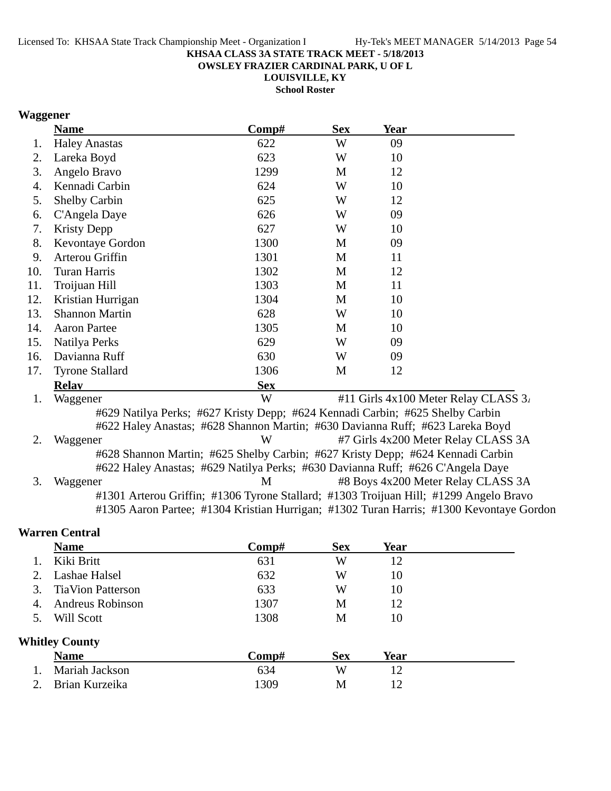**OWSLEY FRAZIER CARDINAL PARK, U OF L**

**LOUISVILLE, KY School Roster**

## **Waggener**

|     | <b>Name</b>                                                                           | Comp#      | <b>Sex</b> | Year        |                                                                                         |
|-----|---------------------------------------------------------------------------------------|------------|------------|-------------|-----------------------------------------------------------------------------------------|
| 1.  | <b>Haley Anastas</b>                                                                  | 622        | W          | 09          |                                                                                         |
| 2.  | Lareka Boyd                                                                           | 623        | W          | 10          |                                                                                         |
| 3.  | Angelo Bravo                                                                          | 1299       | M          | 12          |                                                                                         |
| 4.  | Kennadi Carbin                                                                        | 624        | W          | 10          |                                                                                         |
| 5.  | Shelby Carbin                                                                         | 625        | W          | 12          |                                                                                         |
| 6.  | C'Angela Daye                                                                         | 626        | W          | 09          |                                                                                         |
| 7.  | <b>Kristy Depp</b>                                                                    | 627        | W          | 10          |                                                                                         |
| 8.  | Kevontaye Gordon                                                                      | 1300       | M          | 09          |                                                                                         |
| 9.  | Arterou Griffin                                                                       | 1301       | M          | 11          |                                                                                         |
| 10. | Turan Harris                                                                          | 1302       | M          | 12          |                                                                                         |
| 11. | Troijuan Hill                                                                         | 1303       | M          | 11          |                                                                                         |
| 12. | Kristian Hurrigan                                                                     | 1304       | M          | 10          |                                                                                         |
| 13. | <b>Shannon Martin</b>                                                                 | 628        | W          | 10          |                                                                                         |
| 14. | <b>Aaron Partee</b>                                                                   | 1305       | M          | 10          |                                                                                         |
| 15. | Natilya Perks                                                                         | 629        | W          | 09          |                                                                                         |
| 16. | Davianna Ruff                                                                         | 630        | W          | 09          |                                                                                         |
| 17. | <b>Tyrone Stallard</b>                                                                | 1306       | M          | 12          |                                                                                         |
|     | <b>Relav</b>                                                                          | <b>Sex</b> |            |             |                                                                                         |
| 1.  | Waggener                                                                              | W          |            |             | #11 Girls 4x100 Meter Relay CLASS 3.                                                    |
|     | #629 Natilya Perks; #627 Kristy Depp; #624 Kennadi Carbin; #625 Shelby Carbin         |            |            |             |                                                                                         |
|     | #622 Haley Anastas; #628 Shannon Martin; #630 Davianna Ruff; #623 Lareka Boyd         |            |            |             |                                                                                         |
| 2.  | Waggener                                                                              | W          |            |             | #7 Girls 4x200 Meter Relay CLASS 3A                                                     |
|     | #628 Shannon Martin; #625 Shelby Carbin; #627 Kristy Depp; #624 Kennadi Carbin        |            |            |             |                                                                                         |
|     | #622 Haley Anastas; #629 Natilya Perks; #630 Davianna Ruff; #626 C'Angela Daye        |            |            |             |                                                                                         |
| 3.  | Waggener                                                                              | M          |            |             | #8 Boys 4x200 Meter Relay CLASS 3A                                                      |
|     | #1301 Arterou Griffin; #1306 Tyrone Stallard; #1303 Troijuan Hill; #1299 Angelo Bravo |            |            |             | #1305 Aaron Partee; #1304 Kristian Hurrigan; #1302 Turan Harris; #1300 Kevontaye Gordon |
|     | <b>Warren Central</b>                                                                 |            |            |             |                                                                                         |
|     | <b>Name</b>                                                                           | Comp#      | <b>Sex</b> | <b>Year</b> |                                                                                         |
| 1.  | Kiki Britt                                                                            | 631        | W          | 12          |                                                                                         |
| 2.  | Lashae Halsel                                                                         | 632        | W          | 10          |                                                                                         |

|    | Lashat Tiaisti           | ∪J∠   | V V        | 1V   |  |
|----|--------------------------|-------|------------|------|--|
| 3. | <b>TiaVion Patterson</b> | 633   | W          | 10   |  |
| 4. | <b>Andreus Robinson</b>  | 1307  | M          | 12   |  |
| 5. | Will Scott               | 1308  | М          | 10   |  |
|    | <b>Whitley County</b>    |       |            |      |  |
|    | <b>Name</b>              | Comp# | <b>Sex</b> | Year |  |
| 1. | Mariah Jackson           | 634   | W          | 12   |  |
|    | Brian Kurzeika           | 1309  | M          |      |  |